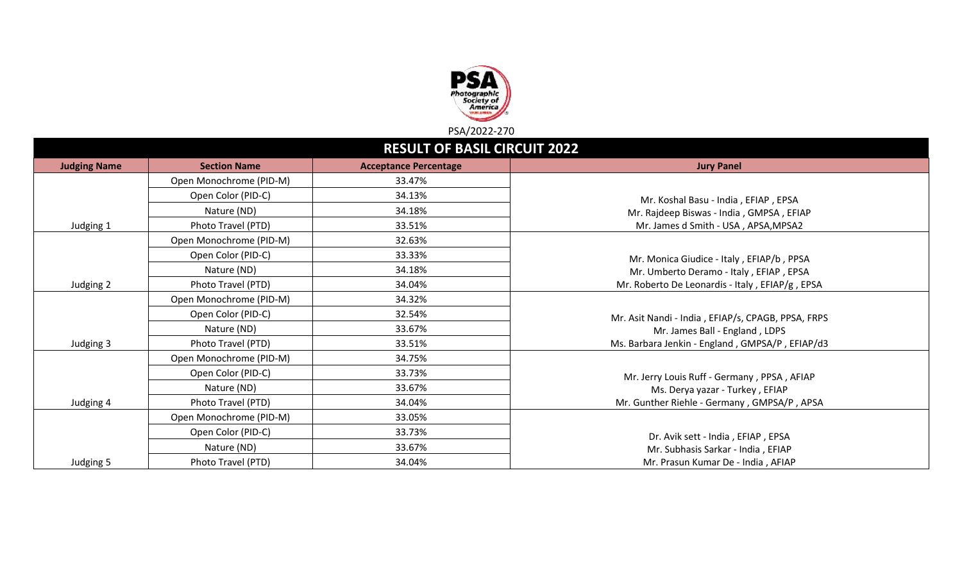

|                     | <b>RESULT OF BASIL CIRCUIT 2022</b> |                              |                                                    |  |  |  |  |  |
|---------------------|-------------------------------------|------------------------------|----------------------------------------------------|--|--|--|--|--|
| <b>Judging Name</b> | <b>Section Name</b>                 | <b>Acceptance Percentage</b> | <b>Jury Panel</b>                                  |  |  |  |  |  |
|                     | Open Monochrome (PID-M)             | 33.47%                       |                                                    |  |  |  |  |  |
|                     | Open Color (PID-C)                  | 34.13%                       | Mr. Koshal Basu - India, EFIAP, EPSA               |  |  |  |  |  |
|                     | Nature (ND)                         | 34.18%                       | Mr. Rajdeep Biswas - India, GMPSA, EFIAP           |  |  |  |  |  |
| Judging 1           | Photo Travel (PTD)                  | 33.51%                       | Mr. James d Smith - USA, APSA, MPSA2               |  |  |  |  |  |
|                     | Open Monochrome (PID-M)             | 32.63%                       |                                                    |  |  |  |  |  |
|                     | Open Color (PID-C)                  | 33.33%                       | Mr. Monica Giudice - Italy, EFIAP/b, PPSA          |  |  |  |  |  |
|                     | Nature (ND)                         | 34.18%                       | Mr. Umberto Deramo - Italy, EFIAP, EPSA            |  |  |  |  |  |
| Judging 2           | Photo Travel (PTD)                  | 34.04%                       | Mr. Roberto De Leonardis - Italy, EFIAP/g, EPSA    |  |  |  |  |  |
|                     | Open Monochrome (PID-M)             | 34.32%                       |                                                    |  |  |  |  |  |
|                     | Open Color (PID-C)                  | 32.54%                       | Mr. Asit Nandi - India, EFIAP/s, CPAGB, PPSA, FRPS |  |  |  |  |  |
|                     | Nature (ND)                         | 33.67%                       | Mr. James Ball - England, LDPS                     |  |  |  |  |  |
| Judging 3           | Photo Travel (PTD)                  | 33.51%                       | Ms. Barbara Jenkin - England, GMPSA/P, EFIAP/d3    |  |  |  |  |  |
|                     | Open Monochrome (PID-M)             | 34.75%                       |                                                    |  |  |  |  |  |
|                     | Open Color (PID-C)                  | 33.73%                       | Mr. Jerry Louis Ruff - Germany, PPSA, AFIAP        |  |  |  |  |  |
|                     | Nature (ND)                         | 33.67%                       | Ms. Derya yazar - Turkey, EFIAP                    |  |  |  |  |  |
| Judging 4           | Photo Travel (PTD)                  | 34.04%                       | Mr. Gunther Riehle - Germany, GMPSA/P, APSA        |  |  |  |  |  |
|                     | Open Monochrome (PID-M)             | 33.05%                       |                                                    |  |  |  |  |  |
|                     | Open Color (PID-C)                  | 33.73%                       | Dr. Avik sett - India, EFIAP, EPSA                 |  |  |  |  |  |
|                     | Nature (ND)                         | 33.67%                       | Mr. Subhasis Sarkar - India, EFIAP                 |  |  |  |  |  |
| Judging 5           | Photo Travel (PTD)                  | 34.04%                       | Mr. Prasun Kumar De - India, AFIAP                 |  |  |  |  |  |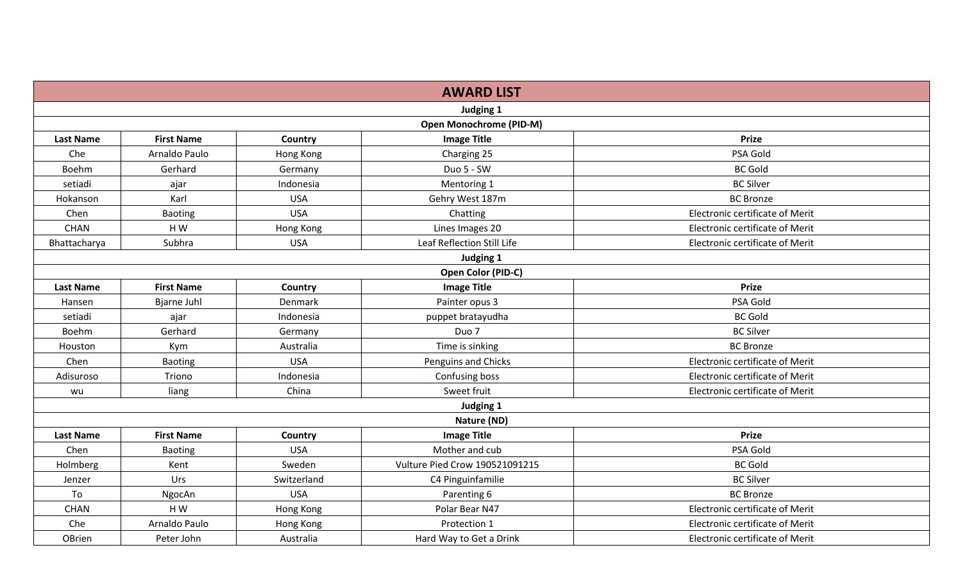|                  |                    |             | <b>AWARD LIST</b>              |                                 |
|------------------|--------------------|-------------|--------------------------------|---------------------------------|
|                  |                    |             | Judging 1                      |                                 |
|                  |                    |             | <b>Open Monochrome (PID-M)</b> |                                 |
| <b>Last Name</b> | <b>First Name</b>  | Country     | <b>Image Title</b>             | <b>Prize</b>                    |
| Che              | Arnaldo Paulo      | Hong Kong   | Charging 25                    | PSA Gold                        |
| Boehm            | Gerhard            | Germany     | Duo 5 - SW                     | <b>BC Gold</b>                  |
| setiadi          | ajar               | Indonesia   | Mentoring 1                    | <b>BC Silver</b>                |
| Hokanson         | Karl               | <b>USA</b>  | Gehry West 187m                | <b>BC</b> Bronze                |
| Chen             | <b>Baoting</b>     | <b>USA</b>  | Chatting                       | Electronic certificate of Merit |
| <b>CHAN</b>      | HW                 | Hong Kong   | Lines Images 20                | Electronic certificate of Merit |
| Bhattacharya     | Subhra             | <b>USA</b>  | Leaf Reflection Still Life     | Electronic certificate of Merit |
|                  |                    |             | Judging 1                      |                                 |
|                  |                    |             | Open Color (PID-C)             |                                 |
| <b>Last Name</b> | <b>First Name</b>  | Country     | <b>Image Title</b>             | <b>Prize</b>                    |
| Hansen           | <b>Bjarne Juhl</b> | Denmark     | Painter opus 3                 | PSA Gold                        |
| setiadi          | ajar               | Indonesia   | puppet bratayudha              | <b>BC Gold</b>                  |
| Boehm            | Gerhard            | Germany     | Duo 7                          | <b>BC Silver</b>                |
| Houston          | Kym                | Australia   | Time is sinking                | <b>BC Bronze</b>                |
| Chen             | <b>Baoting</b>     | <b>USA</b>  | Penguins and Chicks            | Electronic certificate of Merit |
| Adisuroso        | Triono             | Indonesia   | Confusing boss                 | Electronic certificate of Merit |
| wu               | liang              | China       | Sweet fruit                    | Electronic certificate of Merit |
|                  |                    |             | Judging 1                      |                                 |
|                  |                    |             | Nature (ND)                    |                                 |
| <b>Last Name</b> | <b>First Name</b>  | Country     | <b>Image Title</b>             | <b>Prize</b>                    |
| Chen             | <b>Baoting</b>     | <b>USA</b>  | Mother and cub                 | PSA Gold                        |
| Holmberg         | Kent               | Sweden      | Vulture Pied Crow 190521091215 | <b>BC Gold</b>                  |
| Jenzer           | Urs                | Switzerland | C4 Pinguinfamilie              | <b>BC Silver</b>                |
| To               | NgocAn             | <b>USA</b>  | Parenting 6                    | <b>BC</b> Bronze                |
| <b>CHAN</b>      | HW                 | Hong Kong   | Polar Bear N47                 | Electronic certificate of Merit |
| Che              | Arnaldo Paulo      | Hong Kong   | Protection 1                   | Electronic certificate of Merit |
| OBrien           | Peter John         | Australia   | Hard Way to Get a Drink        | Electronic certificate of Merit |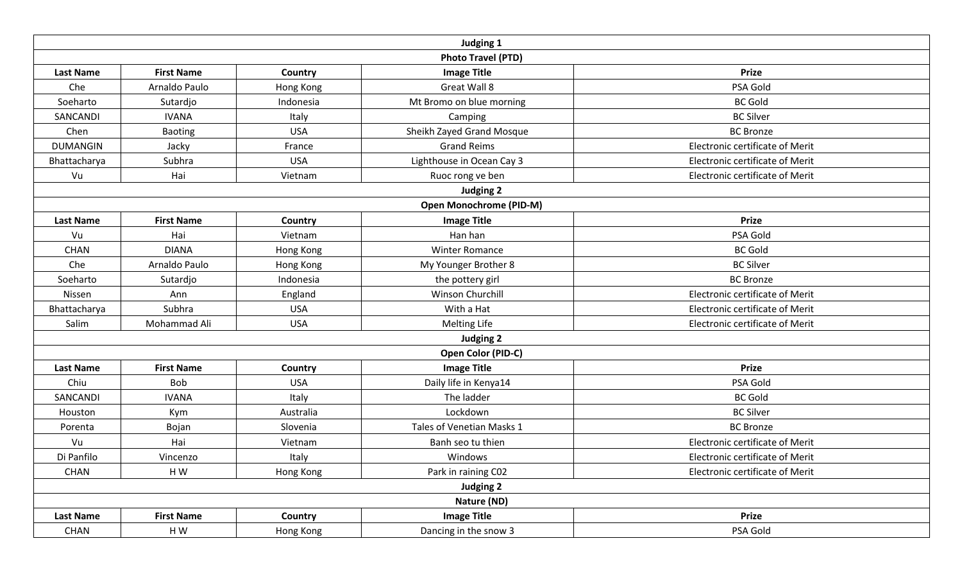|                  |                                                                                                                                                                                                                                                                                                                                                                                                                                                                                                                                                                                                                                                                                                                                                                                                                                                                                                                                                                                                                                                                                                                                                                                                                                                                                                                                                                                                                                                                                                       |            | Judging 1                 |                                 |
|------------------|-------------------------------------------------------------------------------------------------------------------------------------------------------------------------------------------------------------------------------------------------------------------------------------------------------------------------------------------------------------------------------------------------------------------------------------------------------------------------------------------------------------------------------------------------------------------------------------------------------------------------------------------------------------------------------------------------------------------------------------------------------------------------------------------------------------------------------------------------------------------------------------------------------------------------------------------------------------------------------------------------------------------------------------------------------------------------------------------------------------------------------------------------------------------------------------------------------------------------------------------------------------------------------------------------------------------------------------------------------------------------------------------------------------------------------------------------------------------------------------------------------|------------|---------------------------|---------------------------------|
|                  |                                                                                                                                                                                                                                                                                                                                                                                                                                                                                                                                                                                                                                                                                                                                                                                                                                                                                                                                                                                                                                                                                                                                                                                                                                                                                                                                                                                                                                                                                                       |            | <b>Photo Travel (PTD)</b> |                                 |
| <b>Last Name</b> | <b>First Name</b>                                                                                                                                                                                                                                                                                                                                                                                                                                                                                                                                                                                                                                                                                                                                                                                                                                                                                                                                                                                                                                                                                                                                                                                                                                                                                                                                                                                                                                                                                     | Country    | <b>Image Title</b>        | <b>Prize</b>                    |
| Che              | Arnaldo Paulo                                                                                                                                                                                                                                                                                                                                                                                                                                                                                                                                                                                                                                                                                                                                                                                                                                                                                                                                                                                                                                                                                                                                                                                                                                                                                                                                                                                                                                                                                         | Hong Kong  | Great Wall 8              | PSA Gold                        |
| Soeharto         | Sutardjo                                                                                                                                                                                                                                                                                                                                                                                                                                                                                                                                                                                                                                                                                                                                                                                                                                                                                                                                                                                                                                                                                                                                                                                                                                                                                                                                                                                                                                                                                              | Indonesia  | Mt Bromo on blue morning  | <b>BC Gold</b>                  |
| SANCANDI         | <b>IVANA</b>                                                                                                                                                                                                                                                                                                                                                                                                                                                                                                                                                                                                                                                                                                                                                                                                                                                                                                                                                                                                                                                                                                                                                                                                                                                                                                                                                                                                                                                                                          | Italy      | Camping                   | <b>BC Silver</b>                |
| Chen             | <b>Baoting</b>                                                                                                                                                                                                                                                                                                                                                                                                                                                                                                                                                                                                                                                                                                                                                                                                                                                                                                                                                                                                                                                                                                                                                                                                                                                                                                                                                                                                                                                                                        | <b>USA</b> | Sheikh Zayed Grand Mosque | <b>BC Bronze</b>                |
| <b>DUMANGIN</b>  | Jacky                                                                                                                                                                                                                                                                                                                                                                                                                                                                                                                                                                                                                                                                                                                                                                                                                                                                                                                                                                                                                                                                                                                                                                                                                                                                                                                                                                                                                                                                                                 | France     | <b>Grand Reims</b>        | Electronic certificate of Merit |
| Bhattacharya     | Subhra                                                                                                                                                                                                                                                                                                                                                                                                                                                                                                                                                                                                                                                                                                                                                                                                                                                                                                                                                                                                                                                                                                                                                                                                                                                                                                                                                                                                                                                                                                | <b>USA</b> | Lighthouse in Ocean Cay 3 | Electronic certificate of Merit |
| Vu               | Hai                                                                                                                                                                                                                                                                                                                                                                                                                                                                                                                                                                                                                                                                                                                                                                                                                                                                                                                                                                                                                                                                                                                                                                                                                                                                                                                                                                                                                                                                                                   | Vietnam    | Ruoc rong ve ben          | Electronic certificate of Merit |
|                  | <b>Judging 2</b><br><b>Open Monochrome (PID-M)</b><br><b>Image Title</b><br><b>Prize</b><br><b>First Name</b><br>Country<br>Han han<br>PSA Gold<br>Vietnam<br>Vu<br>Hai<br><b>DIANA</b><br>Hong Kong<br><b>BC Gold</b><br><b>CHAN</b><br><b>Winter Romance</b><br>Che<br>Arnaldo Paulo<br><b>BC Silver</b><br>Hong Kong<br>My Younger Brother 8<br>Indonesia<br><b>BC Bronze</b><br>Soeharto<br>Sutardjo<br>the pottery girl<br>England<br>Winson Churchill<br>Electronic certificate of Merit<br>Nissen<br>Ann<br>Subhra<br>With a Hat<br>Electronic certificate of Merit<br><b>USA</b><br>Mohammad Ali<br><b>USA</b><br>Electronic certificate of Merit<br>Salim<br><b>Melting Life</b><br>Judging 2<br>Open Color (PID-C)<br><b>Image Title</b><br><b>First Name</b><br><b>Prize</b><br>Country<br>PSA Gold<br>Chiu<br><b>Bob</b><br><b>USA</b><br>Daily life in Kenya14<br>The ladder<br><b>BC Gold</b><br><b>IVANA</b><br>Italy<br>Lockdown<br>Australia<br><b>BC Silver</b><br>Houston<br>Kym<br>Slovenia<br>Tales of Venetian Masks 1<br>Bojan<br><b>BC Bronze</b><br>Porenta<br>Electronic certificate of Merit<br>Vu<br>Hai<br>Banh seo tu thien<br>Vietnam<br>Electronic certificate of Merit<br>Vincenzo<br>Italy<br>Windows<br>Park in raining C02<br>CHAN<br>HW<br>Hong Kong<br>Electronic certificate of Merit<br><b>Judging 2</b><br>Nature (ND)<br><b>Image Title</b><br><b>First Name</b><br>Country<br><b>Prize</b><br>PSA Gold<br>HW<br>Dancing in the snow 3<br>CHAN<br>Hong Kong |            |                           |                                 |
|                  |                                                                                                                                                                                                                                                                                                                                                                                                                                                                                                                                                                                                                                                                                                                                                                                                                                                                                                                                                                                                                                                                                                                                                                                                                                                                                                                                                                                                                                                                                                       |            |                           |                                 |
| <b>Last Name</b> |                                                                                                                                                                                                                                                                                                                                                                                                                                                                                                                                                                                                                                                                                                                                                                                                                                                                                                                                                                                                                                                                                                                                                                                                                                                                                                                                                                                                                                                                                                       |            |                           |                                 |
|                  |                                                                                                                                                                                                                                                                                                                                                                                                                                                                                                                                                                                                                                                                                                                                                                                                                                                                                                                                                                                                                                                                                                                                                                                                                                                                                                                                                                                                                                                                                                       |            |                           |                                 |
|                  |                                                                                                                                                                                                                                                                                                                                                                                                                                                                                                                                                                                                                                                                                                                                                                                                                                                                                                                                                                                                                                                                                                                                                                                                                                                                                                                                                                                                                                                                                                       |            |                           |                                 |
|                  |                                                                                                                                                                                                                                                                                                                                                                                                                                                                                                                                                                                                                                                                                                                                                                                                                                                                                                                                                                                                                                                                                                                                                                                                                                                                                                                                                                                                                                                                                                       |            |                           |                                 |
|                  |                                                                                                                                                                                                                                                                                                                                                                                                                                                                                                                                                                                                                                                                                                                                                                                                                                                                                                                                                                                                                                                                                                                                                                                                                                                                                                                                                                                                                                                                                                       |            |                           |                                 |
|                  |                                                                                                                                                                                                                                                                                                                                                                                                                                                                                                                                                                                                                                                                                                                                                                                                                                                                                                                                                                                                                                                                                                                                                                                                                                                                                                                                                                                                                                                                                                       |            |                           |                                 |
| Bhattacharya     |                                                                                                                                                                                                                                                                                                                                                                                                                                                                                                                                                                                                                                                                                                                                                                                                                                                                                                                                                                                                                                                                                                                                                                                                                                                                                                                                                                                                                                                                                                       |            |                           |                                 |
|                  |                                                                                                                                                                                                                                                                                                                                                                                                                                                                                                                                                                                                                                                                                                                                                                                                                                                                                                                                                                                                                                                                                                                                                                                                                                                                                                                                                                                                                                                                                                       |            |                           |                                 |
|                  |                                                                                                                                                                                                                                                                                                                                                                                                                                                                                                                                                                                                                                                                                                                                                                                                                                                                                                                                                                                                                                                                                                                                                                                                                                                                                                                                                                                                                                                                                                       |            |                           |                                 |
|                  |                                                                                                                                                                                                                                                                                                                                                                                                                                                                                                                                                                                                                                                                                                                                                                                                                                                                                                                                                                                                                                                                                                                                                                                                                                                                                                                                                                                                                                                                                                       |            |                           |                                 |
| <b>Last Name</b> |                                                                                                                                                                                                                                                                                                                                                                                                                                                                                                                                                                                                                                                                                                                                                                                                                                                                                                                                                                                                                                                                                                                                                                                                                                                                                                                                                                                                                                                                                                       |            |                           |                                 |
|                  |                                                                                                                                                                                                                                                                                                                                                                                                                                                                                                                                                                                                                                                                                                                                                                                                                                                                                                                                                                                                                                                                                                                                                                                                                                                                                                                                                                                                                                                                                                       |            |                           |                                 |
| SANCANDI         |                                                                                                                                                                                                                                                                                                                                                                                                                                                                                                                                                                                                                                                                                                                                                                                                                                                                                                                                                                                                                                                                                                                                                                                                                                                                                                                                                                                                                                                                                                       |            |                           |                                 |
|                  |                                                                                                                                                                                                                                                                                                                                                                                                                                                                                                                                                                                                                                                                                                                                                                                                                                                                                                                                                                                                                                                                                                                                                                                                                                                                                                                                                                                                                                                                                                       |            |                           |                                 |
|                  |                                                                                                                                                                                                                                                                                                                                                                                                                                                                                                                                                                                                                                                                                                                                                                                                                                                                                                                                                                                                                                                                                                                                                                                                                                                                                                                                                                                                                                                                                                       |            |                           |                                 |
|                  |                                                                                                                                                                                                                                                                                                                                                                                                                                                                                                                                                                                                                                                                                                                                                                                                                                                                                                                                                                                                                                                                                                                                                                                                                                                                                                                                                                                                                                                                                                       |            |                           |                                 |
| Di Panfilo       |                                                                                                                                                                                                                                                                                                                                                                                                                                                                                                                                                                                                                                                                                                                                                                                                                                                                                                                                                                                                                                                                                                                                                                                                                                                                                                                                                                                                                                                                                                       |            |                           |                                 |
|                  |                                                                                                                                                                                                                                                                                                                                                                                                                                                                                                                                                                                                                                                                                                                                                                                                                                                                                                                                                                                                                                                                                                                                                                                                                                                                                                                                                                                                                                                                                                       |            |                           |                                 |
|                  |                                                                                                                                                                                                                                                                                                                                                                                                                                                                                                                                                                                                                                                                                                                                                                                                                                                                                                                                                                                                                                                                                                                                                                                                                                                                                                                                                                                                                                                                                                       |            |                           |                                 |
|                  |                                                                                                                                                                                                                                                                                                                                                                                                                                                                                                                                                                                                                                                                                                                                                                                                                                                                                                                                                                                                                                                                                                                                                                                                                                                                                                                                                                                                                                                                                                       |            |                           |                                 |
| <b>Last Name</b> |                                                                                                                                                                                                                                                                                                                                                                                                                                                                                                                                                                                                                                                                                                                                                                                                                                                                                                                                                                                                                                                                                                                                                                                                                                                                                                                                                                                                                                                                                                       |            |                           |                                 |
|                  |                                                                                                                                                                                                                                                                                                                                                                                                                                                                                                                                                                                                                                                                                                                                                                                                                                                                                                                                                                                                                                                                                                                                                                                                                                                                                                                                                                                                                                                                                                       |            |                           |                                 |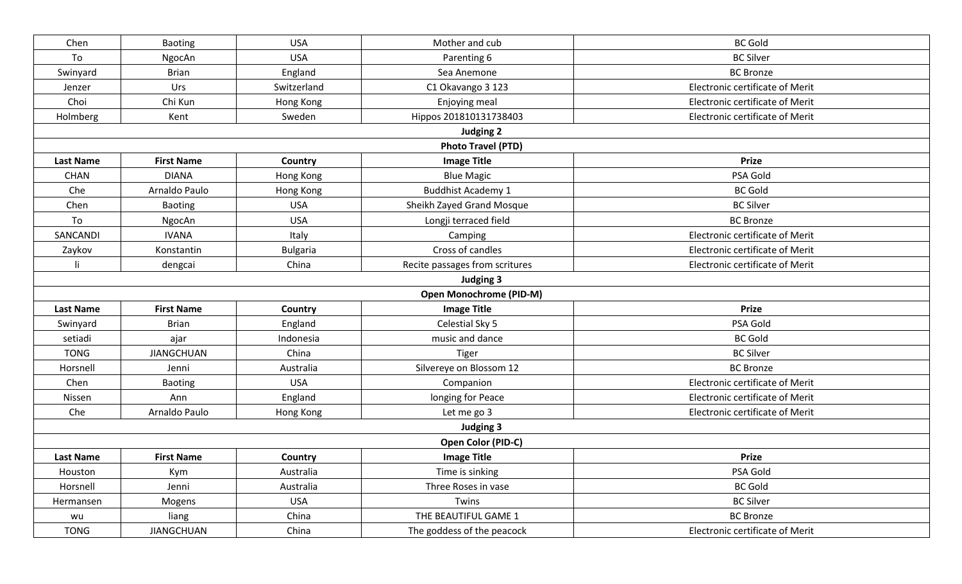| Chen             | Baoting           | <b>USA</b>      | Mother and cub                 | <b>BC Gold</b>                  |
|------------------|-------------------|-----------------|--------------------------------|---------------------------------|
| To               | NgocAn            | <b>USA</b>      | Parenting 6                    | <b>BC Silver</b>                |
| Swinyard         | <b>Brian</b>      | England         | Sea Anemone                    | <b>BC Bronze</b>                |
| Jenzer           | Urs               | Switzerland     | C1 Okavango 3 123              | Electronic certificate of Merit |
| Choi             | Chi Kun           | Hong Kong       | Enjoying meal                  | Electronic certificate of Merit |
| Holmberg         | Kent              | Sweden          | Hippos 201810131738403         | Electronic certificate of Merit |
|                  |                   |                 | <b>Judging 2</b>               |                                 |
|                  |                   |                 | <b>Photo Travel (PTD)</b>      |                                 |
| <b>Last Name</b> | <b>First Name</b> | Country         | <b>Image Title</b>             | <b>Prize</b>                    |
| <b>CHAN</b>      | <b>DIANA</b>      | Hong Kong       | <b>Blue Magic</b>              | PSA Gold                        |
| Che              | Arnaldo Paulo     | Hong Kong       | <b>Buddhist Academy 1</b>      | <b>BC Gold</b>                  |
| Chen             | Baoting           | <b>USA</b>      | Sheikh Zayed Grand Mosque      | <b>BC Silver</b>                |
| To               | NgocAn            | <b>USA</b>      | Longji terraced field          | <b>BC Bronze</b>                |
| SANCANDI         | <b>IVANA</b>      | Italy           | Camping                        | Electronic certificate of Merit |
| Zaykov           | Konstantin        | <b>Bulgaria</b> | Cross of candles               | Electronic certificate of Merit |
| li.              | dengcai           | China           | Recite passages from scritures | Electronic certificate of Merit |
|                  |                   |                 | Judging 3                      |                                 |
|                  |                   |                 | <b>Open Monochrome (PID-M)</b> |                                 |
| <b>Last Name</b> | <b>First Name</b> | Country         | <b>Image Title</b>             | <b>Prize</b>                    |
| Swinyard         | <b>Brian</b>      | England         | Celestial Sky 5                | PSA Gold                        |
| setiadi          | ajar              | Indonesia       | music and dance                | <b>BC Gold</b>                  |
| <b>TONG</b>      | <b>JIANGCHUAN</b> | China           | Tiger                          | <b>BC Silver</b>                |
| Horsnell         | Jenni             | Australia       | Silvereye on Blossom 12        | <b>BC Bronze</b>                |
| Chen             | Baoting           | <b>USA</b>      | Companion                      | Electronic certificate of Merit |
| Nissen           | Ann               | England         | longing for Peace              | Electronic certificate of Merit |
| Che              | Arnaldo Paulo     | Hong Kong       | Let me go 3                    | Electronic certificate of Merit |
|                  |                   |                 | Judging 3                      |                                 |
|                  |                   |                 | Open Color (PID-C)             |                                 |
| <b>Last Name</b> | <b>First Name</b> | Country         | <b>Image Title</b>             | <b>Prize</b>                    |
| Houston          | Kym               | Australia       | Time is sinking                | PSA Gold                        |
| Horsnell         | Jenni             | Australia       | Three Roses in vase            | <b>BC Gold</b>                  |
| Hermansen        | Mogens            | <b>USA</b>      | Twins                          | <b>BC Silver</b>                |
| wu               | liang             | China           | THE BEAUTIFUL GAME 1           | <b>BC Bronze</b>                |
| <b>TONG</b>      | <b>JIANGCHUAN</b> | China           | The goddess of the peacock     | Electronic certificate of Merit |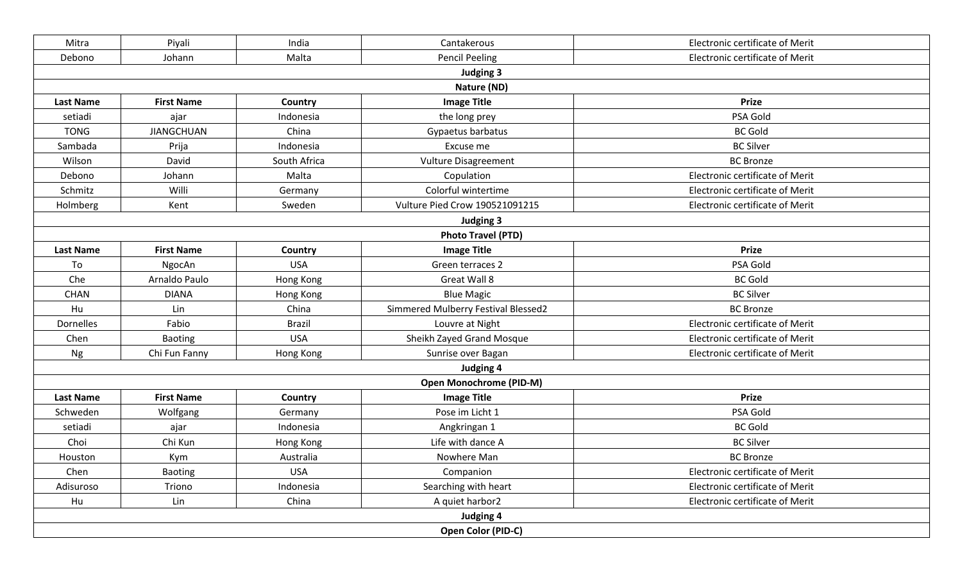| Mitra  | Piyali                                                                                                                                                                                                                                                                                                                                                                                                                                                                                                                                                                                                                                                                                                                                                                                                                                                                                                                                                                                                                                                                                                                                                                                                                                                                                                                                                                                                                                                                                                                                                                                                                                                                                                                                                                                                                                                                                                                                                                                                                                                         | India | Cantakerous           | Electronic certificate of Merit |  |  |  |  |
|--------|----------------------------------------------------------------------------------------------------------------------------------------------------------------------------------------------------------------------------------------------------------------------------------------------------------------------------------------------------------------------------------------------------------------------------------------------------------------------------------------------------------------------------------------------------------------------------------------------------------------------------------------------------------------------------------------------------------------------------------------------------------------------------------------------------------------------------------------------------------------------------------------------------------------------------------------------------------------------------------------------------------------------------------------------------------------------------------------------------------------------------------------------------------------------------------------------------------------------------------------------------------------------------------------------------------------------------------------------------------------------------------------------------------------------------------------------------------------------------------------------------------------------------------------------------------------------------------------------------------------------------------------------------------------------------------------------------------------------------------------------------------------------------------------------------------------------------------------------------------------------------------------------------------------------------------------------------------------------------------------------------------------------------------------------------------------|-------|-----------------------|---------------------------------|--|--|--|--|
| Debono | Johann                                                                                                                                                                                                                                                                                                                                                                                                                                                                                                                                                                                                                                                                                                                                                                                                                                                                                                                                                                                                                                                                                                                                                                                                                                                                                                                                                                                                                                                                                                                                                                                                                                                                                                                                                                                                                                                                                                                                                                                                                                                         | Malta | <b>Pencil Peeling</b> | Electronic certificate of Merit |  |  |  |  |
|        | <b>Judging 3</b><br>Nature (ND)<br><b>First Name</b><br>Country<br><b>Image Title</b><br><b>Prize</b><br><b>Last Name</b><br>Indonesia<br>the long prey<br>PSA Gold<br>setiadi<br>ajar<br><b>JIANGCHUAN</b><br>Gypaetus barbatus<br><b>BC Gold</b><br><b>TONG</b><br>China<br><b>BC Silver</b><br>Sambada<br>Indonesia<br>Excuse me<br>Prija<br>South Africa<br>Vulture Disagreement<br><b>BC Bronze</b><br>Wilson<br>David<br>Johann<br>Malta<br>Electronic certificate of Merit<br>Copulation<br>Debono<br>Colorful wintertime<br>Electronic certificate of Merit<br>Willi<br>Schmitz<br>Germany<br>Sweden<br>Vulture Pied Crow 190521091215<br>Electronic certificate of Merit<br>Holmberg<br>Kent<br>Judging 3<br><b>Photo Travel (PTD)</b><br><b>Image Title</b><br><b>Prize</b><br><b>Last Name</b><br><b>First Name</b><br>Country<br><b>USA</b><br>Green terraces 2<br>PSA Gold<br>To<br>NgocAn<br>Che<br>Arnaldo Paulo<br>Great Wall 8<br><b>BC Gold</b><br>Hong Kong<br><b>BC Silver</b><br><b>CHAN</b><br><b>DIANA</b><br>Hong Kong<br><b>Blue Magic</b><br>Simmered Mulberry Festival Blessed2<br><b>BC Bronze</b><br>Hu<br>China<br>Lin<br>Dornelles<br>Electronic certificate of Merit<br>Fabio<br><b>Brazil</b><br>Louvre at Night<br><b>USA</b><br>Sheikh Zayed Grand Mosque<br>Electronic certificate of Merit<br>Chen<br><b>Baoting</b><br>Electronic certificate of Merit<br>Chi Fun Fanny<br>Hong Kong<br>Sunrise over Bagan<br>Ng<br>Judging 4<br><b>Open Monochrome (PID-M)</b><br><b>Image Title</b><br><b>First Name</b><br><b>Prize</b><br><b>Last Name</b><br>Country<br>PSA Gold<br>Schweden<br>Pose im Licht 1<br>Wolfgang<br>Germany<br><b>BC Gold</b><br>setiadi<br>Indonesia<br>Angkringan 1<br>ajar<br>Life with dance A<br>Choi<br>Chi Kun<br>Hong Kong<br><b>BC Silver</b><br>Australia<br>Nowhere Man<br><b>BC</b> Bronze<br>Houston<br>Kym<br>Chen<br>Baoting<br><b>USA</b><br>Companion<br>Electronic certificate of Merit<br>Triono<br>Indonesia<br>Searching with heart<br>Electronic certificate of Merit<br>Adisuroso |       |                       |                                 |  |  |  |  |
|        |                                                                                                                                                                                                                                                                                                                                                                                                                                                                                                                                                                                                                                                                                                                                                                                                                                                                                                                                                                                                                                                                                                                                                                                                                                                                                                                                                                                                                                                                                                                                                                                                                                                                                                                                                                                                                                                                                                                                                                                                                                                                |       |                       |                                 |  |  |  |  |
|        |                                                                                                                                                                                                                                                                                                                                                                                                                                                                                                                                                                                                                                                                                                                                                                                                                                                                                                                                                                                                                                                                                                                                                                                                                                                                                                                                                                                                                                                                                                                                                                                                                                                                                                                                                                                                                                                                                                                                                                                                                                                                |       |                       |                                 |  |  |  |  |
|        |                                                                                                                                                                                                                                                                                                                                                                                                                                                                                                                                                                                                                                                                                                                                                                                                                                                                                                                                                                                                                                                                                                                                                                                                                                                                                                                                                                                                                                                                                                                                                                                                                                                                                                                                                                                                                                                                                                                                                                                                                                                                |       |                       |                                 |  |  |  |  |
|        |                                                                                                                                                                                                                                                                                                                                                                                                                                                                                                                                                                                                                                                                                                                                                                                                                                                                                                                                                                                                                                                                                                                                                                                                                                                                                                                                                                                                                                                                                                                                                                                                                                                                                                                                                                                                                                                                                                                                                                                                                                                                |       |                       |                                 |  |  |  |  |
|        |                                                                                                                                                                                                                                                                                                                                                                                                                                                                                                                                                                                                                                                                                                                                                                                                                                                                                                                                                                                                                                                                                                                                                                                                                                                                                                                                                                                                                                                                                                                                                                                                                                                                                                                                                                                                                                                                                                                                                                                                                                                                |       |                       |                                 |  |  |  |  |
|        |                                                                                                                                                                                                                                                                                                                                                                                                                                                                                                                                                                                                                                                                                                                                                                                                                                                                                                                                                                                                                                                                                                                                                                                                                                                                                                                                                                                                                                                                                                                                                                                                                                                                                                                                                                                                                                                                                                                                                                                                                                                                |       |                       |                                 |  |  |  |  |
|        |                                                                                                                                                                                                                                                                                                                                                                                                                                                                                                                                                                                                                                                                                                                                                                                                                                                                                                                                                                                                                                                                                                                                                                                                                                                                                                                                                                                                                                                                                                                                                                                                                                                                                                                                                                                                                                                                                                                                                                                                                                                                |       |                       |                                 |  |  |  |  |
|        |                                                                                                                                                                                                                                                                                                                                                                                                                                                                                                                                                                                                                                                                                                                                                                                                                                                                                                                                                                                                                                                                                                                                                                                                                                                                                                                                                                                                                                                                                                                                                                                                                                                                                                                                                                                                                                                                                                                                                                                                                                                                |       |                       |                                 |  |  |  |  |
|        |                                                                                                                                                                                                                                                                                                                                                                                                                                                                                                                                                                                                                                                                                                                                                                                                                                                                                                                                                                                                                                                                                                                                                                                                                                                                                                                                                                                                                                                                                                                                                                                                                                                                                                                                                                                                                                                                                                                                                                                                                                                                |       |                       |                                 |  |  |  |  |
|        |                                                                                                                                                                                                                                                                                                                                                                                                                                                                                                                                                                                                                                                                                                                                                                                                                                                                                                                                                                                                                                                                                                                                                                                                                                                                                                                                                                                                                                                                                                                                                                                                                                                                                                                                                                                                                                                                                                                                                                                                                                                                |       |                       |                                 |  |  |  |  |
|        |                                                                                                                                                                                                                                                                                                                                                                                                                                                                                                                                                                                                                                                                                                                                                                                                                                                                                                                                                                                                                                                                                                                                                                                                                                                                                                                                                                                                                                                                                                                                                                                                                                                                                                                                                                                                                                                                                                                                                                                                                                                                |       |                       |                                 |  |  |  |  |
|        |                                                                                                                                                                                                                                                                                                                                                                                                                                                                                                                                                                                                                                                                                                                                                                                                                                                                                                                                                                                                                                                                                                                                                                                                                                                                                                                                                                                                                                                                                                                                                                                                                                                                                                                                                                                                                                                                                                                                                                                                                                                                |       |                       |                                 |  |  |  |  |
|        |                                                                                                                                                                                                                                                                                                                                                                                                                                                                                                                                                                                                                                                                                                                                                                                                                                                                                                                                                                                                                                                                                                                                                                                                                                                                                                                                                                                                                                                                                                                                                                                                                                                                                                                                                                                                                                                                                                                                                                                                                                                                |       |                       |                                 |  |  |  |  |
|        |                                                                                                                                                                                                                                                                                                                                                                                                                                                                                                                                                                                                                                                                                                                                                                                                                                                                                                                                                                                                                                                                                                                                                                                                                                                                                                                                                                                                                                                                                                                                                                                                                                                                                                                                                                                                                                                                                                                                                                                                                                                                |       |                       |                                 |  |  |  |  |
|        |                                                                                                                                                                                                                                                                                                                                                                                                                                                                                                                                                                                                                                                                                                                                                                                                                                                                                                                                                                                                                                                                                                                                                                                                                                                                                                                                                                                                                                                                                                                                                                                                                                                                                                                                                                                                                                                                                                                                                                                                                                                                |       |                       |                                 |  |  |  |  |
|        |                                                                                                                                                                                                                                                                                                                                                                                                                                                                                                                                                                                                                                                                                                                                                                                                                                                                                                                                                                                                                                                                                                                                                                                                                                                                                                                                                                                                                                                                                                                                                                                                                                                                                                                                                                                                                                                                                                                                                                                                                                                                |       |                       |                                 |  |  |  |  |
|        |                                                                                                                                                                                                                                                                                                                                                                                                                                                                                                                                                                                                                                                                                                                                                                                                                                                                                                                                                                                                                                                                                                                                                                                                                                                                                                                                                                                                                                                                                                                                                                                                                                                                                                                                                                                                                                                                                                                                                                                                                                                                |       |                       |                                 |  |  |  |  |
|        |                                                                                                                                                                                                                                                                                                                                                                                                                                                                                                                                                                                                                                                                                                                                                                                                                                                                                                                                                                                                                                                                                                                                                                                                                                                                                                                                                                                                                                                                                                                                                                                                                                                                                                                                                                                                                                                                                                                                                                                                                                                                |       |                       |                                 |  |  |  |  |
|        |                                                                                                                                                                                                                                                                                                                                                                                                                                                                                                                                                                                                                                                                                                                                                                                                                                                                                                                                                                                                                                                                                                                                                                                                                                                                                                                                                                                                                                                                                                                                                                                                                                                                                                                                                                                                                                                                                                                                                                                                                                                                |       |                       |                                 |  |  |  |  |
|        |                                                                                                                                                                                                                                                                                                                                                                                                                                                                                                                                                                                                                                                                                                                                                                                                                                                                                                                                                                                                                                                                                                                                                                                                                                                                                                                                                                                                                                                                                                                                                                                                                                                                                                                                                                                                                                                                                                                                                                                                                                                                |       |                       |                                 |  |  |  |  |
|        |                                                                                                                                                                                                                                                                                                                                                                                                                                                                                                                                                                                                                                                                                                                                                                                                                                                                                                                                                                                                                                                                                                                                                                                                                                                                                                                                                                                                                                                                                                                                                                                                                                                                                                                                                                                                                                                                                                                                                                                                                                                                |       |                       |                                 |  |  |  |  |
|        |                                                                                                                                                                                                                                                                                                                                                                                                                                                                                                                                                                                                                                                                                                                                                                                                                                                                                                                                                                                                                                                                                                                                                                                                                                                                                                                                                                                                                                                                                                                                                                                                                                                                                                                                                                                                                                                                                                                                                                                                                                                                |       |                       |                                 |  |  |  |  |
|        |                                                                                                                                                                                                                                                                                                                                                                                                                                                                                                                                                                                                                                                                                                                                                                                                                                                                                                                                                                                                                                                                                                                                                                                                                                                                                                                                                                                                                                                                                                                                                                                                                                                                                                                                                                                                                                                                                                                                                                                                                                                                |       |                       |                                 |  |  |  |  |
|        |                                                                                                                                                                                                                                                                                                                                                                                                                                                                                                                                                                                                                                                                                                                                                                                                                                                                                                                                                                                                                                                                                                                                                                                                                                                                                                                                                                                                                                                                                                                                                                                                                                                                                                                                                                                                                                                                                                                                                                                                                                                                |       |                       |                                 |  |  |  |  |
|        |                                                                                                                                                                                                                                                                                                                                                                                                                                                                                                                                                                                                                                                                                                                                                                                                                                                                                                                                                                                                                                                                                                                                                                                                                                                                                                                                                                                                                                                                                                                                                                                                                                                                                                                                                                                                                                                                                                                                                                                                                                                                |       |                       |                                 |  |  |  |  |
|        |                                                                                                                                                                                                                                                                                                                                                                                                                                                                                                                                                                                                                                                                                                                                                                                                                                                                                                                                                                                                                                                                                                                                                                                                                                                                                                                                                                                                                                                                                                                                                                                                                                                                                                                                                                                                                                                                                                                                                                                                                                                                |       |                       |                                 |  |  |  |  |
|        |                                                                                                                                                                                                                                                                                                                                                                                                                                                                                                                                                                                                                                                                                                                                                                                                                                                                                                                                                                                                                                                                                                                                                                                                                                                                                                                                                                                                                                                                                                                                                                                                                                                                                                                                                                                                                                                                                                                                                                                                                                                                |       |                       |                                 |  |  |  |  |
|        |                                                                                                                                                                                                                                                                                                                                                                                                                                                                                                                                                                                                                                                                                                                                                                                                                                                                                                                                                                                                                                                                                                                                                                                                                                                                                                                                                                                                                                                                                                                                                                                                                                                                                                                                                                                                                                                                                                                                                                                                                                                                |       |                       |                                 |  |  |  |  |
| Hu     | Lin                                                                                                                                                                                                                                                                                                                                                                                                                                                                                                                                                                                                                                                                                                                                                                                                                                                                                                                                                                                                                                                                                                                                                                                                                                                                                                                                                                                                                                                                                                                                                                                                                                                                                                                                                                                                                                                                                                                                                                                                                                                            | China | A quiet harbor2       | Electronic certificate of Merit |  |  |  |  |
|        |                                                                                                                                                                                                                                                                                                                                                                                                                                                                                                                                                                                                                                                                                                                                                                                                                                                                                                                                                                                                                                                                                                                                                                                                                                                                                                                                                                                                                                                                                                                                                                                                                                                                                                                                                                                                                                                                                                                                                                                                                                                                |       | Judging 4             |                                 |  |  |  |  |
|        |                                                                                                                                                                                                                                                                                                                                                                                                                                                                                                                                                                                                                                                                                                                                                                                                                                                                                                                                                                                                                                                                                                                                                                                                                                                                                                                                                                                                                                                                                                                                                                                                                                                                                                                                                                                                                                                                                                                                                                                                                                                                |       | Open Color (PID-C)    |                                 |  |  |  |  |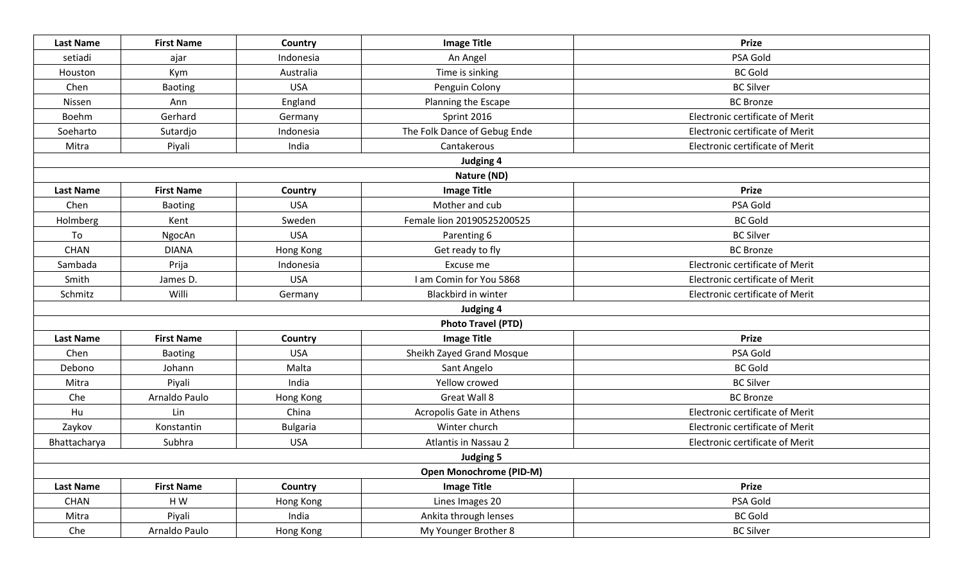| <b>Last Name</b> | <b>First Name</b> | Country         | <b>Image Title</b>             | <b>Prize</b>                    |
|------------------|-------------------|-----------------|--------------------------------|---------------------------------|
| setiadi          | ajar              | Indonesia       | An Angel                       | PSA Gold                        |
| Houston          | Kym               | Australia       | Time is sinking                | <b>BC Gold</b>                  |
| Chen             | Baoting           | <b>USA</b>      | Penguin Colony                 | <b>BC Silver</b>                |
| Nissen           | Ann               | England         | Planning the Escape            | <b>BC</b> Bronze                |
| Boehm            | Gerhard           | Germany         | Sprint 2016                    | Electronic certificate of Merit |
| Soeharto         | Sutardjo          | Indonesia       | The Folk Dance of Gebug Ende   | Electronic certificate of Merit |
| Mitra            | Piyali            | India           | Cantakerous                    | Electronic certificate of Merit |
|                  |                   |                 | <b>Judging 4</b>               |                                 |
|                  |                   |                 | Nature (ND)                    |                                 |
| <b>Last Name</b> | <b>First Name</b> | Country         | <b>Image Title</b>             | <b>Prize</b>                    |
| Chen             | Baoting           | <b>USA</b>      | Mother and cub                 | PSA Gold                        |
| Holmberg         | Kent              | Sweden          | Female lion 20190525200525     | <b>BC</b> Gold                  |
| To               | NgocAn            | <b>USA</b>      | Parenting 6                    | <b>BC Silver</b>                |
| <b>CHAN</b>      | <b>DIANA</b>      | Hong Kong       | Get ready to fly               | <b>BC Bronze</b>                |
| Sambada          | Prija             | Indonesia       | Excuse me                      | Electronic certificate of Merit |
| Smith            | James D.          | <b>USA</b>      | I am Comin for You 5868        | Electronic certificate of Merit |
| Schmitz          | Willi             | Germany         | Blackbird in winter            | Electronic certificate of Merit |
|                  |                   |                 | Judging 4                      |                                 |
|                  |                   |                 | <b>Photo Travel (PTD)</b>      |                                 |
| <b>Last Name</b> | <b>First Name</b> | Country         | <b>Image Title</b>             | <b>Prize</b>                    |
| Chen             | Baoting           | <b>USA</b>      | Sheikh Zayed Grand Mosque      | PSA Gold                        |
| Debono           | Johann            | Malta           | Sant Angelo                    | <b>BC</b> Gold                  |
| Mitra            | Piyali            | India           | Yellow crowed                  | <b>BC Silver</b>                |
| Che              | Arnaldo Paulo     | Hong Kong       | Great Wall 8                   | <b>BC</b> Bronze                |
| Hu               | Lin               | China           | Acropolis Gate in Athens       | Electronic certificate of Merit |
| Zaykov           | Konstantin        | <b>Bulgaria</b> | Winter church                  | Electronic certificate of Merit |
| Bhattacharya     | Subhra            | <b>USA</b>      | <b>Atlantis in Nassau 2</b>    | Electronic certificate of Merit |
|                  |                   |                 | <b>Judging 5</b>               |                                 |
|                  |                   |                 | <b>Open Monochrome (PID-M)</b> |                                 |
| <b>Last Name</b> | <b>First Name</b> | Country         | <b>Image Title</b>             | <b>Prize</b>                    |
| CHAN             | HW                | Hong Kong       | Lines Images 20                | PSA Gold                        |
| Mitra            | Piyali            | India           | Ankita through lenses          | <b>BC Gold</b>                  |
| Che              | Arnaldo Paulo     | Hong Kong       | My Younger Brother 8           | <b>BC Silver</b>                |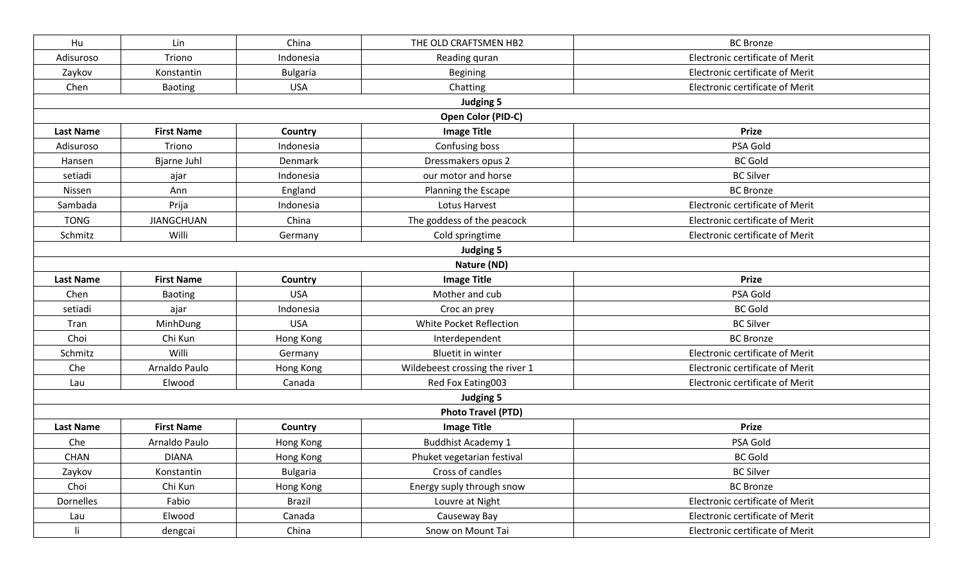| Hu               | Lin               | China           | THE OLD CRAFTSMEN HB2           | <b>BC</b> Bronze                |
|------------------|-------------------|-----------------|---------------------------------|---------------------------------|
| Adisuroso        | Triono            | Indonesia       | Reading quran                   | Electronic certificate of Merit |
| Zaykov           | Konstantin        | <b>Bulgaria</b> | <b>Begining</b>                 | Electronic certificate of Merit |
| Chen             | Baoting           | <b>USA</b>      | Chatting                        | Electronic certificate of Merit |
|                  |                   |                 | <b>Judging 5</b>                |                                 |
|                  |                   |                 | Open Color (PID-C)              |                                 |
| <b>Last Name</b> | <b>First Name</b> | Country         | <b>Image Title</b>              | <b>Prize</b>                    |
| Adisuroso        | Triono            | Indonesia       | Confusing boss                  | PSA Gold                        |
| Hansen           | Bjarne Juhl       | Denmark         | Dressmakers opus 2              | <b>BC</b> Gold                  |
| setiadi          | ajar              | Indonesia       | our motor and horse             | <b>BC Silver</b>                |
| Nissen           | Ann               | England         | Planning the Escape             | <b>BC Bronze</b>                |
| Sambada          | Prija             | Indonesia       | Lotus Harvest                   | Electronic certificate of Merit |
| <b>TONG</b>      | <b>JIANGCHUAN</b> | China           | The goddess of the peacock      | Electronic certificate of Merit |
| Schmitz          | Willi             | Germany         | Cold springtime                 | Electronic certificate of Merit |
|                  |                   |                 | <b>Judging 5</b>                |                                 |
|                  |                   |                 | Nature (ND)                     |                                 |
| <b>Last Name</b> | <b>First Name</b> | Country         | <b>Image Title</b>              | <b>Prize</b>                    |
| Chen             | Baoting           | <b>USA</b>      | Mother and cub                  | PSA Gold                        |
| setiadi          | ajar              | Indonesia       | Croc an prey                    | <b>BC Gold</b>                  |
| Tran             | MinhDung          | <b>USA</b>      | White Pocket Reflection         | <b>BC Silver</b>                |
| Choi             | Chi Kun           | Hong Kong       | Interdependent                  | <b>BC Bronze</b>                |
| Schmitz          | Willi             | Germany         | <b>Bluetit in winter</b>        | Electronic certificate of Merit |
| Che              | Arnaldo Paulo     | Hong Kong       | Wildebeest crossing the river 1 | Electronic certificate of Merit |
| Lau              | Elwood            | Canada          | Red Fox Eating003               | Electronic certificate of Merit |
|                  |                   |                 | <b>Judging 5</b>                |                                 |
|                  |                   |                 | <b>Photo Travel (PTD)</b>       |                                 |
| <b>Last Name</b> | <b>First Name</b> | Country         | <b>Image Title</b>              | <b>Prize</b>                    |
| Che              | Arnaldo Paulo     | Hong Kong       | <b>Buddhist Academy 1</b>       | PSA Gold                        |
| <b>CHAN</b>      | <b>DIANA</b>      | Hong Kong       | Phuket vegetarian festival      | <b>BC Gold</b>                  |
| Zaykov           | Konstantin        | <b>Bulgaria</b> | Cross of candles                | <b>BC Silver</b>                |
| Choi             | Chi Kun           | Hong Kong       | Energy suply through snow       | <b>BC</b> Bronze                |
| Dornelles        | Fabio             | <b>Brazil</b>   | Louvre at Night                 | Electronic certificate of Merit |
| Lau              | Elwood            | Canada          | Causeway Bay                    | Electronic certificate of Merit |
| $\mathbf{I}$     | dengcai           | China           | Snow on Mount Tai               | Electronic certificate of Merit |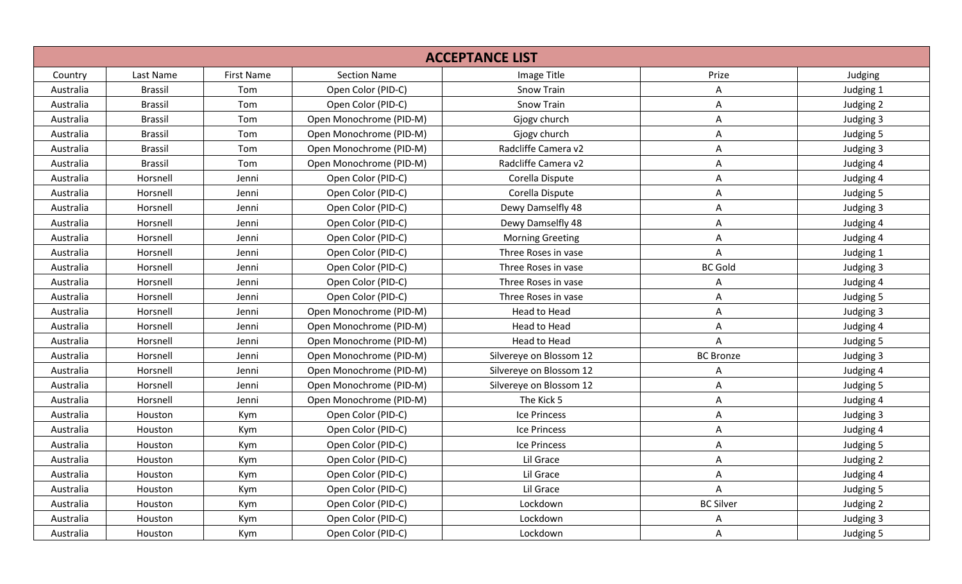|           |                |                   |                         | <b>ACCEPTANCE LIST</b>  |                  |           |
|-----------|----------------|-------------------|-------------------------|-------------------------|------------------|-----------|
| Country   | Last Name      | <b>First Name</b> | <b>Section Name</b>     | Image Title             | Prize            | Judging   |
| Australia | <b>Brassil</b> | Tom               | Open Color (PID-C)      | <b>Snow Train</b>       | A                | Judging 1 |
| Australia | <b>Brassil</b> | Tom               | Open Color (PID-C)      | <b>Snow Train</b>       | A                | Judging 2 |
| Australia | <b>Brassil</b> | Tom               | Open Monochrome (PID-M) | Gjogv church            | A                | Judging 3 |
| Australia | <b>Brassil</b> | Tom               | Open Monochrome (PID-M) | Gjogv church            | A                | Judging 5 |
| Australia | <b>Brassil</b> | Tom               | Open Monochrome (PID-M) | Radcliffe Camera v2     | Α                | Judging 3 |
| Australia | <b>Brassil</b> | Tom               | Open Monochrome (PID-M) | Radcliffe Camera v2     | A                | Judging 4 |
| Australia | Horsnell       | Jenni             | Open Color (PID-C)      | Corella Dispute         | А                | Judging 4 |
| Australia | Horsnell       | Jenni             | Open Color (PID-C)      | Corella Dispute         | A                | Judging 5 |
| Australia | Horsnell       | Jenni             | Open Color (PID-C)      | Dewy Damselfly 48       | A                | Judging 3 |
| Australia | Horsnell       | Jenni             | Open Color (PID-C)      | Dewy Damselfly 48       | A                | Judging 4 |
| Australia | Horsnell       | Jenni             | Open Color (PID-C)      | <b>Morning Greeting</b> | A                | Judging 4 |
| Australia | Horsnell       | Jenni             | Open Color (PID-C)      | Three Roses in vase     | A                | Judging 1 |
| Australia | Horsnell       | Jenni             | Open Color (PID-C)      | Three Roses in vase     | <b>BC Gold</b>   | Judging 3 |
| Australia | Horsnell       | Jenni             | Open Color (PID-C)      | Three Roses in vase     | A                | Judging 4 |
| Australia | Horsnell       | Jenni             | Open Color (PID-C)      | Three Roses in vase     | A                | Judging 5 |
| Australia | Horsnell       | Jenni             | Open Monochrome (PID-M) | Head to Head            | A                | Judging 3 |
| Australia | Horsnell       | Jenni             | Open Monochrome (PID-M) | Head to Head            | A                | Judging 4 |
| Australia | Horsnell       | Jenni             | Open Monochrome (PID-M) | <b>Head to Head</b>     | A                | Judging 5 |
| Australia | Horsnell       | Jenni             | Open Monochrome (PID-M) | Silvereye on Blossom 12 | <b>BC</b> Bronze | Judging 3 |
| Australia | Horsnell       | Jenni             | Open Monochrome (PID-M) | Silvereye on Blossom 12 | A                | Judging 4 |
| Australia | Horsnell       | Jenni             | Open Monochrome (PID-M) | Silvereye on Blossom 12 | A                | Judging 5 |
| Australia | Horsnell       | Jenni             | Open Monochrome (PID-M) | The Kick 5              | A                | Judging 4 |
| Australia | Houston        | Kym               | Open Color (PID-C)      | Ice Princess            | A                | Judging 3 |
| Australia | Houston        | Kym               | Open Color (PID-C)      | Ice Princess            | Α                | Judging 4 |
| Australia | Houston        | Kym               | Open Color (PID-C)      | Ice Princess            | Α                | Judging 5 |
| Australia | Houston        | Kym               | Open Color (PID-C)      | Lil Grace               | A                | Judging 2 |
| Australia | Houston        | Kym               | Open Color (PID-C)      | Lil Grace               | А                | Judging 4 |
| Australia | Houston        | Kym               | Open Color (PID-C)      | Lil Grace               | А                | Judging 5 |
| Australia | Houston        | Kym               | Open Color (PID-C)      | Lockdown                | <b>BC Silver</b> | Judging 2 |
| Australia | Houston        | Kym               | Open Color (PID-C)      | Lockdown                | A                | Judging 3 |
| Australia | Houston        | Kym               | Open Color (PID-C)      | Lockdown                | A                | Judging 5 |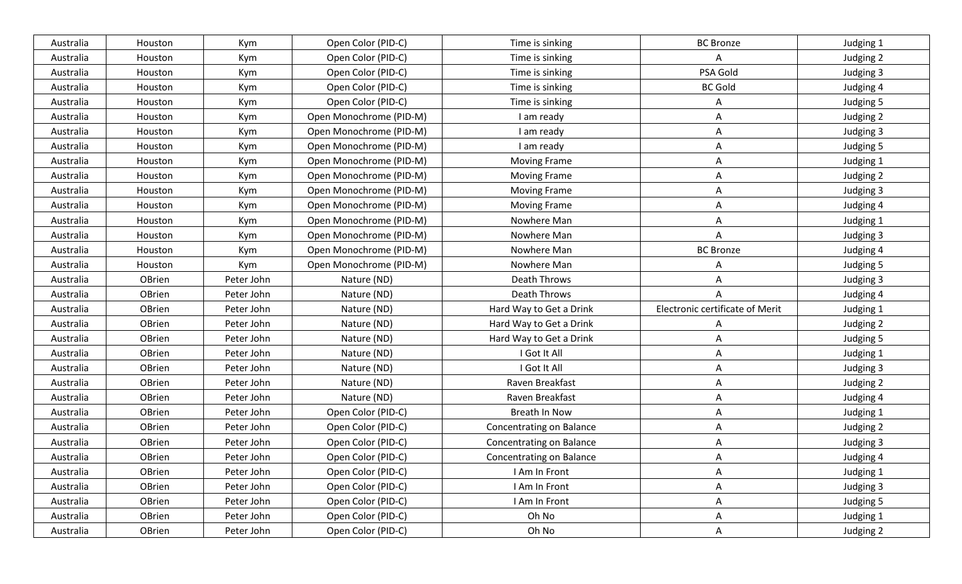| Australia | Houston | Kym        | Open Color (PID-C)      | Time is sinking                 | <b>BC Bronze</b>                | Judging 1 |
|-----------|---------|------------|-------------------------|---------------------------------|---------------------------------|-----------|
| Australia | Houston | Kym        | Open Color (PID-C)      | Time is sinking                 | A                               | Judging 2 |
| Australia | Houston | Kym        | Open Color (PID-C)      | Time is sinking                 | PSA Gold                        | Judging 3 |
| Australia | Houston | Kym        | Open Color (PID-C)      | Time is sinking                 | <b>BC Gold</b>                  | Judging 4 |
| Australia | Houston | Kym        | Open Color (PID-C)      | Time is sinking                 | A                               | Judging 5 |
| Australia | Houston | Kym        | Open Monochrome (PID-M) | I am ready                      | Α                               | Judging 2 |
| Australia | Houston | Kym        | Open Monochrome (PID-M) | I am ready                      | A                               | Judging 3 |
| Australia | Houston | Kym        | Open Monochrome (PID-M) | I am ready                      | A                               | Judging 5 |
| Australia | Houston | Kym        | Open Monochrome (PID-M) | <b>Moving Frame</b>             | A                               | Judging 1 |
| Australia | Houston | Kym        | Open Monochrome (PID-M) | <b>Moving Frame</b>             | A                               | Judging 2 |
| Australia | Houston | Kym        | Open Monochrome (PID-M) | <b>Moving Frame</b>             | A                               | Judging 3 |
| Australia | Houston | Kym        | Open Monochrome (PID-M) | <b>Moving Frame</b>             | Α                               | Judging 4 |
| Australia | Houston | Kym        | Open Monochrome (PID-M) | Nowhere Man                     | Α                               | Judging 1 |
| Australia | Houston | Kym        | Open Monochrome (PID-M) | Nowhere Man                     | A                               | Judging 3 |
| Australia | Houston | Kym        | Open Monochrome (PID-M) | Nowhere Man                     | <b>BC</b> Bronze                | Judging 4 |
| Australia | Houston | Kym        | Open Monochrome (PID-M) | Nowhere Man                     | A                               | Judging 5 |
| Australia | OBrien  | Peter John | Nature (ND)             | Death Throws                    | Α                               | Judging 3 |
| Australia | OBrien  | Peter John | Nature (ND)             | Death Throws                    | A                               | Judging 4 |
| Australia | OBrien  | Peter John | Nature (ND)             | Hard Way to Get a Drink         | Electronic certificate of Merit | Judging 1 |
| Australia | OBrien  | Peter John | Nature (ND)             | Hard Way to Get a Drink         | A                               | Judging 2 |
| Australia | OBrien  | Peter John | Nature (ND)             | Hard Way to Get a Drink         | A                               | Judging 5 |
| Australia | OBrien  | Peter John | Nature (ND)             | I Got It All                    | Α                               | Judging 1 |
| Australia | OBrien  | Peter John | Nature (ND)             | I Got It All                    | A                               | Judging 3 |
| Australia | OBrien  | Peter John | Nature (ND)             | Raven Breakfast                 | A                               | Judging 2 |
| Australia | OBrien  | Peter John | Nature (ND)             | Raven Breakfast                 | A                               | Judging 4 |
| Australia | OBrien  | Peter John | Open Color (PID-C)      | Breath In Now                   | A                               | Judging 1 |
| Australia | OBrien  | Peter John | Open Color (PID-C)      | Concentrating on Balance        | Α                               | Judging 2 |
| Australia | OBrien  | Peter John | Open Color (PID-C)      | <b>Concentrating on Balance</b> | A                               | Judging 3 |
| Australia | OBrien  | Peter John | Open Color (PID-C)      | <b>Concentrating on Balance</b> | A                               | Judging 4 |
| Australia | OBrien  | Peter John | Open Color (PID-C)      | I Am In Front                   | A                               | Judging 1 |
| Australia | OBrien  | Peter John | Open Color (PID-C)      | I Am In Front                   | A                               | Judging 3 |
| Australia | OBrien  | Peter John | Open Color (PID-C)      | I Am In Front                   | A                               | Judging 5 |
| Australia | OBrien  | Peter John | Open Color (PID-C)      | Oh No                           | A                               | Judging 1 |
| Australia | OBrien  | Peter John | Open Color (PID-C)      | Oh No                           | $\mathsf{A}$                    | Judging 2 |
|           |         |            |                         |                                 |                                 |           |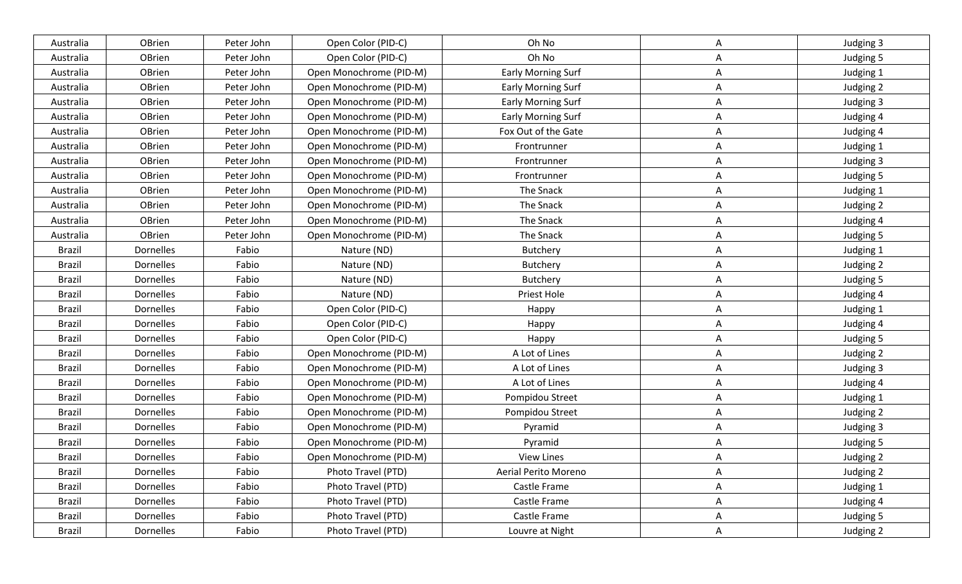| Australia     | OBrien           | Peter John | Open Color (PID-C)      | Oh No                     | A            | Judging 3 |
|---------------|------------------|------------|-------------------------|---------------------------|--------------|-----------|
| Australia     | OBrien           | Peter John | Open Color (PID-C)      | Oh No                     | A            | Judging 5 |
| Australia     | OBrien           | Peter John | Open Monochrome (PID-M) | <b>Early Morning Surf</b> | Α            | Judging 1 |
| Australia     | OBrien           | Peter John | Open Monochrome (PID-M) | Early Morning Surf        | A            | Judging 2 |
| Australia     | OBrien           | Peter John | Open Monochrome (PID-M) | Early Morning Surf        | Α            | Judging 3 |
| Australia     | OBrien           | Peter John | Open Monochrome (PID-M) | <b>Early Morning Surf</b> | Α            | Judging 4 |
| Australia     | OBrien           | Peter John | Open Monochrome (PID-M) | Fox Out of the Gate       | A            | Judging 4 |
| Australia     | OBrien           | Peter John | Open Monochrome (PID-M) | Frontrunner               | Α            | Judging 1 |
| Australia     | OBrien           | Peter John | Open Monochrome (PID-M) | Frontrunner               | A            | Judging 3 |
| Australia     | OBrien           | Peter John | Open Monochrome (PID-M) | Frontrunner               | A            | Judging 5 |
| Australia     | OBrien           | Peter John | Open Monochrome (PID-M) | The Snack                 | A            | Judging 1 |
| Australia     | OBrien           | Peter John | Open Monochrome (PID-M) | The Snack                 | Α            | Judging 2 |
| Australia     | OBrien           | Peter John | Open Monochrome (PID-M) | The Snack                 | A            | Judging 4 |
| Australia     | OBrien           | Peter John | Open Monochrome (PID-M) | The Snack                 | A            | Judging 5 |
| Brazil        | Dornelles        | Fabio      | Nature (ND)             | Butchery                  | A            | Judging 1 |
| <b>Brazil</b> | Dornelles        | Fabio      | Nature (ND)             | Butchery                  | A            | Judging 2 |
| <b>Brazil</b> | Dornelles        | Fabio      | Nature (ND)             | Butchery                  | Α            | Judging 5 |
| <b>Brazil</b> | Dornelles        | Fabio      | Nature (ND)             | Priest Hole               | Α            | Judging 4 |
| <b>Brazil</b> | Dornelles        | Fabio      | Open Color (PID-C)      | Happy                     | A            | Judging 1 |
| <b>Brazil</b> | <b>Dornelles</b> | Fabio      | Open Color (PID-C)      | Happy                     | Α            | Judging 4 |
| <b>Brazil</b> | Dornelles        | Fabio      | Open Color (PID-C)      | Happy                     | A            | Judging 5 |
| <b>Brazil</b> | <b>Dornelles</b> | Fabio      | Open Monochrome (PID-M) | A Lot of Lines            | A            | Judging 2 |
| <b>Brazil</b> | Dornelles        | Fabio      | Open Monochrome (PID-M) | A Lot of Lines            | A            | Judging 3 |
| <b>Brazil</b> | Dornelles        | Fabio      | Open Monochrome (PID-M) | A Lot of Lines            | A            | Judging 4 |
| <b>Brazil</b> | Dornelles        | Fabio      | Open Monochrome (PID-M) | Pompidou Street           | A            | Judging 1 |
| Brazil        | <b>Dornelles</b> | Fabio      | Open Monochrome (PID-M) | Pompidou Street           | A            | Judging 2 |
| <b>Brazil</b> | Dornelles        | Fabio      | Open Monochrome (PID-M) | Pyramid                   | A            | Judging 3 |
| <b>Brazil</b> | Dornelles        | Fabio      | Open Monochrome (PID-M) | Pyramid                   | A            | Judging 5 |
| Brazil        | Dornelles        | Fabio      | Open Monochrome (PID-M) | <b>View Lines</b>         | Α            | Judging 2 |
| Brazil        | Dornelles        | Fabio      | Photo Travel (PTD)      | Aerial Perito Moreno      | A            | Judging 2 |
| Brazil        | Dornelles        | Fabio      | Photo Travel (PTD)      | Castle Frame              | A            | Judging 1 |
| Brazil        | <b>Dornelles</b> | Fabio      | Photo Travel (PTD)      | Castle Frame              | A            | Judging 4 |
| Brazil        | Dornelles        | Fabio      | Photo Travel (PTD)      | Castle Frame              | A            | Judging 5 |
| <b>Brazil</b> | Dornelles        | Fabio      | Photo Travel (PTD)      | Louvre at Night           | $\mathsf{A}$ | Judging 2 |
|               |                  |            |                         |                           |              |           |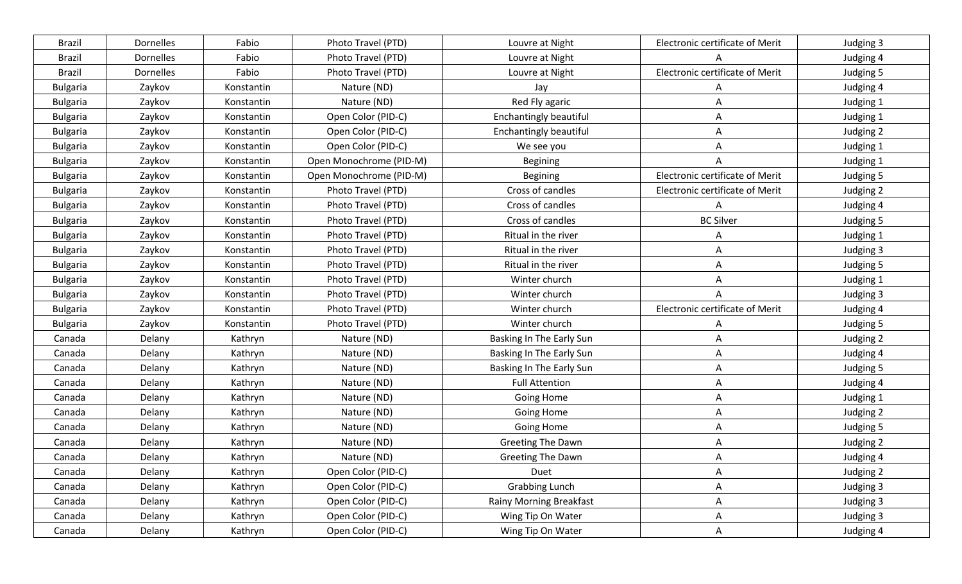| <b>Brazil</b>   | Dornelles | Fabio      | Photo Travel (PTD)      | Louvre at Night                | Electronic certificate of Merit | Judging 3 |
|-----------------|-----------|------------|-------------------------|--------------------------------|---------------------------------|-----------|
| <b>Brazil</b>   | Dornelles | Fabio      | Photo Travel (PTD)      | Louvre at Night                |                                 | Judging 4 |
| <b>Brazil</b>   | Dornelles | Fabio      | Photo Travel (PTD)      | Louvre at Night                | Electronic certificate of Merit | Judging 5 |
| <b>Bulgaria</b> | Zaykov    | Konstantin | Nature (ND)             | Jay                            | A                               | Judging 4 |
| <b>Bulgaria</b> | Zaykov    | Konstantin | Nature (ND)             | Red Fly agaric                 | A                               | Judging 1 |
| <b>Bulgaria</b> | Zaykov    | Konstantin | Open Color (PID-C)      | Enchantingly beautiful         | $\mathsf{A}$                    | Judging 1 |
| <b>Bulgaria</b> | Zaykov    | Konstantin | Open Color (PID-C)      | <b>Enchantingly beautiful</b>  | A                               | Judging 2 |
| <b>Bulgaria</b> | Zaykov    | Konstantin | Open Color (PID-C)      | We see you                     | A                               | Judging 1 |
| <b>Bulgaria</b> | Zaykov    | Konstantin | Open Monochrome (PID-M) | Begining                       | A                               | Judging 1 |
| <b>Bulgaria</b> | Zaykov    | Konstantin | Open Monochrome (PID-M) | <b>Begining</b>                | Electronic certificate of Merit | Judging 5 |
| <b>Bulgaria</b> | Zaykov    | Konstantin | Photo Travel (PTD)      | Cross of candles               | Electronic certificate of Merit | Judging 2 |
| <b>Bulgaria</b> | Zaykov    | Konstantin | Photo Travel (PTD)      | Cross of candles               | Α                               | Judging 4 |
| <b>Bulgaria</b> | Zaykov    | Konstantin | Photo Travel (PTD)      | Cross of candles               | <b>BC Silver</b>                | Judging 5 |
| <b>Bulgaria</b> | Zaykov    | Konstantin | Photo Travel (PTD)      | Ritual in the river            | A                               | Judging 1 |
| <b>Bulgaria</b> | Zaykov    | Konstantin | Photo Travel (PTD)      | Ritual in the river            | A                               | Judging 3 |
| <b>Bulgaria</b> | Zaykov    | Konstantin | Photo Travel (PTD)      | Ritual in the river            | A                               | Judging 5 |
| <b>Bulgaria</b> | Zaykov    | Konstantin | Photo Travel (PTD)      | Winter church                  | Α                               | Judging 1 |
| <b>Bulgaria</b> | Zaykov    | Konstantin | Photo Travel (PTD)      | Winter church                  | A                               | Judging 3 |
| <b>Bulgaria</b> | Zaykov    | Konstantin | Photo Travel (PTD)      | Winter church                  | Electronic certificate of Merit | Judging 4 |
| <b>Bulgaria</b> | Zaykov    | Konstantin | Photo Travel (PTD)      | Winter church                  | A                               | Judging 5 |
| Canada          | Delany    | Kathryn    | Nature (ND)             | Basking In The Early Sun       | A                               | Judging 2 |
| Canada          | Delany    | Kathryn    | Nature (ND)             | Basking In The Early Sun       | A                               | Judging 4 |
| Canada          | Delany    | Kathryn    | Nature (ND)             | Basking In The Early Sun       | A                               | Judging 5 |
| Canada          | Delany    | Kathryn    | Nature (ND)             | <b>Full Attention</b>          | Α                               | Judging 4 |
| Canada          | Delany    | Kathryn    | Nature (ND)             | <b>Going Home</b>              | A                               | Judging 1 |
| Canada          | Delany    | Kathryn    | Nature (ND)             | Going Home                     | A                               | Judging 2 |
| Canada          | Delany    | Kathryn    | Nature (ND)             | <b>Going Home</b>              | Α                               | Judging 5 |
| Canada          | Delany    | Kathryn    | Nature (ND)             | Greeting The Dawn              | A                               | Judging 2 |
| Canada          | Delany    | Kathryn    | Nature (ND)             | Greeting The Dawn              | A                               | Judging 4 |
| Canada          | Delany    | Kathryn    | Open Color (PID-C)      | Duet                           | A                               | Judging 2 |
| Canada          | Delany    | Kathryn    | Open Color (PID-C)      | <b>Grabbing Lunch</b>          | $\mathsf{A}$                    | Judging 3 |
| Canada          | Delany    | Kathryn    | Open Color (PID-C)      | <b>Rainy Morning Breakfast</b> | A                               | Judging 3 |
| Canada          | Delany    | Kathryn    | Open Color (PID-C)      | Wing Tip On Water              | A                               | Judging 3 |
| Canada          | Delany    | Kathryn    | Open Color (PID-C)      | Wing Tip On Water              | A                               | Judging 4 |
|                 |           |            |                         |                                |                                 |           |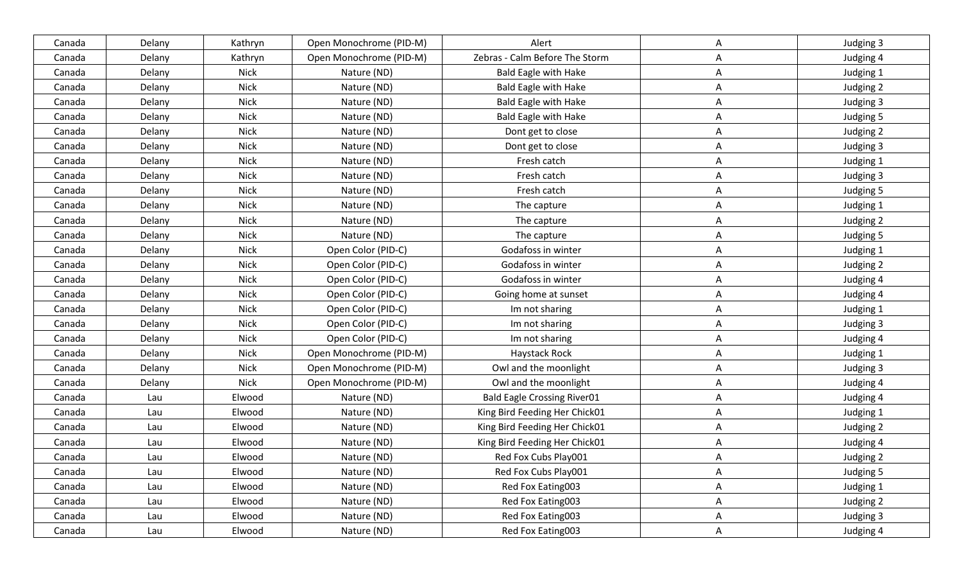| Open Monochrome (PID-M)<br>Alert<br>Judging 3<br>Canada<br>Delany<br>Kathryn<br>A<br>Zebras - Calm Before The Storm<br>Delany<br>Kathryn<br>Open Monochrome (PID-M)<br>A<br>Judging 4<br>Canada<br><b>Nick</b><br>Nature (ND)<br>Delany<br><b>Bald Eagle with Hake</b><br>Judging 1<br>Canada<br>Α<br>Nature (ND)<br>Delany<br><b>Nick</b><br><b>Bald Eagle with Hake</b><br>Judging 2<br>Canada<br>A<br><b>Nick</b><br>Delany<br>Nature (ND)<br><b>Bald Eagle with Hake</b><br>Α<br>Judging 3<br>Canada<br>Nature (ND)<br>Delany<br><b>Nick</b><br><b>Bald Eagle with Hake</b><br>Judging 5<br>Canada<br>Α<br><b>Nick</b><br>Delany<br>Nature (ND)<br>Judging 2<br>Canada<br>Dont get to close<br>A<br>Nature (ND)<br><b>Nick</b><br>Dont get to close<br>Judging 3<br>Canada<br>Delany<br>Α<br><b>Nick</b><br>Fresh catch<br>Delany<br>Nature (ND)<br>A<br>Judging 1<br>Canada<br><b>Nick</b><br>Nature (ND)<br>Delany<br>Fresh catch<br>Judging 3<br>Canada<br>Α<br>Nature (ND)<br>Fresh catch<br>Delany<br><b>Nick</b><br>A<br>Judging 5<br>Canada<br>Delany<br><b>Nick</b><br>Nature (ND)<br>A<br>The capture<br>Judging 1<br>Canada<br><b>Nick</b><br>Nature (ND)<br>Judging 2<br>Delany<br>The capture<br>Α<br>Canada<br>Delany<br><b>Nick</b><br>Nature (ND)<br>Judging 5<br>Canada<br>The capture<br>A<br><b>Nick</b><br>Open Color (PID-C)<br>Godafoss in winter<br>Judging 1<br>Canada<br>Delany<br>Α<br>Delany<br><b>Nick</b><br>Open Color (PID-C)<br>Godafoss in winter<br>Judging 2<br>Canada<br>A<br><b>Nick</b><br>Delany<br>Open Color (PID-C)<br>Godafoss in winter<br>A<br>Judging 4<br>Canada<br>Delany<br><b>Nick</b><br>Open Color (PID-C)<br>Going home at sunset<br>Judging 4<br>Canada<br>Α<br>Delany<br><b>Nick</b><br>Open Color (PID-C)<br>A<br>Canada<br>Im not sharing<br>Judging 1<br><b>Nick</b><br>Judging 3<br>Canada<br>Delany<br>Open Color (PID-C)<br>Im not sharing<br>Α<br>Open Color (PID-C)<br>Delany<br><b>Nick</b><br>Im not sharing<br>Judging 4<br>Canada<br>A<br><b>Nick</b><br><b>Haystack Rock</b><br>Delany<br>Open Monochrome (PID-M)<br>Judging 1<br>Canada<br>A<br>Owl and the moonlight<br>Delany<br><b>Nick</b><br>Open Monochrome (PID-M)<br>Α<br>Judging 3<br>Canada<br><b>Nick</b><br>Open Monochrome (PID-M)<br>Owl and the moonlight<br>Α<br>Canada<br>Delany<br>Judging 4<br>Elwood<br>Nature (ND)<br><b>Bald Eagle Crossing River01</b><br>Judging 4<br>Canada<br>Lau<br>Α<br>Nature (ND)<br>King Bird Feeding Her Chick01<br>A<br>Judging 1<br>Canada<br>Lau<br>Elwood<br>Nature (ND)<br>King Bird Feeding Her Chick01<br>Judging 2<br>Canada<br>Lau<br>Elwood<br>Α<br>Nature (ND)<br>King Bird Feeding Her Chick01<br>Elwood<br>Judging 4<br>Canada<br>Lau<br>A<br>Nature (ND)<br>Red Fox Cubs Play001<br>Judging 2<br>Elwood<br>A<br>Canada<br>Lau<br>Nature (ND)<br>Red Fox Cubs Play001<br>Judging 5<br>Canada<br>Lau<br>Elwood<br>A<br>Nature (ND)<br>Red Fox Eating003<br>Lau<br>Elwood<br>Judging 1<br>Canada<br>A<br>Nature (ND)<br>Red Fox Eating003<br>Elwood<br>Judging 2<br>Canada<br>Lau<br>A<br>Nature (ND)<br>Red Fox Eating003<br>Elwood<br>Judging 3<br>Canada<br>Lau<br>A |        |     |        |             |                   |   |           |
|------------------------------------------------------------------------------------------------------------------------------------------------------------------------------------------------------------------------------------------------------------------------------------------------------------------------------------------------------------------------------------------------------------------------------------------------------------------------------------------------------------------------------------------------------------------------------------------------------------------------------------------------------------------------------------------------------------------------------------------------------------------------------------------------------------------------------------------------------------------------------------------------------------------------------------------------------------------------------------------------------------------------------------------------------------------------------------------------------------------------------------------------------------------------------------------------------------------------------------------------------------------------------------------------------------------------------------------------------------------------------------------------------------------------------------------------------------------------------------------------------------------------------------------------------------------------------------------------------------------------------------------------------------------------------------------------------------------------------------------------------------------------------------------------------------------------------------------------------------------------------------------------------------------------------------------------------------------------------------------------------------------------------------------------------------------------------------------------------------------------------------------------------------------------------------------------------------------------------------------------------------------------------------------------------------------------------------------------------------------------------------------------------------------------------------------------------------------------------------------------------------------------------------------------------------------------------------------------------------------------------------------------------------------------------------------------------------------------------------------------------------------------------------------------------------------------------------------------------------------------------------------------------------------------------------------------------------------------------------------------------------------------------------------------------------------------------------------------------------------------------------------------------------|--------|-----|--------|-------------|-------------------|---|-----------|
|                                                                                                                                                                                                                                                                                                                                                                                                                                                                                                                                                                                                                                                                                                                                                                                                                                                                                                                                                                                                                                                                                                                                                                                                                                                                                                                                                                                                                                                                                                                                                                                                                                                                                                                                                                                                                                                                                                                                                                                                                                                                                                                                                                                                                                                                                                                                                                                                                                                                                                                                                                                                                                                                                                                                                                                                                                                                                                                                                                                                                                                                                                                                                            |        |     |        |             |                   |   |           |
|                                                                                                                                                                                                                                                                                                                                                                                                                                                                                                                                                                                                                                                                                                                                                                                                                                                                                                                                                                                                                                                                                                                                                                                                                                                                                                                                                                                                                                                                                                                                                                                                                                                                                                                                                                                                                                                                                                                                                                                                                                                                                                                                                                                                                                                                                                                                                                                                                                                                                                                                                                                                                                                                                                                                                                                                                                                                                                                                                                                                                                                                                                                                                            |        |     |        |             |                   |   |           |
|                                                                                                                                                                                                                                                                                                                                                                                                                                                                                                                                                                                                                                                                                                                                                                                                                                                                                                                                                                                                                                                                                                                                                                                                                                                                                                                                                                                                                                                                                                                                                                                                                                                                                                                                                                                                                                                                                                                                                                                                                                                                                                                                                                                                                                                                                                                                                                                                                                                                                                                                                                                                                                                                                                                                                                                                                                                                                                                                                                                                                                                                                                                                                            |        |     |        |             |                   |   |           |
|                                                                                                                                                                                                                                                                                                                                                                                                                                                                                                                                                                                                                                                                                                                                                                                                                                                                                                                                                                                                                                                                                                                                                                                                                                                                                                                                                                                                                                                                                                                                                                                                                                                                                                                                                                                                                                                                                                                                                                                                                                                                                                                                                                                                                                                                                                                                                                                                                                                                                                                                                                                                                                                                                                                                                                                                                                                                                                                                                                                                                                                                                                                                                            |        |     |        |             |                   |   |           |
|                                                                                                                                                                                                                                                                                                                                                                                                                                                                                                                                                                                                                                                                                                                                                                                                                                                                                                                                                                                                                                                                                                                                                                                                                                                                                                                                                                                                                                                                                                                                                                                                                                                                                                                                                                                                                                                                                                                                                                                                                                                                                                                                                                                                                                                                                                                                                                                                                                                                                                                                                                                                                                                                                                                                                                                                                                                                                                                                                                                                                                                                                                                                                            |        |     |        |             |                   |   |           |
|                                                                                                                                                                                                                                                                                                                                                                                                                                                                                                                                                                                                                                                                                                                                                                                                                                                                                                                                                                                                                                                                                                                                                                                                                                                                                                                                                                                                                                                                                                                                                                                                                                                                                                                                                                                                                                                                                                                                                                                                                                                                                                                                                                                                                                                                                                                                                                                                                                                                                                                                                                                                                                                                                                                                                                                                                                                                                                                                                                                                                                                                                                                                                            |        |     |        |             |                   |   |           |
|                                                                                                                                                                                                                                                                                                                                                                                                                                                                                                                                                                                                                                                                                                                                                                                                                                                                                                                                                                                                                                                                                                                                                                                                                                                                                                                                                                                                                                                                                                                                                                                                                                                                                                                                                                                                                                                                                                                                                                                                                                                                                                                                                                                                                                                                                                                                                                                                                                                                                                                                                                                                                                                                                                                                                                                                                                                                                                                                                                                                                                                                                                                                                            |        |     |        |             |                   |   |           |
|                                                                                                                                                                                                                                                                                                                                                                                                                                                                                                                                                                                                                                                                                                                                                                                                                                                                                                                                                                                                                                                                                                                                                                                                                                                                                                                                                                                                                                                                                                                                                                                                                                                                                                                                                                                                                                                                                                                                                                                                                                                                                                                                                                                                                                                                                                                                                                                                                                                                                                                                                                                                                                                                                                                                                                                                                                                                                                                                                                                                                                                                                                                                                            |        |     |        |             |                   |   |           |
|                                                                                                                                                                                                                                                                                                                                                                                                                                                                                                                                                                                                                                                                                                                                                                                                                                                                                                                                                                                                                                                                                                                                                                                                                                                                                                                                                                                                                                                                                                                                                                                                                                                                                                                                                                                                                                                                                                                                                                                                                                                                                                                                                                                                                                                                                                                                                                                                                                                                                                                                                                                                                                                                                                                                                                                                                                                                                                                                                                                                                                                                                                                                                            |        |     |        |             |                   |   |           |
|                                                                                                                                                                                                                                                                                                                                                                                                                                                                                                                                                                                                                                                                                                                                                                                                                                                                                                                                                                                                                                                                                                                                                                                                                                                                                                                                                                                                                                                                                                                                                                                                                                                                                                                                                                                                                                                                                                                                                                                                                                                                                                                                                                                                                                                                                                                                                                                                                                                                                                                                                                                                                                                                                                                                                                                                                                                                                                                                                                                                                                                                                                                                                            |        |     |        |             |                   |   |           |
|                                                                                                                                                                                                                                                                                                                                                                                                                                                                                                                                                                                                                                                                                                                                                                                                                                                                                                                                                                                                                                                                                                                                                                                                                                                                                                                                                                                                                                                                                                                                                                                                                                                                                                                                                                                                                                                                                                                                                                                                                                                                                                                                                                                                                                                                                                                                                                                                                                                                                                                                                                                                                                                                                                                                                                                                                                                                                                                                                                                                                                                                                                                                                            |        |     |        |             |                   |   |           |
|                                                                                                                                                                                                                                                                                                                                                                                                                                                                                                                                                                                                                                                                                                                                                                                                                                                                                                                                                                                                                                                                                                                                                                                                                                                                                                                                                                                                                                                                                                                                                                                                                                                                                                                                                                                                                                                                                                                                                                                                                                                                                                                                                                                                                                                                                                                                                                                                                                                                                                                                                                                                                                                                                                                                                                                                                                                                                                                                                                                                                                                                                                                                                            |        |     |        |             |                   |   |           |
|                                                                                                                                                                                                                                                                                                                                                                                                                                                                                                                                                                                                                                                                                                                                                                                                                                                                                                                                                                                                                                                                                                                                                                                                                                                                                                                                                                                                                                                                                                                                                                                                                                                                                                                                                                                                                                                                                                                                                                                                                                                                                                                                                                                                                                                                                                                                                                                                                                                                                                                                                                                                                                                                                                                                                                                                                                                                                                                                                                                                                                                                                                                                                            |        |     |        |             |                   |   |           |
|                                                                                                                                                                                                                                                                                                                                                                                                                                                                                                                                                                                                                                                                                                                                                                                                                                                                                                                                                                                                                                                                                                                                                                                                                                                                                                                                                                                                                                                                                                                                                                                                                                                                                                                                                                                                                                                                                                                                                                                                                                                                                                                                                                                                                                                                                                                                                                                                                                                                                                                                                                                                                                                                                                                                                                                                                                                                                                                                                                                                                                                                                                                                                            |        |     |        |             |                   |   |           |
|                                                                                                                                                                                                                                                                                                                                                                                                                                                                                                                                                                                                                                                                                                                                                                                                                                                                                                                                                                                                                                                                                                                                                                                                                                                                                                                                                                                                                                                                                                                                                                                                                                                                                                                                                                                                                                                                                                                                                                                                                                                                                                                                                                                                                                                                                                                                                                                                                                                                                                                                                                                                                                                                                                                                                                                                                                                                                                                                                                                                                                                                                                                                                            |        |     |        |             |                   |   |           |
|                                                                                                                                                                                                                                                                                                                                                                                                                                                                                                                                                                                                                                                                                                                                                                                                                                                                                                                                                                                                                                                                                                                                                                                                                                                                                                                                                                                                                                                                                                                                                                                                                                                                                                                                                                                                                                                                                                                                                                                                                                                                                                                                                                                                                                                                                                                                                                                                                                                                                                                                                                                                                                                                                                                                                                                                                                                                                                                                                                                                                                                                                                                                                            |        |     |        |             |                   |   |           |
|                                                                                                                                                                                                                                                                                                                                                                                                                                                                                                                                                                                                                                                                                                                                                                                                                                                                                                                                                                                                                                                                                                                                                                                                                                                                                                                                                                                                                                                                                                                                                                                                                                                                                                                                                                                                                                                                                                                                                                                                                                                                                                                                                                                                                                                                                                                                                                                                                                                                                                                                                                                                                                                                                                                                                                                                                                                                                                                                                                                                                                                                                                                                                            |        |     |        |             |                   |   |           |
|                                                                                                                                                                                                                                                                                                                                                                                                                                                                                                                                                                                                                                                                                                                                                                                                                                                                                                                                                                                                                                                                                                                                                                                                                                                                                                                                                                                                                                                                                                                                                                                                                                                                                                                                                                                                                                                                                                                                                                                                                                                                                                                                                                                                                                                                                                                                                                                                                                                                                                                                                                                                                                                                                                                                                                                                                                                                                                                                                                                                                                                                                                                                                            |        |     |        |             |                   |   |           |
|                                                                                                                                                                                                                                                                                                                                                                                                                                                                                                                                                                                                                                                                                                                                                                                                                                                                                                                                                                                                                                                                                                                                                                                                                                                                                                                                                                                                                                                                                                                                                                                                                                                                                                                                                                                                                                                                                                                                                                                                                                                                                                                                                                                                                                                                                                                                                                                                                                                                                                                                                                                                                                                                                                                                                                                                                                                                                                                                                                                                                                                                                                                                                            |        |     |        |             |                   |   |           |
|                                                                                                                                                                                                                                                                                                                                                                                                                                                                                                                                                                                                                                                                                                                                                                                                                                                                                                                                                                                                                                                                                                                                                                                                                                                                                                                                                                                                                                                                                                                                                                                                                                                                                                                                                                                                                                                                                                                                                                                                                                                                                                                                                                                                                                                                                                                                                                                                                                                                                                                                                                                                                                                                                                                                                                                                                                                                                                                                                                                                                                                                                                                                                            |        |     |        |             |                   |   |           |
|                                                                                                                                                                                                                                                                                                                                                                                                                                                                                                                                                                                                                                                                                                                                                                                                                                                                                                                                                                                                                                                                                                                                                                                                                                                                                                                                                                                                                                                                                                                                                                                                                                                                                                                                                                                                                                                                                                                                                                                                                                                                                                                                                                                                                                                                                                                                                                                                                                                                                                                                                                                                                                                                                                                                                                                                                                                                                                                                                                                                                                                                                                                                                            |        |     |        |             |                   |   |           |
|                                                                                                                                                                                                                                                                                                                                                                                                                                                                                                                                                                                                                                                                                                                                                                                                                                                                                                                                                                                                                                                                                                                                                                                                                                                                                                                                                                                                                                                                                                                                                                                                                                                                                                                                                                                                                                                                                                                                                                                                                                                                                                                                                                                                                                                                                                                                                                                                                                                                                                                                                                                                                                                                                                                                                                                                                                                                                                                                                                                                                                                                                                                                                            |        |     |        |             |                   |   |           |
|                                                                                                                                                                                                                                                                                                                                                                                                                                                                                                                                                                                                                                                                                                                                                                                                                                                                                                                                                                                                                                                                                                                                                                                                                                                                                                                                                                                                                                                                                                                                                                                                                                                                                                                                                                                                                                                                                                                                                                                                                                                                                                                                                                                                                                                                                                                                                                                                                                                                                                                                                                                                                                                                                                                                                                                                                                                                                                                                                                                                                                                                                                                                                            |        |     |        |             |                   |   |           |
|                                                                                                                                                                                                                                                                                                                                                                                                                                                                                                                                                                                                                                                                                                                                                                                                                                                                                                                                                                                                                                                                                                                                                                                                                                                                                                                                                                                                                                                                                                                                                                                                                                                                                                                                                                                                                                                                                                                                                                                                                                                                                                                                                                                                                                                                                                                                                                                                                                                                                                                                                                                                                                                                                                                                                                                                                                                                                                                                                                                                                                                                                                                                                            |        |     |        |             |                   |   |           |
|                                                                                                                                                                                                                                                                                                                                                                                                                                                                                                                                                                                                                                                                                                                                                                                                                                                                                                                                                                                                                                                                                                                                                                                                                                                                                                                                                                                                                                                                                                                                                                                                                                                                                                                                                                                                                                                                                                                                                                                                                                                                                                                                                                                                                                                                                                                                                                                                                                                                                                                                                                                                                                                                                                                                                                                                                                                                                                                                                                                                                                                                                                                                                            |        |     |        |             |                   |   |           |
|                                                                                                                                                                                                                                                                                                                                                                                                                                                                                                                                                                                                                                                                                                                                                                                                                                                                                                                                                                                                                                                                                                                                                                                                                                                                                                                                                                                                                                                                                                                                                                                                                                                                                                                                                                                                                                                                                                                                                                                                                                                                                                                                                                                                                                                                                                                                                                                                                                                                                                                                                                                                                                                                                                                                                                                                                                                                                                                                                                                                                                                                                                                                                            |        |     |        |             |                   |   |           |
|                                                                                                                                                                                                                                                                                                                                                                                                                                                                                                                                                                                                                                                                                                                                                                                                                                                                                                                                                                                                                                                                                                                                                                                                                                                                                                                                                                                                                                                                                                                                                                                                                                                                                                                                                                                                                                                                                                                                                                                                                                                                                                                                                                                                                                                                                                                                                                                                                                                                                                                                                                                                                                                                                                                                                                                                                                                                                                                                                                                                                                                                                                                                                            |        |     |        |             |                   |   |           |
|                                                                                                                                                                                                                                                                                                                                                                                                                                                                                                                                                                                                                                                                                                                                                                                                                                                                                                                                                                                                                                                                                                                                                                                                                                                                                                                                                                                                                                                                                                                                                                                                                                                                                                                                                                                                                                                                                                                                                                                                                                                                                                                                                                                                                                                                                                                                                                                                                                                                                                                                                                                                                                                                                                                                                                                                                                                                                                                                                                                                                                                                                                                                                            |        |     |        |             |                   |   |           |
|                                                                                                                                                                                                                                                                                                                                                                                                                                                                                                                                                                                                                                                                                                                                                                                                                                                                                                                                                                                                                                                                                                                                                                                                                                                                                                                                                                                                                                                                                                                                                                                                                                                                                                                                                                                                                                                                                                                                                                                                                                                                                                                                                                                                                                                                                                                                                                                                                                                                                                                                                                                                                                                                                                                                                                                                                                                                                                                                                                                                                                                                                                                                                            |        |     |        |             |                   |   |           |
|                                                                                                                                                                                                                                                                                                                                                                                                                                                                                                                                                                                                                                                                                                                                                                                                                                                                                                                                                                                                                                                                                                                                                                                                                                                                                                                                                                                                                                                                                                                                                                                                                                                                                                                                                                                                                                                                                                                                                                                                                                                                                                                                                                                                                                                                                                                                                                                                                                                                                                                                                                                                                                                                                                                                                                                                                                                                                                                                                                                                                                                                                                                                                            |        |     |        |             |                   |   |           |
|                                                                                                                                                                                                                                                                                                                                                                                                                                                                                                                                                                                                                                                                                                                                                                                                                                                                                                                                                                                                                                                                                                                                                                                                                                                                                                                                                                                                                                                                                                                                                                                                                                                                                                                                                                                                                                                                                                                                                                                                                                                                                                                                                                                                                                                                                                                                                                                                                                                                                                                                                                                                                                                                                                                                                                                                                                                                                                                                                                                                                                                                                                                                                            |        |     |        |             |                   |   |           |
|                                                                                                                                                                                                                                                                                                                                                                                                                                                                                                                                                                                                                                                                                                                                                                                                                                                                                                                                                                                                                                                                                                                                                                                                                                                                                                                                                                                                                                                                                                                                                                                                                                                                                                                                                                                                                                                                                                                                                                                                                                                                                                                                                                                                                                                                                                                                                                                                                                                                                                                                                                                                                                                                                                                                                                                                                                                                                                                                                                                                                                                                                                                                                            |        |     |        |             |                   |   |           |
|                                                                                                                                                                                                                                                                                                                                                                                                                                                                                                                                                                                                                                                                                                                                                                                                                                                                                                                                                                                                                                                                                                                                                                                                                                                                                                                                                                                                                                                                                                                                                                                                                                                                                                                                                                                                                                                                                                                                                                                                                                                                                                                                                                                                                                                                                                                                                                                                                                                                                                                                                                                                                                                                                                                                                                                                                                                                                                                                                                                                                                                                                                                                                            |        |     |        |             |                   |   |           |
|                                                                                                                                                                                                                                                                                                                                                                                                                                                                                                                                                                                                                                                                                                                                                                                                                                                                                                                                                                                                                                                                                                                                                                                                                                                                                                                                                                                                                                                                                                                                                                                                                                                                                                                                                                                                                                                                                                                                                                                                                                                                                                                                                                                                                                                                                                                                                                                                                                                                                                                                                                                                                                                                                                                                                                                                                                                                                                                                                                                                                                                                                                                                                            | Canada | Lau | Elwood | Nature (ND) | Red Fox Eating003 | A | Judging 4 |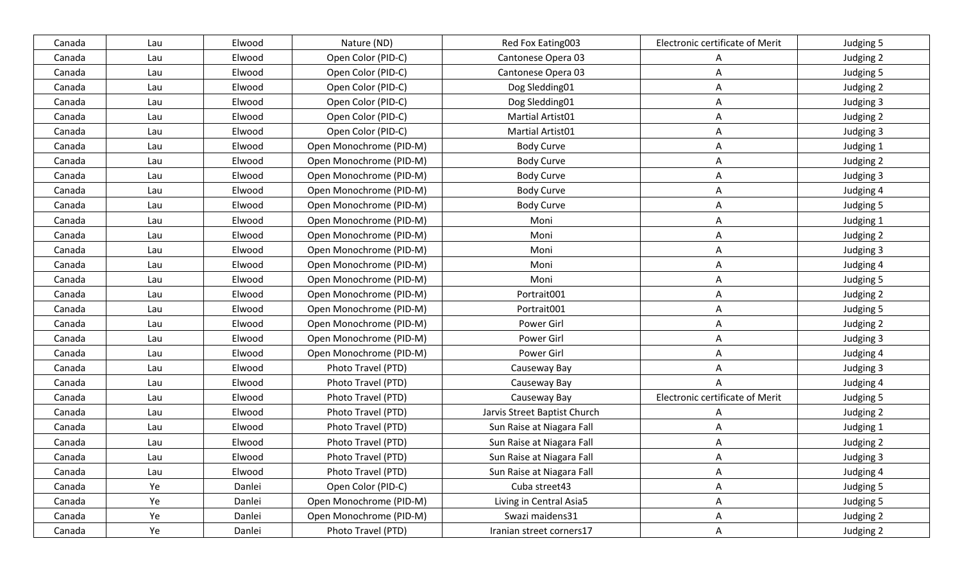| Canada | Lau | Elwood | Nature (ND)             | Red Fox Eating003            | Electronic certificate of Merit | Judging 5 |
|--------|-----|--------|-------------------------|------------------------------|---------------------------------|-----------|
| Canada | Lau | Elwood | Open Color (PID-C)      | Cantonese Opera 03           | A                               | Judging 2 |
| Canada | Lau | Elwood | Open Color (PID-C)      | Cantonese Opera 03           | Α                               | Judging 5 |
| Canada | Lau | Elwood | Open Color (PID-C)      | Dog Sledding01               | A                               | Judging 2 |
| Canada | Lau | Elwood | Open Color (PID-C)      | Dog Sledding01               | A                               | Judging 3 |
| Canada | Lau | Elwood | Open Color (PID-C)      | Martial Artist01             | A                               | Judging 2 |
| Canada | Lau | Elwood | Open Color (PID-C)      | Martial Artist01             | A                               | Judging 3 |
| Canada | Lau | Elwood | Open Monochrome (PID-M) | <b>Body Curve</b>            | A                               | Judging 1 |
| Canada | Lau | Elwood | Open Monochrome (PID-M) | Body Curve                   | A                               | Judging 2 |
| Canada | Lau | Elwood | Open Monochrome (PID-M) | <b>Body Curve</b>            | A                               | Judging 3 |
| Canada | Lau | Elwood | Open Monochrome (PID-M) | <b>Body Curve</b>            | A                               | Judging 4 |
| Canada | Lau | Elwood | Open Monochrome (PID-M) | <b>Body Curve</b>            | A                               | Judging 5 |
| Canada | Lau | Elwood | Open Monochrome (PID-M) | Moni                         | Α                               | Judging 1 |
| Canada | Lau | Elwood | Open Monochrome (PID-M) | Moni                         | A                               | Judging 2 |
| Canada | Lau | Elwood | Open Monochrome (PID-M) | Moni                         | A                               | Judging 3 |
| Canada | Lau | Elwood | Open Monochrome (PID-M) | Moni                         | A                               | Judging 4 |
| Canada | Lau | Elwood | Open Monochrome (PID-M) | Moni                         | A                               | Judging 5 |
| Canada | Lau | Elwood | Open Monochrome (PID-M) | Portrait001                  | A                               | Judging 2 |
| Canada | Lau | Elwood | Open Monochrome (PID-M) | Portrait001                  | A                               | Judging 5 |
| Canada | Lau | Elwood | Open Monochrome (PID-M) | Power Girl                   | A                               | Judging 2 |
| Canada | Lau | Elwood | Open Monochrome (PID-M) | Power Girl                   | A                               | Judging 3 |
| Canada | Lau | Elwood | Open Monochrome (PID-M) | Power Girl                   | A                               | Judging 4 |
| Canada | Lau | Elwood | Photo Travel (PTD)      | Causeway Bay                 | A                               | Judging 3 |
| Canada | Lau | Elwood | Photo Travel (PTD)      | Causeway Bay                 | A                               | Judging 4 |
| Canada | Lau | Elwood | Photo Travel (PTD)      | Causeway Bay                 | Electronic certificate of Merit | Judging 5 |
| Canada | Lau | Elwood | Photo Travel (PTD)      | Jarvis Street Baptist Church | A                               | Judging 2 |
| Canada | Lau | Elwood | Photo Travel (PTD)      | Sun Raise at Niagara Fall    | Α                               | Judging 1 |
| Canada | Lau | Elwood | Photo Travel (PTD)      | Sun Raise at Niagara Fall    | A                               | Judging 2 |
| Canada | Lau | Elwood | Photo Travel (PTD)      | Sun Raise at Niagara Fall    | A                               | Judging 3 |
| Canada | Lau | Elwood | Photo Travel (PTD)      | Sun Raise at Niagara Fall    | A                               | Judging 4 |
| Canada | Ye  | Danlei | Open Color (PID-C)      | Cuba street43                | A                               | Judging 5 |
| Canada | Ye  | Danlei | Open Monochrome (PID-M) | Living in Central Asia5      | A                               | Judging 5 |
| Canada | Ye  | Danlei | Open Monochrome (PID-M) | Swazi maidens31              | A                               | Judging 2 |
| Canada | Ye  | Danlei | Photo Travel (PTD)      | Iranian street corners17     | $\mathsf{A}$                    | Judging 2 |
|        |     |        |                         |                              |                                 |           |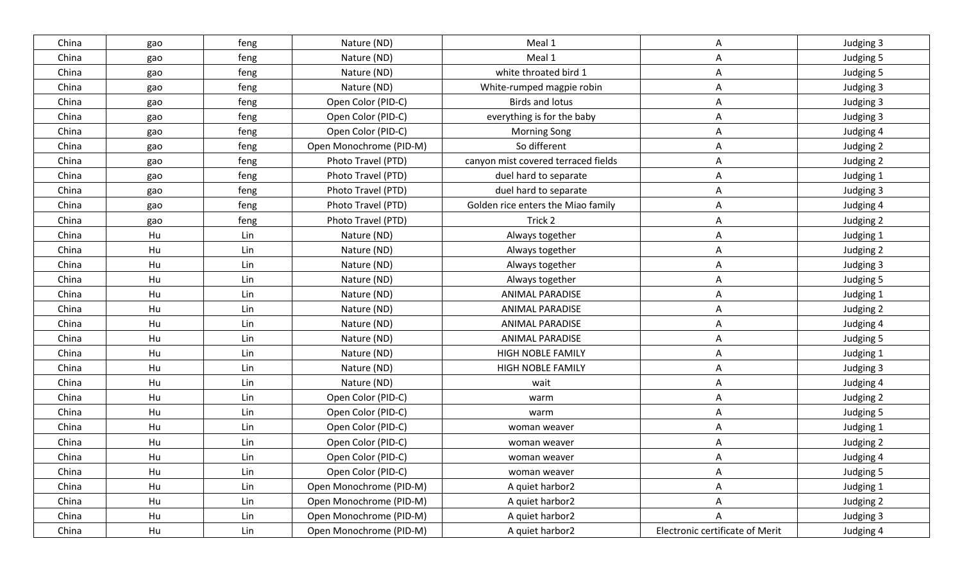| China | gao | feng | Nature (ND)             | Meal 1                              | A                               | Judging 3 |
|-------|-----|------|-------------------------|-------------------------------------|---------------------------------|-----------|
| China | gao | feng | Nature (ND)             | Meal 1                              | A                               | Judging 5 |
| China | gao | feng | Nature (ND)             | white throated bird 1               | Α                               | Judging 5 |
| China | gao | feng | Nature (ND)             | White-rumped magpie robin           | A                               | Judging 3 |
| China | gao | feng | Open Color (PID-C)      | <b>Birds and lotus</b>              | A                               | Judging 3 |
| China | gao | feng | Open Color (PID-C)      | everything is for the baby          | A                               | Judging 3 |
| China | gao | feng | Open Color (PID-C)      | <b>Morning Song</b>                 | Α                               | Judging 4 |
| China | gao | feng | Open Monochrome (PID-M) | So different                        | Α                               | Judging 2 |
| China | gao | feng | Photo Travel (PTD)      | canyon mist covered terraced fields | A                               | Judging 2 |
| China | gao | feng | Photo Travel (PTD)      | duel hard to separate               | A                               | Judging 1 |
| China | gao | feng | Photo Travel (PTD)      | duel hard to separate               | A                               | Judging 3 |
| China | gao | feng | Photo Travel (PTD)      | Golden rice enters the Miao family  | A                               | Judging 4 |
| China | gao | feng | Photo Travel (PTD)      | Trick 2                             | A                               | Judging 2 |
| China | Hu  | Lin  | Nature (ND)             | Always together                     | Α                               | Judging 1 |
| China | Hu  | Lin  | Nature (ND)             | Always together                     | Α                               | Judging 2 |
| China | Hu  | Lin  | Nature (ND)             | Always together                     | A                               | Judging 3 |
| China | Hu  | Lin  | Nature (ND)             | Always together                     | A                               | Judging 5 |
| China | Hu  | Lin  | Nature (ND)             | <b>ANIMAL PARADISE</b>              | Α                               | Judging 1 |
| China | Hu  | Lin  | Nature (ND)             | <b>ANIMAL PARADISE</b>              | Α                               | Judging 2 |
| China | Hu  | Lin  | Nature (ND)             | <b>ANIMAL PARADISE</b>              | Α                               | Judging 4 |
| China | Hu  | Lin  | Nature (ND)             | <b>ANIMAL PARADISE</b>              | A                               | Judging 5 |
| China | Hu  | Lin  | Nature (ND)             | <b>HIGH NOBLE FAMILY</b>            | A                               | Judging 1 |
| China | Hu  | Lin  | Nature (ND)             | HIGH NOBLE FAMILY                   | Α                               | Judging 3 |
| China | Hu  | Lin  | Nature (ND)             | wait                                | Α                               | Judging 4 |
| China | Hu  | Lin  | Open Color (PID-C)      | warm                                | Α                               | Judging 2 |
| China | Hu  | Lin  | Open Color (PID-C)      | warm                                | A                               | Judging 5 |
| China | Hu  | Lin  | Open Color (PID-C)      | woman weaver                        | Α                               | Judging 1 |
| China | Hu  | Lin  | Open Color (PID-C)      | woman weaver                        | A                               | Judging 2 |
| China | Hu  | Lin  | Open Color (PID-C)      | woman weaver                        | A                               | Judging 4 |
| China | Hu  | Lin  | Open Color (PID-C)      | woman weaver                        | A                               | Judging 5 |
| China | Hu  | Lin  | Open Monochrome (PID-M) | A quiet harbor2                     | $\mathsf{A}$                    | Judging 1 |
| China | Hu  | Lin  | Open Monochrome (PID-M) | A quiet harbor2                     | A                               | Judging 2 |
| China | Hu  | Lin  | Open Monochrome (PID-M) | A quiet harbor2                     | A                               | Judging 3 |
| China | Hu  | Lin  | Open Monochrome (PID-M) | A quiet harbor2                     | Electronic certificate of Merit | Judging 4 |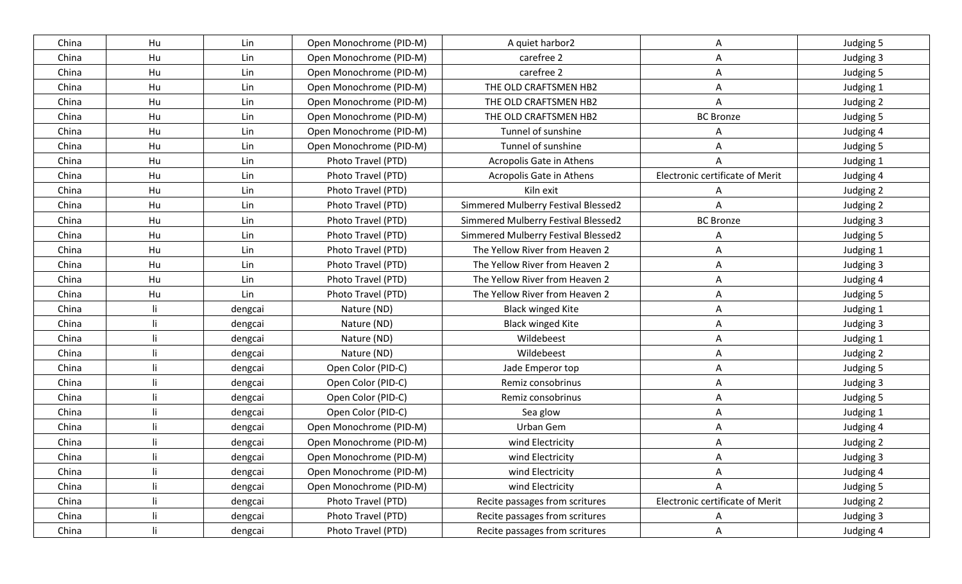| China | Hu           | Lin     | Open Monochrome (PID-M) | A quiet harbor2                     | Α                               | Judging 5 |
|-------|--------------|---------|-------------------------|-------------------------------------|---------------------------------|-----------|
| China | Hu           | Lin     | Open Monochrome (PID-M) | carefree 2                          | Α                               | Judging 3 |
| China | Hu           | Lin     | Open Monochrome (PID-M) | carefree 2                          | A                               | Judging 5 |
| China | Hu           | Lin     | Open Monochrome (PID-M) | THE OLD CRAFTSMEN HB2               | A                               | Judging 1 |
| China | Hu           | Lin     | Open Monochrome (PID-M) | THE OLD CRAFTSMEN HB2               | A                               | Judging 2 |
| China | Hu           | Lin     | Open Monochrome (PID-M) | THE OLD CRAFTSMEN HB2               | <b>BC Bronze</b>                | Judging 5 |
| China | Hu           | Lin     | Open Monochrome (PID-M) | Tunnel of sunshine                  | A                               | Judging 4 |
| China | Hu           | Lin     | Open Monochrome (PID-M) | Tunnel of sunshine                  | A                               | Judging 5 |
| China | Hu           | Lin     | Photo Travel (PTD)      | Acropolis Gate in Athens            | A                               | Judging 1 |
| China | Hu           | Lin     | Photo Travel (PTD)      | Acropolis Gate in Athens            | Electronic certificate of Merit | Judging 4 |
| China | Hu           | Lin     | Photo Travel (PTD)      | Kiln exit                           | A                               | Judging 2 |
| China | Hu           | Lin     | Photo Travel (PTD)      | Simmered Mulberry Festival Blessed2 | Α                               | Judging 2 |
| China | Hu           | Lin     | Photo Travel (PTD)      | Simmered Mulberry Festival Blessed2 | <b>BC Bronze</b>                | Judging 3 |
| China | Hu           | Lin     | Photo Travel (PTD)      | Simmered Mulberry Festival Blessed2 | A                               | Judging 5 |
| China | Hu           | Lin     | Photo Travel (PTD)      | The Yellow River from Heaven 2      | A                               | Judging 1 |
| China | Hu           | Lin     | Photo Travel (PTD)      | The Yellow River from Heaven 2      | A                               | Judging 3 |
| China | Hu           | Lin     | Photo Travel (PTD)      | The Yellow River from Heaven 2      | Α                               | Judging 4 |
| China | Hu           | Lin     | Photo Travel (PTD)      | The Yellow River from Heaven 2      | Α                               | Judging 5 |
| China | li           | dengcai | Nature (ND)             | <b>Black winged Kite</b>            | Α                               | Judging 1 |
| China | li.          | dengcai | Nature (ND)             | <b>Black winged Kite</b>            | Α                               | Judging 3 |
| China | li           | dengcai | Nature (ND)             | Wildebeest                          | A                               | Judging 1 |
| China | li           | dengcai | Nature (ND)             | Wildebeest                          | Α                               | Judging 2 |
| China | li.          | dengcai | Open Color (PID-C)      | Jade Emperor top                    | A                               | Judging 5 |
| China | li           | dengcai | Open Color (PID-C)      | Remiz consobrinus                   | Α                               | Judging 3 |
| China | -li          | dengcai | Open Color (PID-C)      | Remiz consobrinus                   | Α                               | Judging 5 |
| China | li           | dengcai | Open Color (PID-C)      | Sea glow                            | A                               | Judging 1 |
| China | li           | dengcai | Open Monochrome (PID-M) | Urban Gem                           | Α                               | Judging 4 |
| China | li           | dengcai | Open Monochrome (PID-M) | wind Electricity                    | A                               | Judging 2 |
| China | li           | dengcai | Open Monochrome (PID-M) | wind Electricity                    | A                               | Judging 3 |
| China | li           | dengcai | Open Monochrome (PID-M) | wind Electricity                    | A                               | Judging 4 |
| China | li           | dengcai | Open Monochrome (PID-M) | wind Electricity                    |                                 | Judging 5 |
| China | li           | dengcai | Photo Travel (PTD)      | Recite passages from scritures      | Electronic certificate of Merit | Judging 2 |
| China | li           | dengcai | Photo Travel (PTD)      | Recite passages from scritures      | A                               | Judging 3 |
| China | $\mathbf{I}$ | dengcai | Photo Travel (PTD)      | Recite passages from scritures      | $\mathsf{A}$                    | Judging 4 |
|       |              |         |                         |                                     |                                 |           |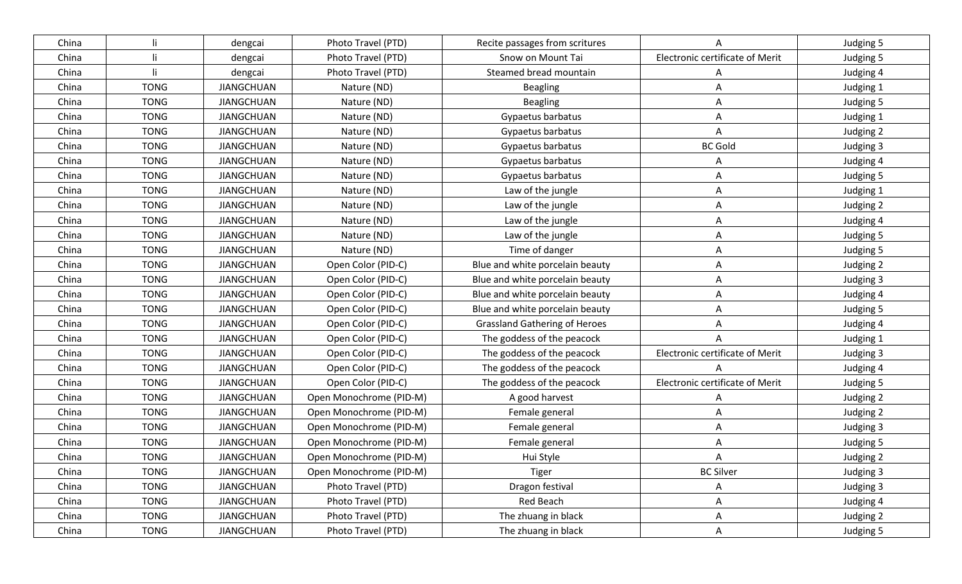| China |             | dengcai           | Photo Travel (PTD)      | Recite passages from scritures       | A                               | Judging 5 |
|-------|-------------|-------------------|-------------------------|--------------------------------------|---------------------------------|-----------|
| China |             | dengcai           | Photo Travel (PTD)      | Snow on Mount Tai                    | Electronic certificate of Merit | Judging 5 |
| China |             | dengcai           | Photo Travel (PTD)      | Steamed bread mountain               | A                               | Judging 4 |
| China | <b>TONG</b> | <b>JIANGCHUAN</b> | Nature (ND)             | <b>Beagling</b>                      | A                               | Judging 1 |
| China | <b>TONG</b> | <b>JIANGCHUAN</b> | Nature (ND)             | <b>Beagling</b>                      | A                               | Judging 5 |
| China | <b>TONG</b> | <b>JIANGCHUAN</b> | Nature (ND)             | Gypaetus barbatus                    | A                               | Judging 1 |
| China | <b>TONG</b> | <b>JIANGCHUAN</b> | Nature (ND)             | Gypaetus barbatus                    | A                               | Judging 2 |
| China | <b>TONG</b> | <b>JIANGCHUAN</b> | Nature (ND)             | Gypaetus barbatus                    | <b>BC Gold</b>                  | Judging 3 |
| China | <b>TONG</b> | <b>JIANGCHUAN</b> | Nature (ND)             | Gypaetus barbatus                    | A                               | Judging 4 |
| China | <b>TONG</b> | <b>JIANGCHUAN</b> | Nature (ND)             | Gypaetus barbatus                    | Α                               | Judging 5 |
| China | <b>TONG</b> | <b>JIANGCHUAN</b> | Nature (ND)             | Law of the jungle                    | Α                               | Judging 1 |
| China | <b>TONG</b> | <b>JIANGCHUAN</b> | Nature (ND)             | Law of the jungle                    | Α                               | Judging 2 |
| China | <b>TONG</b> | <b>JIANGCHUAN</b> | Nature (ND)             | Law of the jungle                    | Α                               | Judging 4 |
| China | <b>TONG</b> | <b>JIANGCHUAN</b> | Nature (ND)             | Law of the jungle                    | A                               | Judging 5 |
| China | <b>TONG</b> | <b>JIANGCHUAN</b> | Nature (ND)             | Time of danger                       | Α                               | Judging 5 |
| China | <b>TONG</b> | <b>JIANGCHUAN</b> | Open Color (PID-C)      | Blue and white porcelain beauty      | Α                               | Judging 2 |
| China | <b>TONG</b> | <b>JIANGCHUAN</b> | Open Color (PID-C)      | Blue and white porcelain beauty      | Α                               | Judging 3 |
| China | <b>TONG</b> | <b>JIANGCHUAN</b> | Open Color (PID-C)      | Blue and white porcelain beauty      | Α                               | Judging 4 |
| China | <b>TONG</b> | <b>JIANGCHUAN</b> | Open Color (PID-C)      | Blue and white porcelain beauty      | Α                               | Judging 5 |
| China | <b>TONG</b> | <b>JIANGCHUAN</b> | Open Color (PID-C)      | <b>Grassland Gathering of Heroes</b> | A                               | Judging 4 |
| China | <b>TONG</b> | <b>JIANGCHUAN</b> | Open Color (PID-C)      | The goddess of the peacock           | A                               | Judging 1 |
| China | <b>TONG</b> | <b>JIANGCHUAN</b> | Open Color (PID-C)      | The goddess of the peacock           | Electronic certificate of Merit | Judging 3 |
| China | <b>TONG</b> | <b>JIANGCHUAN</b> | Open Color (PID-C)      | The goddess of the peacock           |                                 | Judging 4 |
| China | <b>TONG</b> | <b>JIANGCHUAN</b> | Open Color (PID-C)      | The goddess of the peacock           | Electronic certificate of Merit | Judging 5 |
| China | <b>TONG</b> | <b>JIANGCHUAN</b> | Open Monochrome (PID-M) | A good harvest                       | A                               | Judging 2 |
| China | <b>TONG</b> | <b>JIANGCHUAN</b> | Open Monochrome (PID-M) | Female general                       | Α                               | Judging 2 |
| China | <b>TONG</b> | <b>JIANGCHUAN</b> | Open Monochrome (PID-M) | Female general                       | Α                               | Judging 3 |
| China | <b>TONG</b> | <b>JIANGCHUAN</b> | Open Monochrome (PID-M) | Female general                       | A                               | Judging 5 |
| China | <b>TONG</b> | <b>JIANGCHUAN</b> | Open Monochrome (PID-M) | Hui Style                            | A                               | Judging 2 |
| China | <b>TONG</b> | <b>JIANGCHUAN</b> | Open Monochrome (PID-M) | Tiger                                | <b>BC Silver</b>                | Judging 3 |
| China | <b>TONG</b> | <b>JIANGCHUAN</b> | Photo Travel (PTD)      | Dragon festival                      | A                               | Judging 3 |
| China | <b>TONG</b> | <b>JIANGCHUAN</b> | Photo Travel (PTD)      | Red Beach                            | A                               | Judging 4 |
| China | <b>TONG</b> | <b>JIANGCHUAN</b> | Photo Travel (PTD)      | The zhuang in black                  | A                               | Judging 2 |
| China | <b>TONG</b> | <b>JIANGCHUAN</b> | Photo Travel (PTD)      | The zhuang in black                  | $\mathsf{A}$                    | Judging 5 |
|       |             |                   |                         |                                      |                                 |           |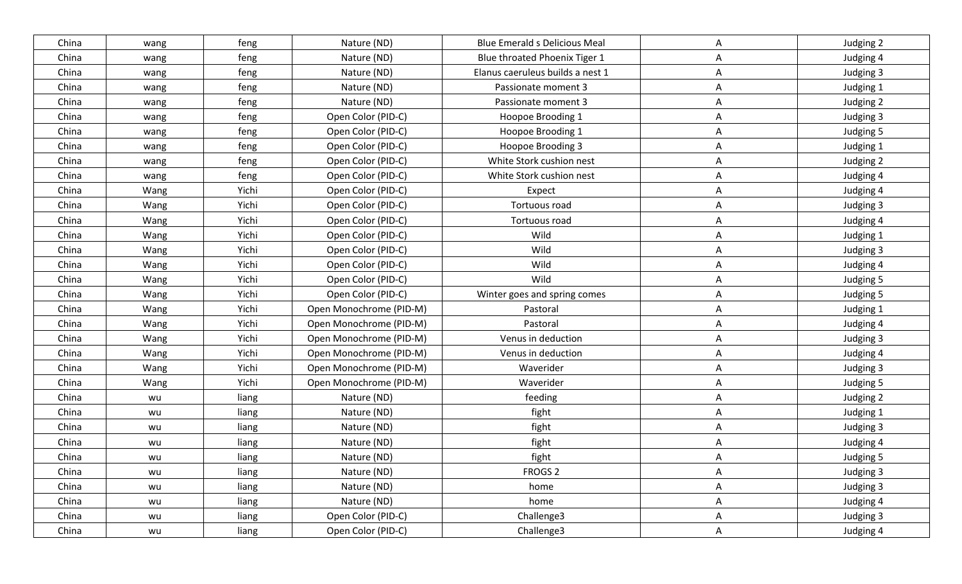| China | wang | feng  | Nature (ND)             | <b>Blue Emerald s Delicious Meal</b> | A            | Judging 2 |
|-------|------|-------|-------------------------|--------------------------------------|--------------|-----------|
| China | wang | feng  | Nature (ND)             | Blue throated Phoenix Tiger 1        | A            | Judging 4 |
| China | wang | feng  | Nature (ND)             | Elanus caeruleus builds a nest 1     | A            | Judging 3 |
| China | wang | feng  | Nature (ND)             | Passionate moment 3                  | $\mathsf{A}$ | Judging 1 |
| China | wang | feng  | Nature (ND)             | Passionate moment 3                  | A            | Judging 2 |
| China | wang | feng  | Open Color (PID-C)      | Hoopoe Brooding 1                    | $\mathsf{A}$ | Judging 3 |
| China | wang | feng  | Open Color (PID-C)      | Hoopoe Brooding 1                    | A            | Judging 5 |
| China | wang | feng  | Open Color (PID-C)      | Hoopoe Brooding 3                    | $\mathsf{A}$ | Judging 1 |
| China | wang | feng  | Open Color (PID-C)      | White Stork cushion nest             | A            | Judging 2 |
| China | wang | feng  | Open Color (PID-C)      | White Stork cushion nest             | A            | Judging 4 |
| China | Wang | Yichi | Open Color (PID-C)      | Expect                               | A            | Judging 4 |
| China | Wang | Yichi | Open Color (PID-C)      | Tortuous road                        | $\mathsf{A}$ | Judging 3 |
| China | Wang | Yichi | Open Color (PID-C)      | Tortuous road                        | A            | Judging 4 |
| China | Wang | Yichi | Open Color (PID-C)      | Wild                                 | A            | Judging 1 |
| China | Wang | Yichi | Open Color (PID-C)      | Wild                                 | A            | Judging 3 |
| China | Wang | Yichi | Open Color (PID-C)      | Wild                                 | A            | Judging 4 |
| China | Wang | Yichi | Open Color (PID-C)      | Wild                                 | $\mathsf{A}$ | Judging 5 |
| China | Wang | Yichi | Open Color (PID-C)      | Winter goes and spring comes         | A            | Judging 5 |
| China | Wang | Yichi | Open Monochrome (PID-M) | Pastoral                             | $\mathsf{A}$ | Judging 1 |
| China | Wang | Yichi | Open Monochrome (PID-M) | Pastoral                             | A            | Judging 4 |
| China | Wang | Yichi | Open Monochrome (PID-M) | Venus in deduction                   | A            | Judging 3 |
| China | Wang | Yichi | Open Monochrome (PID-M) | Venus in deduction                   | $\mathsf{A}$ | Judging 4 |
| China | Wang | Yichi | Open Monochrome (PID-M) | Waverider                            | A            | Judging 3 |
| China | Wang | Yichi | Open Monochrome (PID-M) | Waverider                            | A            | Judging 5 |
| China | wu   | liang | Nature (ND)             | feeding                              | A            | Judging 2 |
| China | wu   | liang | Nature (ND)             | fight                                | A            | Judging 1 |
| China | wu   | liang | Nature (ND)             | fight                                | Α            | Judging 3 |
| China | wu   | liang | Nature (ND)             | fight                                | A            | Judging 4 |
| China | wu   | liang | Nature (ND)             | fight                                | A            | Judging 5 |
| China | wu   | liang | Nature (ND)             | FROGS <sub>2</sub>                   | A            | Judging 3 |
| China | wu   | liang | Nature (ND)             | home                                 | $\mathsf{A}$ | Judging 3 |
| China | wu   | liang | Nature (ND)             | home                                 | $\mathsf{A}$ | Judging 4 |
| China | wu   | liang | Open Color (PID-C)      | Challenge3                           | $\mathsf{A}$ | Judging 3 |
| China | wu   | liang | Open Color (PID-C)      | Challenge3                           | $\mathsf{A}$ | Judging 4 |
|       |      |       |                         |                                      |              |           |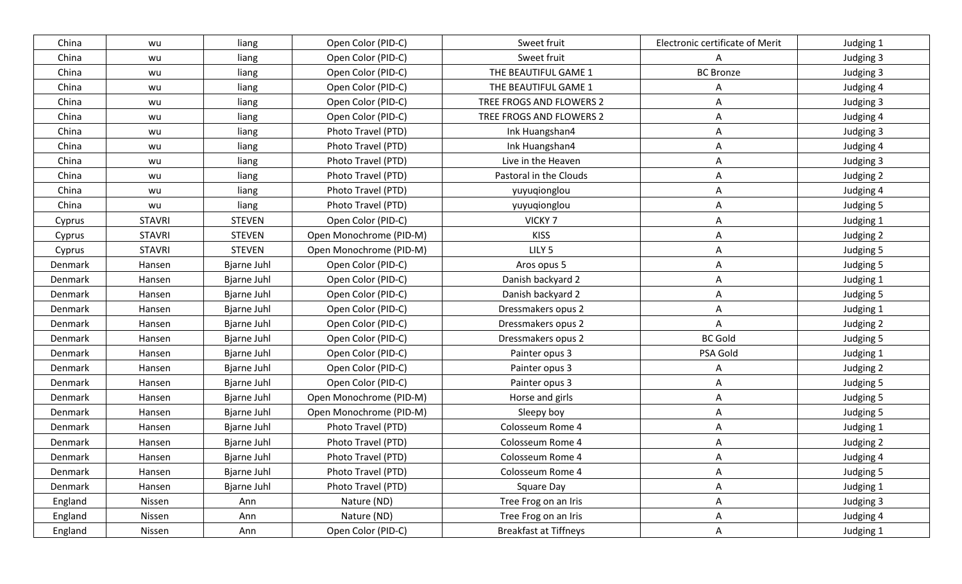| China   | wu            | liang              | Open Color (PID-C)      | Sweet fruit                  | Electronic certificate of Merit | Judging 1 |
|---------|---------------|--------------------|-------------------------|------------------------------|---------------------------------|-----------|
| China   | wu            | liang              | Open Color (PID-C)      | Sweet fruit                  | A                               | Judging 3 |
| China   | wu            | liang              | Open Color (PID-C)      | THE BEAUTIFUL GAME 1         | <b>BC Bronze</b>                | Judging 3 |
| China   | wu            | liang              | Open Color (PID-C)      | THE BEAUTIFUL GAME 1         | A                               | Judging 4 |
| China   | wu            | liang              | Open Color (PID-C)      | TREE FROGS AND FLOWERS 2     | A                               | Judging 3 |
| China   | wu            | liang              | Open Color (PID-C)      | TREE FROGS AND FLOWERS 2     | Α                               | Judging 4 |
| China   | wu            | liang              | Photo Travel (PTD)      | Ink Huangshan4               | Α                               | Judging 3 |
| China   | wu            | liang              | Photo Travel (PTD)      | Ink Huangshan4               | Α                               | Judging 4 |
| China   | wu            | liang              | Photo Travel (PTD)      | Live in the Heaven           | A                               | Judging 3 |
| China   | wu            | liang              | Photo Travel (PTD)      | Pastoral in the Clouds       | Α                               | Judging 2 |
| China   | wu            | liang              | Photo Travel (PTD)      | yuyuqionglou                 | A                               | Judging 4 |
| China   | wu            | liang              | Photo Travel (PTD)      | yuyuqionglou                 | A                               | Judging 5 |
| Cyprus  | <b>STAVRI</b> | <b>STEVEN</b>      | Open Color (PID-C)      | VICKY <sub>7</sub>           | Α                               | Judging 1 |
| Cyprus  | <b>STAVRI</b> | <b>STEVEN</b>      | Open Monochrome (PID-M) | <b>KISS</b>                  | A                               | Judging 2 |
| Cyprus  | <b>STAVRI</b> | <b>STEVEN</b>      | Open Monochrome (PID-M) | LILY <sub>5</sub>            | A                               | Judging 5 |
| Denmark | Hansen        | <b>Bjarne Juhl</b> | Open Color (PID-C)      | Aros opus 5                  | A                               | Judging 5 |
| Denmark | Hansen        | <b>Bjarne Juhl</b> | Open Color (PID-C)      | Danish backyard 2            | A                               | Judging 1 |
| Denmark | Hansen        | <b>Bjarne Juhl</b> | Open Color (PID-C)      | Danish backyard 2            | A                               | Judging 5 |
| Denmark | Hansen        | <b>Bjarne Juhl</b> | Open Color (PID-C)      | Dressmakers opus 2           | Α                               | Judging 1 |
| Denmark | Hansen        | <b>Bjarne Juhl</b> | Open Color (PID-C)      | Dressmakers opus 2           | A                               | Judging 2 |
| Denmark | Hansen        | <b>Bjarne Juhl</b> | Open Color (PID-C)      | Dressmakers opus 2           | <b>BC Gold</b>                  | Judging 5 |
| Denmark | Hansen        | <b>Bjarne Juhl</b> | Open Color (PID-C)      | Painter opus 3               | PSA Gold                        | Judging 1 |
| Denmark | Hansen        | <b>Bjarne Juhl</b> | Open Color (PID-C)      | Painter opus 3               | A                               | Judging 2 |
| Denmark | Hansen        | Bjarne Juhl        | Open Color (PID-C)      | Painter opus 3               | Α                               | Judging 5 |
| Denmark | Hansen        | <b>Bjarne Juhl</b> | Open Monochrome (PID-M) | Horse and girls              | Α                               | Judging 5 |
| Denmark | Hansen        | <b>Bjarne Juhl</b> | Open Monochrome (PID-M) | Sleepy boy                   | Α                               | Judging 5 |
| Denmark | Hansen        | <b>Bjarne Juhl</b> | Photo Travel (PTD)      | Colosseum Rome 4             | Α                               | Judging 1 |
| Denmark | Hansen        | <b>Bjarne Juhl</b> | Photo Travel (PTD)      | Colosseum Rome 4             | A                               | Judging 2 |
| Denmark | Hansen        | <b>Bjarne Juhl</b> | Photo Travel (PTD)      | Colosseum Rome 4             | A                               | Judging 4 |
| Denmark | Hansen        | Bjarne Juhl        | Photo Travel (PTD)      | Colosseum Rome 4             | A                               | Judging 5 |
| Denmark | Hansen        | Bjarne Juhl        | Photo Travel (PTD)      | Square Day                   | A                               | Judging 1 |
| England | Nissen        | Ann                | Nature (ND)             | Tree Frog on an Iris         | A                               | Judging 3 |
| England | Nissen        | Ann                | Nature (ND)             | Tree Frog on an Iris         | A                               | Judging 4 |
| England | Nissen        | Ann                | Open Color (PID-C)      | <b>Breakfast at Tiffneys</b> | $\mathsf{A}$                    | Judging 1 |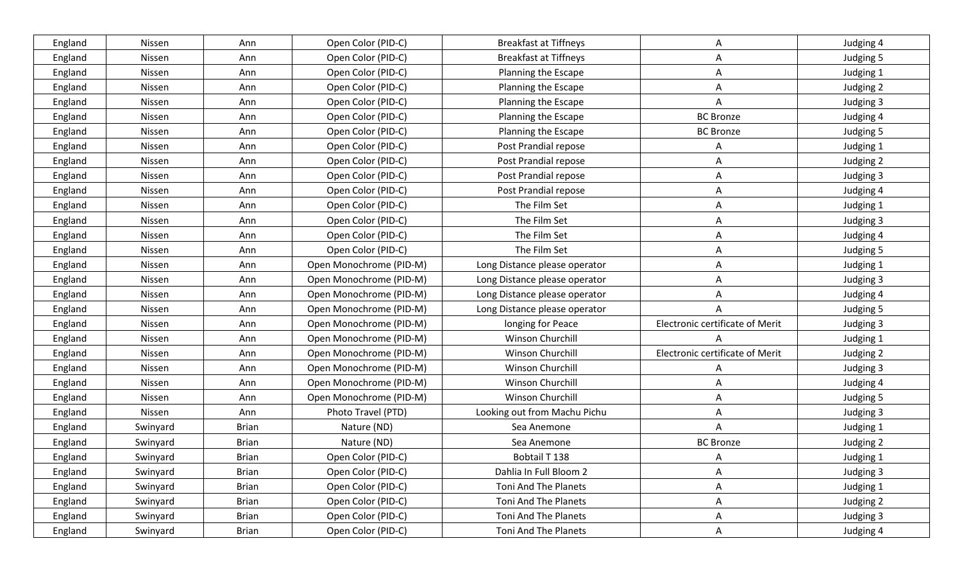| England | Nissen   | Ann          | Open Color (PID-C)      | <b>Breakfast at Tiffneys</b>  | A                               | Judging 4 |
|---------|----------|--------------|-------------------------|-------------------------------|---------------------------------|-----------|
| England | Nissen   | Ann          | Open Color (PID-C)      | <b>Breakfast at Tiffneys</b>  | A                               | Judging 5 |
| England | Nissen   | Ann          | Open Color (PID-C)      | Planning the Escape           | Α                               | Judging 1 |
| England | Nissen   | Ann          | Open Color (PID-C)      | Planning the Escape           | A                               | Judging 2 |
| England | Nissen   | Ann          | Open Color (PID-C)      | Planning the Escape           | A                               | Judging 3 |
| England | Nissen   | Ann          | Open Color (PID-C)      | Planning the Escape           | <b>BC Bronze</b>                | Judging 4 |
| England | Nissen   | Ann          | Open Color (PID-C)      | Planning the Escape           | <b>BC Bronze</b>                | Judging 5 |
| England | Nissen   | Ann          | Open Color (PID-C)      | Post Prandial repose          | A                               | Judging 1 |
| England | Nissen   | Ann          | Open Color (PID-C)      | Post Prandial repose          | A                               | Judging 2 |
| England | Nissen   | Ann          | Open Color (PID-C)      | Post Prandial repose          | A                               | Judging 3 |
| England | Nissen   | Ann          | Open Color (PID-C)      | Post Prandial repose          | A                               | Judging 4 |
| England | Nissen   | Ann          | Open Color (PID-C)      | The Film Set                  | A                               | Judging 1 |
| England | Nissen   | Ann          | Open Color (PID-C)      | The Film Set                  | Α                               | Judging 3 |
| England | Nissen   | Ann          | Open Color (PID-C)      | The Film Set                  | A                               | Judging 4 |
| England | Nissen   | Ann          | Open Color (PID-C)      | The Film Set                  | A                               | Judging 5 |
| England | Nissen   | Ann          | Open Monochrome (PID-M) | Long Distance please operator | A                               | Judging 1 |
| England | Nissen   | Ann          | Open Monochrome (PID-M) | Long Distance please operator | Α                               | Judging 3 |
| England | Nissen   | Ann          | Open Monochrome (PID-M) | Long Distance please operator | Α                               | Judging 4 |
| England | Nissen   | Ann          | Open Monochrome (PID-M) | Long Distance please operator |                                 | Judging 5 |
| England | Nissen   | Ann          | Open Monochrome (PID-M) | longing for Peace             | Electronic certificate of Merit | Judging 3 |
| England | Nissen   | Ann          | Open Monochrome (PID-M) | Winson Churchill              |                                 | Judging 1 |
| England | Nissen   | Ann          | Open Monochrome (PID-M) | Winson Churchill              | Electronic certificate of Merit | Judging 2 |
| England | Nissen   | Ann          | Open Monochrome (PID-M) | Winson Churchill              | Α                               | Judging 3 |
| England | Nissen   | Ann          | Open Monochrome (PID-M) | Winson Churchill              | Α                               | Judging 4 |
| England | Nissen   | Ann          | Open Monochrome (PID-M) | Winson Churchill              | A                               | Judging 5 |
| England | Nissen   | Ann          | Photo Travel (PTD)      | Looking out from Machu Pichu  | A                               | Judging 3 |
| England | Swinyard | <b>Brian</b> | Nature (ND)             | Sea Anemone                   | A                               | Judging 1 |
| England | Swinyard | <b>Brian</b> | Nature (ND)             | Sea Anemone                   | <b>BC</b> Bronze                | Judging 2 |
| England | Swinyard | <b>Brian</b> | Open Color (PID-C)      | Bobtail T 138                 | A                               | Judging 1 |
| England | Swinyard | <b>Brian</b> | Open Color (PID-C)      | Dahlia In Full Bloom 2        | A                               | Judging 3 |
| England | Swinyard | <b>Brian</b> | Open Color (PID-C)      | Toni And The Planets          | A                               | Judging 1 |
| England | Swinyard | <b>Brian</b> | Open Color (PID-C)      | <b>Toni And The Planets</b>   | A                               | Judging 2 |
| England | Swinyard | <b>Brian</b> | Open Color (PID-C)      | Toni And The Planets          | A                               | Judging 3 |
| England | Swinyard | <b>Brian</b> | Open Color (PID-C)      | Toni And The Planets          | $\mathsf{A}$                    | Judging 4 |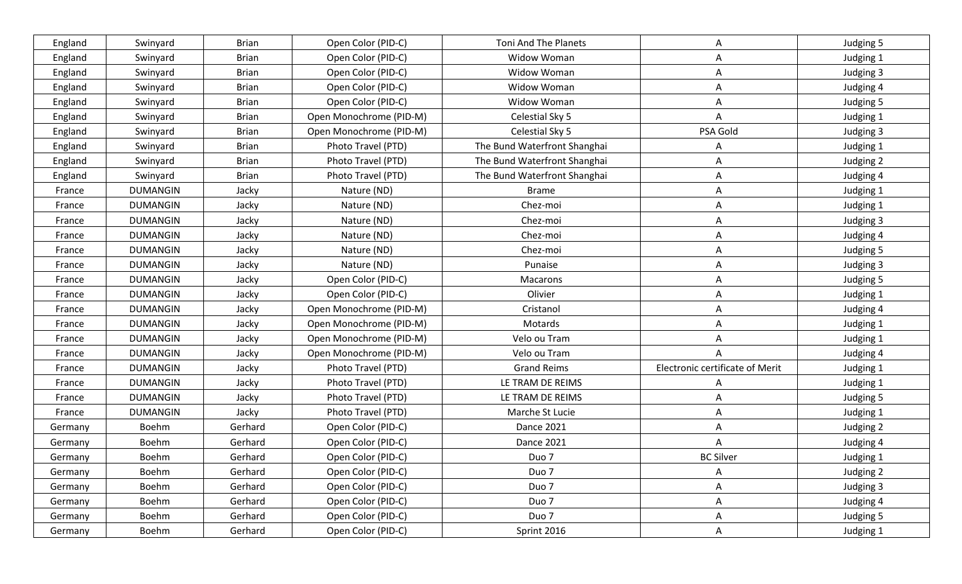| England | Swinyard        | <b>Brian</b> | Open Color (PID-C)      | Toni And The Planets         | A                               | Judging 5 |
|---------|-----------------|--------------|-------------------------|------------------------------|---------------------------------|-----------|
| England | Swinyard        | <b>Brian</b> | Open Color (PID-C)      | Widow Woman                  | A                               | Judging 1 |
| England | Swinyard        | <b>Brian</b> | Open Color (PID-C)      | Widow Woman                  | Α                               | Judging 3 |
| England | Swinyard        | <b>Brian</b> | Open Color (PID-C)      | Widow Woman                  | A                               | Judging 4 |
| England | Swinyard        | <b>Brian</b> | Open Color (PID-C)      | Widow Woman                  | A                               | Judging 5 |
| England | Swinyard        | <b>Brian</b> | Open Monochrome (PID-M) | Celestial Sky 5              | A                               | Judging 1 |
| England | Swinyard        | <b>Brian</b> | Open Monochrome (PID-M) | Celestial Sky 5              | PSA Gold                        | Judging 3 |
| England | Swinyard        | <b>Brian</b> | Photo Travel (PTD)      | The Bund Waterfront Shanghai | A                               | Judging 1 |
| England | Swinyard        | <b>Brian</b> | Photo Travel (PTD)      | The Bund Waterfront Shanghai | A                               | Judging 2 |
| England | Swinyard        | <b>Brian</b> | Photo Travel (PTD)      | The Bund Waterfront Shanghai | A                               | Judging 4 |
| France  | <b>DUMANGIN</b> | Jacky        | Nature (ND)             | <b>Brame</b>                 | A                               | Judging 1 |
| France  | <b>DUMANGIN</b> | Jacky        | Nature (ND)             | Chez-moi                     | Α                               | Judging 1 |
| France  | <b>DUMANGIN</b> | Jacky        | Nature (ND)             | Chez-moi                     | Α                               | Judging 3 |
| France  | <b>DUMANGIN</b> | Jacky        | Nature (ND)             | Chez-moi                     | A                               | Judging 4 |
| France  | <b>DUMANGIN</b> | Jacky        | Nature (ND)             | Chez-moi                     | A                               | Judging 5 |
| France  | <b>DUMANGIN</b> | Jacky        | Nature (ND)             | Punaise                      | Α                               | Judging 3 |
| France  | <b>DUMANGIN</b> | Jacky        | Open Color (PID-C)      | Macarons                     | Α                               | Judging 5 |
| France  | <b>DUMANGIN</b> | Jacky        | Open Color (PID-C)      | Olivier                      | Α                               | Judging 1 |
| France  | <b>DUMANGIN</b> | Jacky        | Open Monochrome (PID-M) | Cristanol                    | Α                               | Judging 4 |
| France  | <b>DUMANGIN</b> | Jacky        | Open Monochrome (PID-M) | Motards                      | Α                               | Judging 1 |
| France  | <b>DUMANGIN</b> | Jacky        | Open Monochrome (PID-M) | Velo ou Tram                 | Α                               | Judging 1 |
| France  | <b>DUMANGIN</b> | Jacky        | Open Monochrome (PID-M) | Velo ou Tram                 |                                 | Judging 4 |
| France  | <b>DUMANGIN</b> | Jacky        | Photo Travel (PTD)      | <b>Grand Reims</b>           | Electronic certificate of Merit | Judging 1 |
| France  | <b>DUMANGIN</b> | Jacky        | Photo Travel (PTD)      | LE TRAM DE REIMS             | A                               | Judging 1 |
| France  | <b>DUMANGIN</b> | Jacky        | Photo Travel (PTD)      | LE TRAM DE REIMS             | A                               | Judging 5 |
| France  | <b>DUMANGIN</b> | Jacky        | Photo Travel (PTD)      | Marche St Lucie              | A                               | Judging 1 |
| Germany | Boehm           | Gerhard      | Open Color (PID-C)      | Dance 2021                   | Α                               | Judging 2 |
| Germany | Boehm           | Gerhard      | Open Color (PID-C)      | Dance 2021                   | A                               | Judging 4 |
| Germany | Boehm           | Gerhard      | Open Color (PID-C)      | Duo <sub>7</sub>             | <b>BC Silver</b>                | Judging 1 |
| Germany | Boehm           | Gerhard      | Open Color (PID-C)      | Duo <sub>7</sub>             | A                               | Judging 2 |
| Germany | Boehm           | Gerhard      | Open Color (PID-C)      | Duo <sub>7</sub>             | A                               | Judging 3 |
| Germany | <b>Boehm</b>    | Gerhard      | Open Color (PID-C)      | Duo <sub>7</sub>             | A                               | Judging 4 |
| Germany | Boehm           | Gerhard      | Open Color (PID-C)      | Duo <sub>7</sub>             | A                               | Judging 5 |
| Germany | Boehm           | Gerhard      | Open Color (PID-C)      | Sprint 2016                  | $\mathsf{A}$                    | Judging 1 |
|         |                 |              |                         |                              |                                 |           |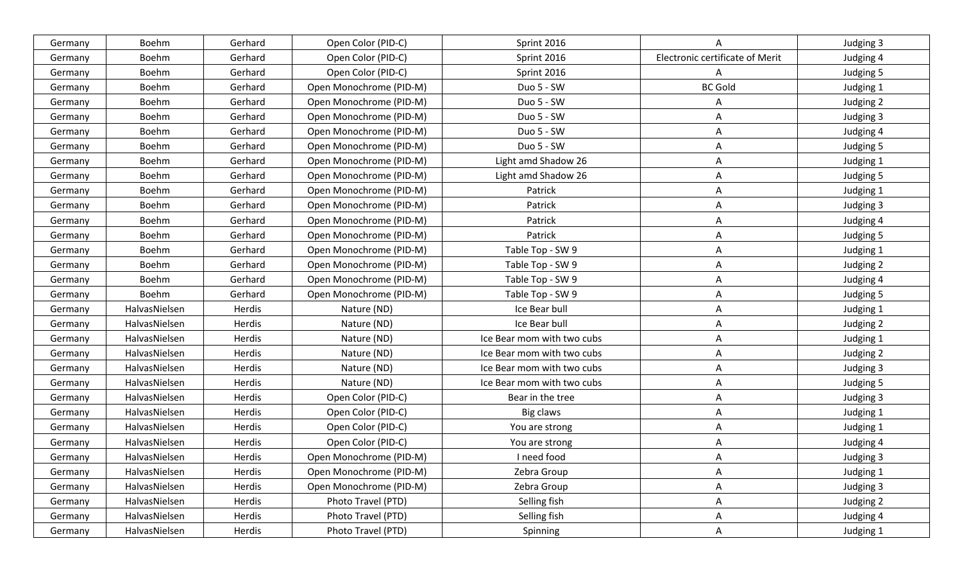| Germany | Boehm         | Gerhard | Open Color (PID-C)      | Sprint 2016                |                                 | Judging 3 |
|---------|---------------|---------|-------------------------|----------------------------|---------------------------------|-----------|
| Germany | Boehm         | Gerhard | Open Color (PID-C)      | Sprint 2016                | Electronic certificate of Merit | Judging 4 |
| Germany | Boehm         | Gerhard | Open Color (PID-C)      | Sprint 2016                | A                               | Judging 5 |
| Germany | Boehm         | Gerhard | Open Monochrome (PID-M) | Duo 5 - SW                 | <b>BC Gold</b>                  | Judging 1 |
| Germany | Boehm         | Gerhard | Open Monochrome (PID-M) | Duo 5 - SW                 | A                               | Judging 2 |
| Germany | Boehm         | Gerhard | Open Monochrome (PID-M) | Duo 5 - SW                 | Α                               | Judging 3 |
| Germany | Boehm         | Gerhard | Open Monochrome (PID-M) | Duo 5 - SW                 | A                               | Judging 4 |
| Germany | Boehm         | Gerhard | Open Monochrome (PID-M) | Duo 5 - SW                 | Α                               | Judging 5 |
| Germany | Boehm         | Gerhard | Open Monochrome (PID-M) | Light amd Shadow 26        | A                               | Judging 1 |
| Germany | Boehm         | Gerhard | Open Monochrome (PID-M) | Light amd Shadow 26        | A                               | Judging 5 |
| Germany | Boehm         | Gerhard | Open Monochrome (PID-M) | Patrick                    | Α                               | Judging 1 |
| Germany | Boehm         | Gerhard | Open Monochrome (PID-M) | Patrick                    | Α                               | Judging 3 |
| Germany | Boehm         | Gerhard | Open Monochrome (PID-M) | Patrick                    | Α                               | Judging 4 |
| Germany | Boehm         | Gerhard | Open Monochrome (PID-M) | Patrick                    | A                               | Judging 5 |
| Germany | Boehm         | Gerhard | Open Monochrome (PID-M) | Table Top - SW 9           | A                               | Judging 1 |
| Germany | Boehm         | Gerhard | Open Monochrome (PID-M) | Table Top - SW 9           | A                               | Judging 2 |
| Germany | Boehm         | Gerhard | Open Monochrome (PID-M) | Table Top - SW 9           | Α                               | Judging 4 |
| Germany | Boehm         | Gerhard | Open Monochrome (PID-M) | Table Top - SW 9           | Α                               | Judging 5 |
| Germany | HalvasNielsen | Herdis  | Nature (ND)             | Ice Bear bull              | A                               | Judging 1 |
| Germany | HalvasNielsen | Herdis  | Nature (ND)             | Ice Bear bull              | Α                               | Judging 2 |
| Germany | HalvasNielsen | Herdis  | Nature (ND)             | Ice Bear mom with two cubs | A                               | Judging 1 |
| Germany | HalvasNielsen | Herdis  | Nature (ND)             | Ice Bear mom with two cubs | A                               | Judging 2 |
| Germany | HalvasNielsen | Herdis  | Nature (ND)             | Ice Bear mom with two cubs | A                               | Judging 3 |
| Germany | HalvasNielsen | Herdis  | Nature (ND)             | Ice Bear mom with two cubs | Α                               | Judging 5 |
| Germany | HalvasNielsen | Herdis  | Open Color (PID-C)      | Bear in the tree           | A                               | Judging 3 |
| Germany | HalvasNielsen | Herdis  | Open Color (PID-C)      | Big claws                  | A                               | Judging 1 |
| Germany | HalvasNielsen | Herdis  | Open Color (PID-C)      | You are strong             | A                               | Judging 1 |
| Germany | HalvasNielsen | Herdis  | Open Color (PID-C)      | You are strong             | A                               | Judging 4 |
| Germany | HalvasNielsen | Herdis  | Open Monochrome (PID-M) | I need food                | Α                               | Judging 3 |
| Germany | HalvasNielsen | Herdis  | Open Monochrome (PID-M) | Zebra Group                | A                               | Judging 1 |
| Germany | HalvasNielsen | Herdis  | Open Monochrome (PID-M) | Zebra Group                | A                               | Judging 3 |
| Germany | HalvasNielsen | Herdis  | Photo Travel (PTD)      | Selling fish               | A                               | Judging 2 |
| Germany | HalvasNielsen | Herdis  | Photo Travel (PTD)      | Selling fish               | A                               | Judging 4 |
| Germany | HalvasNielsen | Herdis  | Photo Travel (PTD)      | Spinning                   | A                               | Judging 1 |
|         |               |         |                         |                            |                                 |           |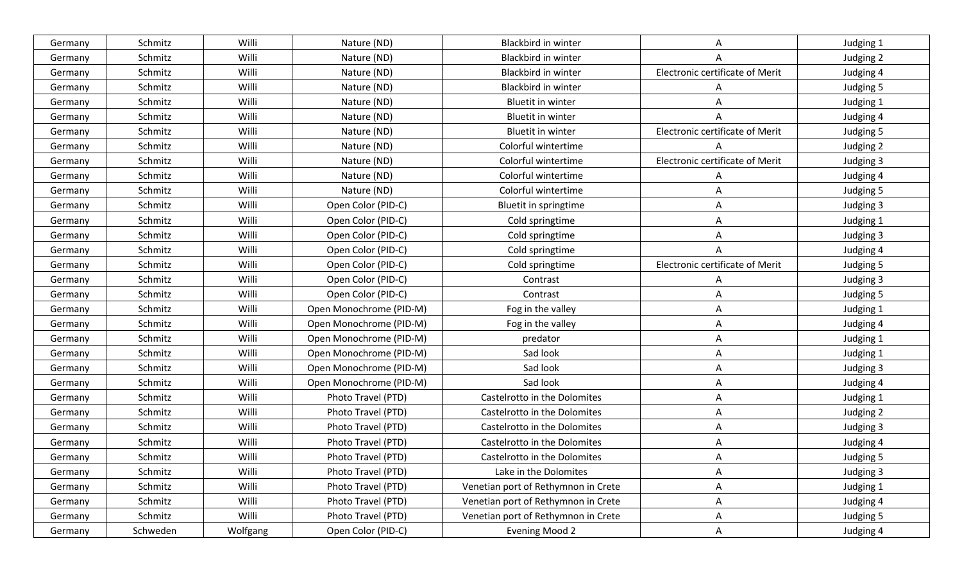| Germany | Schmitz  | Willi    | Nature (ND)             | Blackbird in winter                 | А                               | Judging 1 |
|---------|----------|----------|-------------------------|-------------------------------------|---------------------------------|-----------|
| Germany | Schmitz  | Willi    | Nature (ND)             | <b>Blackbird in winter</b>          |                                 | Judging 2 |
| Germany | Schmitz  | Willi    | Nature (ND)             | Blackbird in winter                 | Electronic certificate of Merit | Judging 4 |
| Germany | Schmitz  | Willi    | Nature (ND)             | <b>Blackbird in winter</b>          | A                               | Judging 5 |
| Germany | Schmitz  | Willi    | Nature (ND)             | Bluetit in winter                   | Α                               | Judging 1 |
| Germany | Schmitz  | Willi    | Nature (ND)             | <b>Bluetit in winter</b>            |                                 | Judging 4 |
| Germany | Schmitz  | Willi    | Nature (ND)             | Bluetit in winter                   | Electronic certificate of Merit | Judging 5 |
| Germany | Schmitz  | Willi    | Nature (ND)             | Colorful wintertime                 |                                 | Judging 2 |
| Germany | Schmitz  | Willi    | Nature (ND)             | Colorful wintertime                 | Electronic certificate of Merit | Judging 3 |
| Germany | Schmitz  | Willi    | Nature (ND)             | Colorful wintertime                 | A                               | Judging 4 |
| Germany | Schmitz  | Willi    | Nature (ND)             | Colorful wintertime                 | A                               | Judging 5 |
| Germany | Schmitz  | Willi    | Open Color (PID-C)      | Bluetit in springtime               | A                               | Judging 3 |
| Germany | Schmitz  | Willi    | Open Color (PID-C)      | Cold springtime                     | Α                               | Judging 1 |
| Germany | Schmitz  | Willi    | Open Color (PID-C)      | Cold springtime                     | A                               | Judging 3 |
| Germany | Schmitz  | Willi    | Open Color (PID-C)      | Cold springtime                     |                                 | Judging 4 |
| Germany | Schmitz  | Willi    | Open Color (PID-C)      | Cold springtime                     | Electronic certificate of Merit | Judging 5 |
| Germany | Schmitz  | Willi    | Open Color (PID-C)      | Contrast                            |                                 | Judging 3 |
| Germany | Schmitz  | Willi    | Open Color (PID-C)      | Contrast                            | A                               | Judging 5 |
| Germany | Schmitz  | Willi    | Open Monochrome (PID-M) | Fog in the valley                   | A                               | Judging 1 |
| Germany | Schmitz  | Willi    | Open Monochrome (PID-M) | Fog in the valley                   | Α                               | Judging 4 |
| Germany | Schmitz  | Willi    | Open Monochrome (PID-M) | predator                            | A                               | Judging 1 |
| Germany | Schmitz  | Willi    | Open Monochrome (PID-M) | Sad look                            | A                               | Judging 1 |
| Germany | Schmitz  | Willi    | Open Monochrome (PID-M) | Sad look                            | A                               | Judging 3 |
| Germany | Schmitz  | Willi    | Open Monochrome (PID-M) | Sad look                            | A                               | Judging 4 |
| Germany | Schmitz  | Willi    | Photo Travel (PTD)      | Castelrotto in the Dolomites        | A                               | Judging 1 |
| Germany | Schmitz  | Willi    | Photo Travel (PTD)      | Castelrotto in the Dolomites        | A                               | Judging 2 |
| Germany | Schmitz  | Willi    | Photo Travel (PTD)      | Castelrotto in the Dolomites        | Α                               | Judging 3 |
| Germany | Schmitz  | Willi    | Photo Travel (PTD)      | Castelrotto in the Dolomites        | A                               | Judging 4 |
| Germany | Schmitz  | Willi    | Photo Travel (PTD)      | Castelrotto in the Dolomites        | A                               | Judging 5 |
| Germany | Schmitz  | Willi    | Photo Travel (PTD)      | Lake in the Dolomites               | A                               | Judging 3 |
| Germany | Schmitz  | Willi    | Photo Travel (PTD)      | Venetian port of Rethymnon in Crete | A                               | Judging 1 |
| Germany | Schmitz  | Willi    | Photo Travel (PTD)      | Venetian port of Rethymnon in Crete | $\mathsf{A}$                    | Judging 4 |
| Germany | Schmitz  | Willi    | Photo Travel (PTD)      | Venetian port of Rethymnon in Crete | $\mathsf{A}$                    | Judging 5 |
| Germany | Schweden | Wolfgang | Open Color (PID-C)      | <b>Evening Mood 2</b>               | $\mathsf{A}$                    | Judging 4 |
|         |          |          |                         |                                     |                                 |           |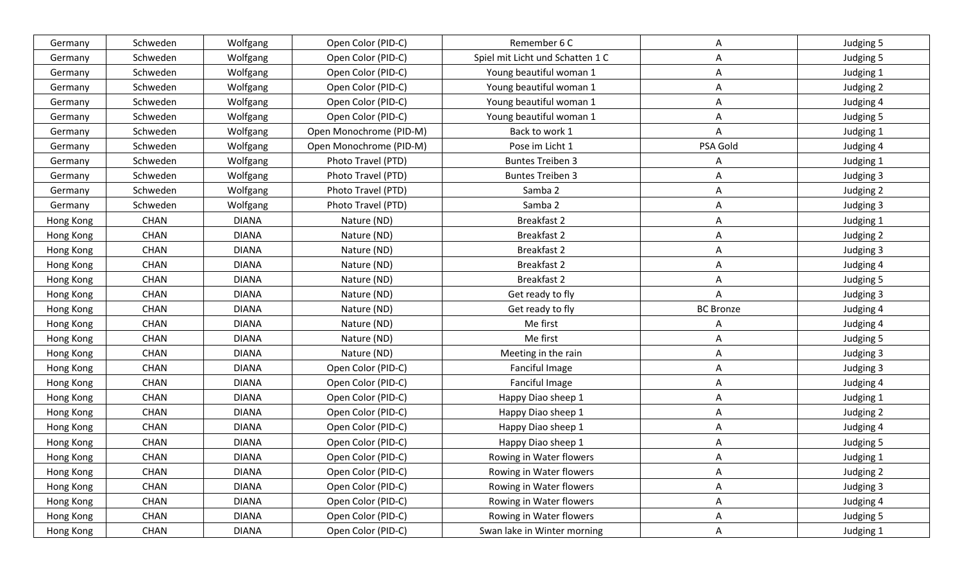| Germany   | Schweden    | Wolfgang     | Open Color (PID-C)      | Remember 6 C                     | A                | Judging 5 |
|-----------|-------------|--------------|-------------------------|----------------------------------|------------------|-----------|
| Germany   | Schweden    | Wolfgang     | Open Color (PID-C)      | Spiel mit Licht und Schatten 1 C | A                | Judging 5 |
| Germany   | Schweden    | Wolfgang     | Open Color (PID-C)      | Young beautiful woman 1          | Α                | Judging 1 |
| Germany   | Schweden    | Wolfgang     | Open Color (PID-C)      | Young beautiful woman 1          | A                | Judging 2 |
| Germany   | Schweden    | Wolfgang     | Open Color (PID-C)      | Young beautiful woman 1          | Α                | Judging 4 |
| Germany   | Schweden    | Wolfgang     | Open Color (PID-C)      | Young beautiful woman 1          | Α                | Judging 5 |
| Germany   | Schweden    | Wolfgang     | Open Monochrome (PID-M) | Back to work 1                   | A                | Judging 1 |
| Germany   | Schweden    | Wolfgang     | Open Monochrome (PID-M) | Pose im Licht 1                  | PSA Gold         | Judging 4 |
| Germany   | Schweden    | Wolfgang     | Photo Travel (PTD)      | <b>Buntes Treiben 3</b>          | A                | Judging 1 |
| Germany   | Schweden    | Wolfgang     | Photo Travel (PTD)      | <b>Buntes Treiben 3</b>          | Α                | Judging 3 |
| Germany   | Schweden    | Wolfgang     | Photo Travel (PTD)      | Samba 2                          | Α                | Judging 2 |
| Germany   | Schweden    | Wolfgang     | Photo Travel (PTD)      | Samba 2                          | Α                | Judging 3 |
| Hong Kong | <b>CHAN</b> | <b>DIANA</b> | Nature (ND)             | <b>Breakfast 2</b>               | Α                | Judging 1 |
| Hong Kong | <b>CHAN</b> | <b>DIANA</b> | Nature (ND)             | <b>Breakfast 2</b>               | A                | Judging 2 |
| Hong Kong | <b>CHAN</b> | <b>DIANA</b> | Nature (ND)             | <b>Breakfast 2</b>               | A                | Judging 3 |
| Hong Kong | <b>CHAN</b> | <b>DIANA</b> | Nature (ND)             | Breakfast 2                      | A                | Judging 4 |
| Hong Kong | <b>CHAN</b> | <b>DIANA</b> | Nature (ND)             | <b>Breakfast 2</b>               | Α                | Judging 5 |
| Hong Kong | CHAN        | <b>DIANA</b> | Nature (ND)             | Get ready to fly                 | A                | Judging 3 |
| Hong Kong | CHAN        | <b>DIANA</b> | Nature (ND)             | Get ready to fly                 | <b>BC Bronze</b> | Judging 4 |
| Hong Kong | <b>CHAN</b> | <b>DIANA</b> | Nature (ND)             | Me first                         | A                | Judging 4 |
| Hong Kong | <b>CHAN</b> | <b>DIANA</b> | Nature (ND)             | Me first                         | Α                | Judging 5 |
| Hong Kong | <b>CHAN</b> | <b>DIANA</b> | Nature (ND)             | Meeting in the rain              | A                | Judging 3 |
| Hong Kong | CHAN        | <b>DIANA</b> | Open Color (PID-C)      | Fanciful Image                   | A                | Judging 3 |
| Hong Kong | <b>CHAN</b> | <b>DIANA</b> | Open Color (PID-C)      | Fanciful Image                   | Α                | Judging 4 |
| Hong Kong | <b>CHAN</b> | <b>DIANA</b> | Open Color (PID-C)      | Happy Diao sheep 1               | A                | Judging 1 |
| Hong Kong | <b>CHAN</b> | <b>DIANA</b> | Open Color (PID-C)      | Happy Diao sheep 1               | A                | Judging 2 |
| Hong Kong | <b>CHAN</b> | <b>DIANA</b> | Open Color (PID-C)      | Happy Diao sheep 1               | A                | Judging 4 |
| Hong Kong | <b>CHAN</b> | <b>DIANA</b> | Open Color (PID-C)      | Happy Diao sheep 1               | A                | Judging 5 |
| Hong Kong | <b>CHAN</b> | <b>DIANA</b> | Open Color (PID-C)      | Rowing in Water flowers          | Α                | Judging 1 |
| Hong Kong | <b>CHAN</b> | <b>DIANA</b> | Open Color (PID-C)      | Rowing in Water flowers          | A                | Judging 2 |
| Hong Kong | CHAN        | <b>DIANA</b> | Open Color (PID-C)      | Rowing in Water flowers          | A                | Judging 3 |
| Hong Kong | CHAN        | <b>DIANA</b> | Open Color (PID-C)      | Rowing in Water flowers          | A                | Judging 4 |
| Hong Kong | CHAN        | <b>DIANA</b> | Open Color (PID-C)      | Rowing in Water flowers          | A                | Judging 5 |
| Hong Kong | CHAN        | <b>DIANA</b> | Open Color (PID-C)      | Swan lake in Winter morning      | $\mathsf{A}$     | Judging 1 |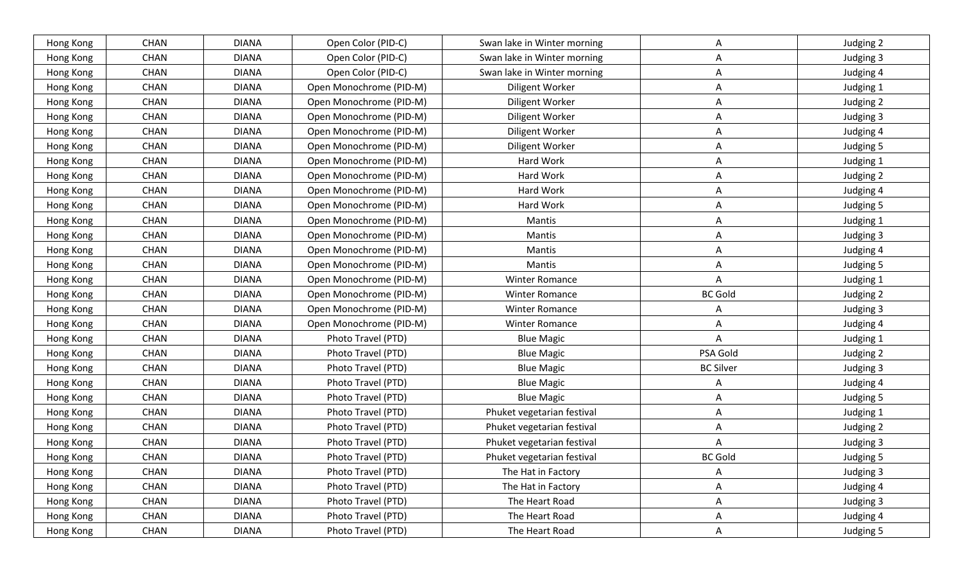| Hong Kong | <b>CHAN</b> | <b>DIANA</b> | Open Color (PID-C)      | Swan lake in Winter morning | A                | Judging 2 |
|-----------|-------------|--------------|-------------------------|-----------------------------|------------------|-----------|
| Hong Kong | <b>CHAN</b> | <b>DIANA</b> | Open Color (PID-C)      | Swan lake in Winter morning | A                | Judging 3 |
| Hong Kong | CHAN        | <b>DIANA</b> | Open Color (PID-C)      | Swan lake in Winter morning | Α                | Judging 4 |
| Hong Kong | <b>CHAN</b> | <b>DIANA</b> | Open Monochrome (PID-M) | Diligent Worker             | A                | Judging 1 |
| Hong Kong | <b>CHAN</b> | <b>DIANA</b> | Open Monochrome (PID-M) | Diligent Worker             | A                | Judging 2 |
| Hong Kong | CHAN        | <b>DIANA</b> | Open Monochrome (PID-M) | Diligent Worker             | A                | Judging 3 |
| Hong Kong | <b>CHAN</b> | <b>DIANA</b> | Open Monochrome (PID-M) | Diligent Worker             | A                | Judging 4 |
| Hong Kong | CHAN        | <b>DIANA</b> | Open Monochrome (PID-M) | Diligent Worker             | A                | Judging 5 |
| Hong Kong | <b>CHAN</b> | <b>DIANA</b> | Open Monochrome (PID-M) | Hard Work                   | A                | Judging 1 |
| Hong Kong | <b>CHAN</b> | <b>DIANA</b> | Open Monochrome (PID-M) | Hard Work                   | A                | Judging 2 |
| Hong Kong | <b>CHAN</b> | <b>DIANA</b> | Open Monochrome (PID-M) | Hard Work                   | A                | Judging 4 |
| Hong Kong | <b>CHAN</b> | <b>DIANA</b> | Open Monochrome (PID-M) | Hard Work                   | A                | Judging 5 |
| Hong Kong | <b>CHAN</b> | <b>DIANA</b> | Open Monochrome (PID-M) | Mantis                      | A                | Judging 1 |
| Hong Kong | <b>CHAN</b> | <b>DIANA</b> | Open Monochrome (PID-M) | Mantis                      | A                | Judging 3 |
| Hong Kong | CHAN        | <b>DIANA</b> | Open Monochrome (PID-M) | Mantis                      | A                | Judging 4 |
| Hong Kong | <b>CHAN</b> | <b>DIANA</b> | Open Monochrome (PID-M) | Mantis                      | A                | Judging 5 |
| Hong Kong | <b>CHAN</b> | <b>DIANA</b> | Open Monochrome (PID-M) | Winter Romance              | Α                | Judging 1 |
| Hong Kong | CHAN        | <b>DIANA</b> | Open Monochrome (PID-M) | <b>Winter Romance</b>       | <b>BC Gold</b>   | Judging 2 |
| Hong Kong | <b>CHAN</b> | <b>DIANA</b> | Open Monochrome (PID-M) | Winter Romance              | A                | Judging 3 |
| Hong Kong | CHAN        | <b>DIANA</b> | Open Monochrome (PID-M) | <b>Winter Romance</b>       | Α                | Judging 4 |
| Hong Kong | <b>CHAN</b> | <b>DIANA</b> | Photo Travel (PTD)      | <b>Blue Magic</b>           | A                | Judging 1 |
| Hong Kong | <b>CHAN</b> | <b>DIANA</b> | Photo Travel (PTD)      | <b>Blue Magic</b>           | PSA Gold         | Judging 2 |
| Hong Kong | <b>CHAN</b> | <b>DIANA</b> | Photo Travel (PTD)      | <b>Blue Magic</b>           | <b>BC Silver</b> | Judging 3 |
| Hong Kong | <b>CHAN</b> | <b>DIANA</b> | Photo Travel (PTD)      | <b>Blue Magic</b>           | A                | Judging 4 |
| Hong Kong | <b>CHAN</b> | <b>DIANA</b> | Photo Travel (PTD)      | <b>Blue Magic</b>           | Α                | Judging 5 |
| Hong Kong | <b>CHAN</b> | <b>DIANA</b> | Photo Travel (PTD)      | Phuket vegetarian festival  | A                | Judging 1 |
| Hong Kong | CHAN        | <b>DIANA</b> | Photo Travel (PTD)      | Phuket vegetarian festival  | Α                | Judging 2 |
| Hong Kong | <b>CHAN</b> | <b>DIANA</b> | Photo Travel (PTD)      | Phuket vegetarian festival  | A                | Judging 3 |
| Hong Kong | <b>CHAN</b> | <b>DIANA</b> | Photo Travel (PTD)      | Phuket vegetarian festival  | <b>BC Gold</b>   | Judging 5 |
| Hong Kong | <b>CHAN</b> | <b>DIANA</b> | Photo Travel (PTD)      | The Hat in Factory          | A                | Judging 3 |
| Hong Kong | CHAN        | <b>DIANA</b> | Photo Travel (PTD)      | The Hat in Factory          | A                | Judging 4 |
| Hong Kong | <b>CHAN</b> | <b>DIANA</b> | Photo Travel (PTD)      | The Heart Road              | A                | Judging 3 |
| Hong Kong | CHAN        | <b>DIANA</b> | Photo Travel (PTD)      | The Heart Road              | A                | Judging 4 |
| Hong Kong | CHAN        | <b>DIANA</b> | Photo Travel (PTD)      | The Heart Road              | $\mathsf{A}$     | Judging 5 |
|           |             |              |                         |                             |                  |           |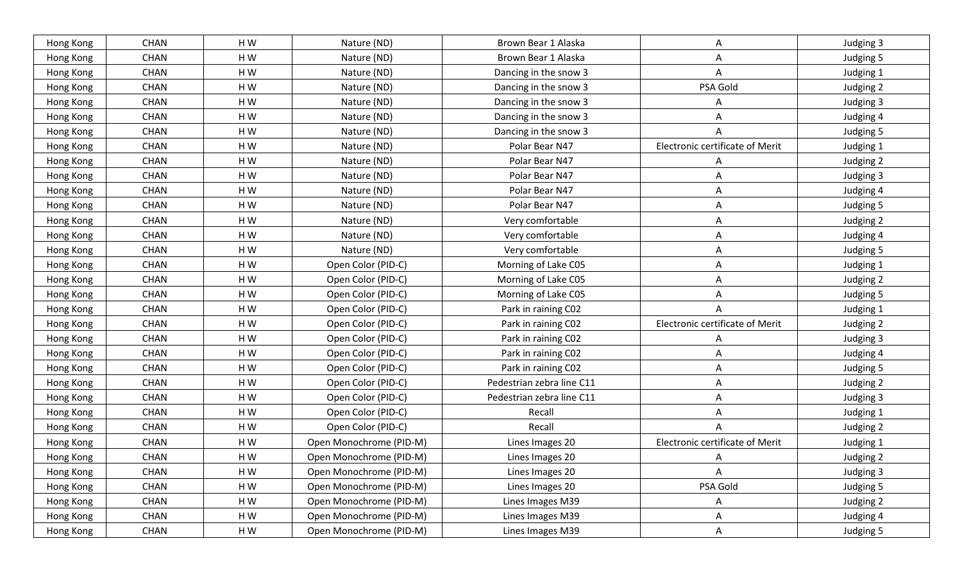| Hong Kong | <b>CHAN</b> | HW        | Nature (ND)             | Brown Bear 1 Alaska       | A                               | Judging 3 |
|-----------|-------------|-----------|-------------------------|---------------------------|---------------------------------|-----------|
| Hong Kong | <b>CHAN</b> | HW        | Nature (ND)             | Brown Bear 1 Alaska       | A                               | Judging 5 |
| Hong Kong | <b>CHAN</b> | HW        | Nature (ND)             | Dancing in the snow 3     | A                               | Judging 1 |
| Hong Kong | <b>CHAN</b> | HW        | Nature (ND)             | Dancing in the snow 3     | PSA Gold                        | Judging 2 |
| Hong Kong | <b>CHAN</b> | HW        | Nature (ND)             | Dancing in the snow 3     | A                               | Judging 3 |
| Hong Kong | <b>CHAN</b> | HW        | Nature (ND)             | Dancing in the snow 3     | A                               | Judging 4 |
| Hong Kong | <b>CHAN</b> | HW        | Nature (ND)             | Dancing in the snow 3     | A                               | Judging 5 |
| Hong Kong | <b>CHAN</b> | HW        | Nature (ND)             | Polar Bear N47            | Electronic certificate of Merit | Judging 1 |
| Hong Kong | <b>CHAN</b> | HW        | Nature (ND)             | Polar Bear N47            | A                               | Judging 2 |
| Hong Kong | <b>CHAN</b> | HW        | Nature (ND)             | Polar Bear N47            | Α                               | Judging 3 |
| Hong Kong | <b>CHAN</b> | HW        | Nature (ND)             | Polar Bear N47            | Α                               | Judging 4 |
| Hong Kong | <b>CHAN</b> | HW        | Nature (ND)             | Polar Bear N47            | Α                               | Judging 5 |
| Hong Kong | <b>CHAN</b> | HW        | Nature (ND)             | Very comfortable          | Α                               | Judging 2 |
| Hong Kong | <b>CHAN</b> | HW        | Nature (ND)             | Very comfortable          | A                               | Judging 4 |
| Hong Kong | <b>CHAN</b> | HW        | Nature (ND)             | Very comfortable          | Α                               | Judging 5 |
| Hong Kong | <b>CHAN</b> | HW        | Open Color (PID-C)      | Morning of Lake C05       | A                               | Judging 1 |
| Hong Kong | <b>CHAN</b> | HW        | Open Color (PID-C)      | Morning of Lake C05       | Α                               | Judging 2 |
| Hong Kong | <b>CHAN</b> | HW        | Open Color (PID-C)      | Morning of Lake C05       | Α                               | Judging 5 |
| Hong Kong | <b>CHAN</b> | HW        | Open Color (PID-C)      | Park in raining C02       |                                 | Judging 1 |
| Hong Kong | <b>CHAN</b> | HW        | Open Color (PID-C)      | Park in raining C02       | Electronic certificate of Merit | Judging 2 |
| Hong Kong | <b>CHAN</b> | HW        | Open Color (PID-C)      | Park in raining C02       | A                               | Judging 3 |
| Hong Kong | <b>CHAN</b> | HW        | Open Color (PID-C)      | Park in raining C02       | Α                               | Judging 4 |
| Hong Kong | <b>CHAN</b> | HW        | Open Color (PID-C)      | Park in raining C02       | A                               | Judging 5 |
| Hong Kong | <b>CHAN</b> | HW        | Open Color (PID-C)      | Pedestrian zebra line C11 | Α                               | Judging 2 |
| Hong Kong | <b>CHAN</b> | HW        | Open Color (PID-C)      | Pedestrian zebra line C11 | A                               | Judging 3 |
| Hong Kong | <b>CHAN</b> | HW        | Open Color (PID-C)      | Recall                    | A                               | Judging 1 |
| Hong Kong | <b>CHAN</b> | HW        | Open Color (PID-C)      | Recall                    | A                               | Judging 2 |
| Hong Kong | <b>CHAN</b> | HW        | Open Monochrome (PID-M) | Lines Images 20           | Electronic certificate of Merit | Judging 1 |
| Hong Kong | <b>CHAN</b> | HW        | Open Monochrome (PID-M) | Lines Images 20           |                                 | Judging 2 |
| Hong Kong | <b>CHAN</b> | HW        | Open Monochrome (PID-M) | Lines Images 20           | A                               | Judging 3 |
| Hong Kong | <b>CHAN</b> | $\sf H$ W | Open Monochrome (PID-M) | Lines Images 20           | PSA Gold                        | Judging 5 |
| Hong Kong | <b>CHAN</b> | $\sf H$ W | Open Monochrome (PID-M) | Lines Images M39          | A                               | Judging 2 |
| Hong Kong | <b>CHAN</b> | HW        | Open Monochrome (PID-M) | Lines Images M39          | A                               | Judging 4 |
| Hong Kong | <b>CHAN</b> | HW        | Open Monochrome (PID-M) | Lines Images M39          | $\mathsf{A}$                    | Judging 5 |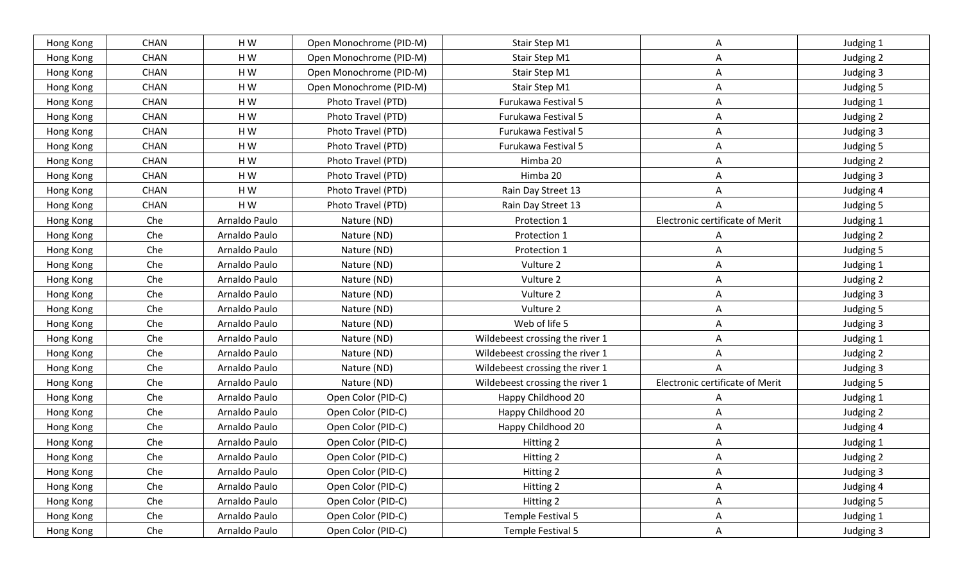| Hong Kong | <b>CHAN</b> | HW            | Open Monochrome (PID-M) | Stair Step M1                   | A                               | Judging 1 |
|-----------|-------------|---------------|-------------------------|---------------------------------|---------------------------------|-----------|
| Hong Kong | <b>CHAN</b> | HW            | Open Monochrome (PID-M) | Stair Step M1                   | A                               | Judging 2 |
| Hong Kong | <b>CHAN</b> | HW            | Open Monochrome (PID-M) | Stair Step M1                   | A                               | Judging 3 |
| Hong Kong | <b>CHAN</b> | HW            | Open Monochrome (PID-M) | Stair Step M1                   | A                               | Judging 5 |
| Hong Kong | <b>CHAN</b> | HW            | Photo Travel (PTD)      | Furukawa Festival 5             | A                               | Judging 1 |
| Hong Kong | <b>CHAN</b> | HW            | Photo Travel (PTD)      | Furukawa Festival 5             | A                               | Judging 2 |
| Hong Kong | <b>CHAN</b> | HW            | Photo Travel (PTD)      | Furukawa Festival 5             | A                               | Judging 3 |
| Hong Kong | <b>CHAN</b> | HW            | Photo Travel (PTD)      | Furukawa Festival 5             | A                               | Judging 5 |
| Hong Kong | <b>CHAN</b> | HW            | Photo Travel (PTD)      | Himba 20                        | A                               | Judging 2 |
| Hong Kong | <b>CHAN</b> | HW            | Photo Travel (PTD)      | Himba 20                        | Α                               | Judging 3 |
| Hong Kong | <b>CHAN</b> | HW            | Photo Travel (PTD)      | Rain Day Street 13              | A                               | Judging 4 |
| Hong Kong | <b>CHAN</b> | HW            | Photo Travel (PTD)      | Rain Day Street 13              | A                               | Judging 5 |
| Hong Kong | Che         | Arnaldo Paulo | Nature (ND)             | Protection 1                    | Electronic certificate of Merit | Judging 1 |
| Hong Kong | Che         | Arnaldo Paulo | Nature (ND)             | Protection 1                    | A                               | Judging 2 |
| Hong Kong | Che         | Arnaldo Paulo | Nature (ND)             | Protection 1                    | Α                               | Judging 5 |
| Hong Kong | Che         | Arnaldo Paulo | Nature (ND)             | Vulture 2                       | A                               | Judging 1 |
| Hong Kong | Che         | Arnaldo Paulo | Nature (ND)             | Vulture 2                       | A                               | Judging 2 |
| Hong Kong | Che         | Arnaldo Paulo | Nature (ND)             | Vulture 2                       | A                               | Judging 3 |
| Hong Kong | Che         | Arnaldo Paulo | Nature (ND)             | Vulture 2                       | A                               | Judging 5 |
| Hong Kong | Che         | Arnaldo Paulo | Nature (ND)             | Web of life 5                   | Α                               | Judging 3 |
| Hong Kong | Che         | Arnaldo Paulo | Nature (ND)             | Wildebeest crossing the river 1 | A                               | Judging 1 |
| Hong Kong | Che         | Arnaldo Paulo | Nature (ND)             | Wildebeest crossing the river 1 | Α                               | Judging 2 |
| Hong Kong | Che         | Arnaldo Paulo | Nature (ND)             | Wildebeest crossing the river 1 | A                               | Judging 3 |
| Hong Kong | Che         | Arnaldo Paulo | Nature (ND)             | Wildebeest crossing the river 1 | Electronic certificate of Merit | Judging 5 |
| Hong Kong | Che         | Arnaldo Paulo | Open Color (PID-C)      | Happy Childhood 20              | Α                               | Judging 1 |
| Hong Kong | Che         | Arnaldo Paulo | Open Color (PID-C)      | Happy Childhood 20              | A                               | Judging 2 |
| Hong Kong | Che         | Arnaldo Paulo | Open Color (PID-C)      | Happy Childhood 20              | Α                               | Judging 4 |
| Hong Kong | Che         | Arnaldo Paulo | Open Color (PID-C)      | Hitting 2                       | A                               | Judging 1 |
| Hong Kong | Che         | Arnaldo Paulo | Open Color (PID-C)      | Hitting 2                       | A                               | Judging 2 |
| Hong Kong | Che         | Arnaldo Paulo | Open Color (PID-C)      | Hitting 2                       | A                               | Judging 3 |
| Hong Kong | Che         | Arnaldo Paulo | Open Color (PID-C)      | Hitting 2                       | A                               | Judging 4 |
| Hong Kong | Che         | Arnaldo Paulo | Open Color (PID-C)      | Hitting 2                       | A                               | Judging 5 |
| Hong Kong | Che         | Arnaldo Paulo | Open Color (PID-C)      | Temple Festival 5               | A                               | Judging 1 |
| Hong Kong | Che         | Arnaldo Paulo | Open Color (PID-C)      | Temple Festival 5               | $\mathsf{A}$                    | Judging 3 |
|           |             |               |                         |                                 |                                 |           |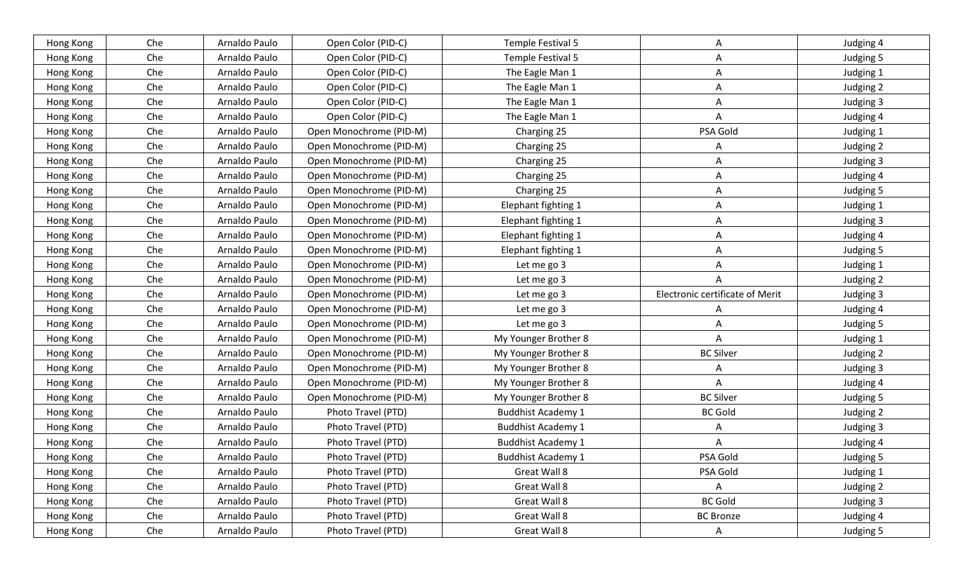| Hong Kong | Che | Arnaldo Paulo | Open Color (PID-C)      | Temple Festival 5         | Α                               | Judging 4 |
|-----------|-----|---------------|-------------------------|---------------------------|---------------------------------|-----------|
| Hong Kong | Che | Arnaldo Paulo | Open Color (PID-C)      | Temple Festival 5         | A                               | Judging 5 |
| Hong Kong | Che | Arnaldo Paulo | Open Color (PID-C)      | The Eagle Man 1           | Α                               | Judging 1 |
| Hong Kong | Che | Arnaldo Paulo | Open Color (PID-C)      | The Eagle Man 1           | $\mathsf{A}$                    | Judging 2 |
| Hong Kong | Che | Arnaldo Paulo | Open Color (PID-C)      | The Eagle Man 1           | A                               | Judging 3 |
| Hong Kong | Che | Arnaldo Paulo | Open Color (PID-C)      | The Eagle Man 1           | A                               | Judging 4 |
| Hong Kong | Che | Arnaldo Paulo | Open Monochrome (PID-M) | Charging 25               | PSA Gold                        | Judging 1 |
| Hong Kong | Che | Arnaldo Paulo | Open Monochrome (PID-M) | Charging 25               | Α                               | Judging 2 |
| Hong Kong | Che | Arnaldo Paulo | Open Monochrome (PID-M) | Charging 25               | A                               | Judging 3 |
| Hong Kong | Che | Arnaldo Paulo | Open Monochrome (PID-M) | Charging 25               | Α                               | Judging 4 |
| Hong Kong | Che | Arnaldo Paulo | Open Monochrome (PID-M) | Charging 25               | A                               | Judging 5 |
| Hong Kong | Che | Arnaldo Paulo | Open Monochrome (PID-M) | Elephant fighting 1       | A                               | Judging 1 |
| Hong Kong | Che | Arnaldo Paulo | Open Monochrome (PID-M) | Elephant fighting 1       | A                               | Judging 3 |
| Hong Kong | Che | Arnaldo Paulo | Open Monochrome (PID-M) | Elephant fighting 1       | A                               | Judging 4 |
| Hong Kong | Che | Arnaldo Paulo | Open Monochrome (PID-M) | Elephant fighting 1       | A                               | Judging 5 |
| Hong Kong | Che | Arnaldo Paulo | Open Monochrome (PID-M) | Let me go 3               | A                               | Judging 1 |
| Hong Kong | Che | Arnaldo Paulo | Open Monochrome (PID-M) | Let me go 3               | Α                               | Judging 2 |
| Hong Kong | Che | Arnaldo Paulo | Open Monochrome (PID-M) | Let me go 3               | Electronic certificate of Merit | Judging 3 |
| Hong Kong | Che | Arnaldo Paulo | Open Monochrome (PID-M) | Let me go 3               | A                               | Judging 4 |
| Hong Kong | Che | Arnaldo Paulo | Open Monochrome (PID-M) | Let me go 3               | Α                               | Judging 5 |
| Hong Kong | Che | Arnaldo Paulo | Open Monochrome (PID-M) | My Younger Brother 8      | Α                               | Judging 1 |
| Hong Kong | Che | Arnaldo Paulo | Open Monochrome (PID-M) | My Younger Brother 8      | <b>BC Silver</b>                | Judging 2 |
| Hong Kong | Che | Arnaldo Paulo | Open Monochrome (PID-M) | My Younger Brother 8      | A                               | Judging 3 |
| Hong Kong | Che | Arnaldo Paulo | Open Monochrome (PID-M) | My Younger Brother 8      | A                               | Judging 4 |
| Hong Kong | Che | Arnaldo Paulo | Open Monochrome (PID-M) | My Younger Brother 8      | <b>BC Silver</b>                | Judging 5 |
| Hong Kong | Che | Arnaldo Paulo | Photo Travel (PTD)      | <b>Buddhist Academy 1</b> | <b>BC Gold</b>                  | Judging 2 |
| Hong Kong | Che | Arnaldo Paulo | Photo Travel (PTD)      | <b>Buddhist Academy 1</b> | A                               | Judging 3 |
| Hong Kong | Che | Arnaldo Paulo | Photo Travel (PTD)      | <b>Buddhist Academy 1</b> | Α                               | Judging 4 |
| Hong Kong | Che | Arnaldo Paulo | Photo Travel (PTD)      | <b>Buddhist Academy 1</b> | PSA Gold                        | Judging 5 |
| Hong Kong | Che | Arnaldo Paulo | Photo Travel (PTD)      | Great Wall 8              | PSA Gold                        | Judging 1 |
| Hong Kong | Che | Arnaldo Paulo | Photo Travel (PTD)      | Great Wall 8              | A                               | Judging 2 |
| Hong Kong | Che | Arnaldo Paulo | Photo Travel (PTD)      | Great Wall 8              | <b>BC Gold</b>                  | Judging 3 |
| Hong Kong | Che | Arnaldo Paulo | Photo Travel (PTD)      | Great Wall 8              | <b>BC Bronze</b>                | Judging 4 |
|           |     |               |                         |                           |                                 |           |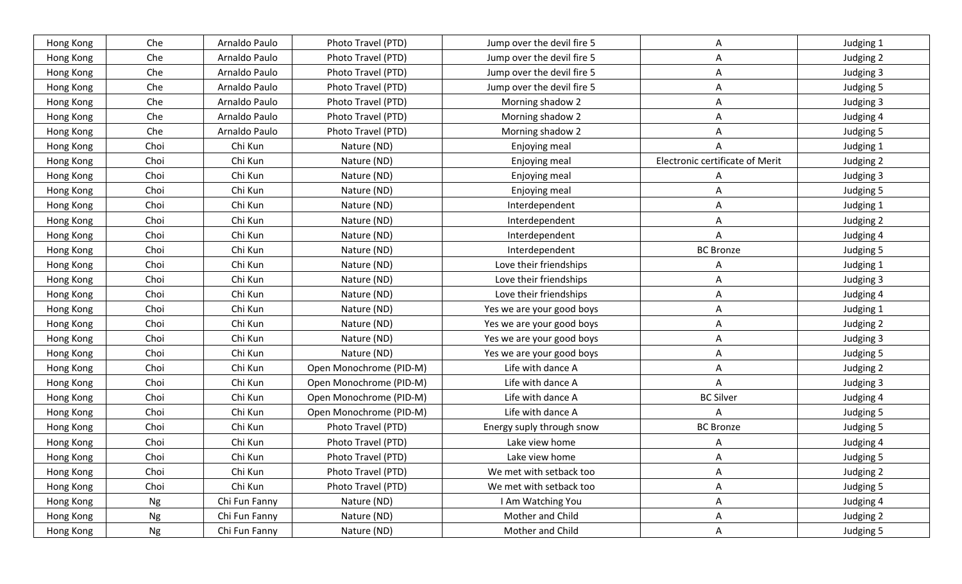| Hong Kong | Che  | Arnaldo Paulo | Photo Travel (PTD)      | Jump over the devil fire 5 | A                               | Judging 1 |
|-----------|------|---------------|-------------------------|----------------------------|---------------------------------|-----------|
| Hong Kong | Che  | Arnaldo Paulo | Photo Travel (PTD)      | Jump over the devil fire 5 | A                               | Judging 2 |
| Hong Kong | Che  | Arnaldo Paulo | Photo Travel (PTD)      | Jump over the devil fire 5 | A                               | Judging 3 |
| Hong Kong | Che  | Arnaldo Paulo | Photo Travel (PTD)      | Jump over the devil fire 5 | A                               | Judging 5 |
| Hong Kong | Che  | Arnaldo Paulo | Photo Travel (PTD)      | Morning shadow 2           | A                               | Judging 3 |
| Hong Kong | Che  | Arnaldo Paulo | Photo Travel (PTD)      | Morning shadow 2           | $\mathsf{A}$                    | Judging 4 |
| Hong Kong | Che  | Arnaldo Paulo | Photo Travel (PTD)      | Morning shadow 2           | A                               | Judging 5 |
| Hong Kong | Choi | Chi Kun       | Nature (ND)             | Enjoying meal              | A                               | Judging 1 |
| Hong Kong | Choi | Chi Kun       | Nature (ND)             | Enjoying meal              | Electronic certificate of Merit | Judging 2 |
| Hong Kong | Choi | Chi Kun       | Nature (ND)             | Enjoying meal              | A                               | Judging 3 |
| Hong Kong | Choi | Chi Kun       | Nature (ND)             | Enjoying meal              | A                               | Judging 5 |
| Hong Kong | Choi | Chi Kun       | Nature (ND)             | Interdependent             | Α                               | Judging 1 |
| Hong Kong | Choi | Chi Kun       | Nature (ND)             | Interdependent             | A                               | Judging 2 |
| Hong Kong | Choi | Chi Kun       | Nature (ND)             | Interdependent             | Α                               | Judging 4 |
| Hong Kong | Choi | Chi Kun       | Nature (ND)             | Interdependent             | <b>BC Bronze</b>                | Judging 5 |
| Hong Kong | Choi | Chi Kun       | Nature (ND)             | Love their friendships     | A                               | Judging 1 |
| Hong Kong | Choi | Chi Kun       | Nature (ND)             | Love their friendships     | Α                               | Judging 3 |
| Hong Kong | Choi | Chi Kun       | Nature (ND)             | Love their friendships     | A                               | Judging 4 |
| Hong Kong | Choi | Chi Kun       | Nature (ND)             | Yes we are your good boys  | A                               | Judging 1 |
| Hong Kong | Choi | Chi Kun       | Nature (ND)             | Yes we are your good boys  | Α                               | Judging 2 |
| Hong Kong | Choi | Chi Kun       | Nature (ND)             | Yes we are your good boys  | A                               | Judging 3 |
| Hong Kong | Choi | Chi Kun       | Nature (ND)             | Yes we are your good boys  | $\mathsf{A}$                    | Judging 5 |
| Hong Kong | Choi | Chi Kun       | Open Monochrome (PID-M) | Life with dance A          | A                               | Judging 2 |
| Hong Kong | Choi | Chi Kun       | Open Monochrome (PID-M) | Life with dance A          | A                               | Judging 3 |
| Hong Kong | Choi | Chi Kun       | Open Monochrome (PID-M) | Life with dance A          | <b>BC Silver</b>                | Judging 4 |
| Hong Kong | Choi | Chi Kun       | Open Monochrome (PID-M) | Life with dance A          | A                               | Judging 5 |
| Hong Kong | Choi | Chi Kun       | Photo Travel (PTD)      | Energy suply through snow  | <b>BC Bronze</b>                | Judging 5 |
| Hong Kong | Choi | Chi Kun       | Photo Travel (PTD)      | Lake view home             | A                               | Judging 4 |
| Hong Kong | Choi | Chi Kun       | Photo Travel (PTD)      | Lake view home             | A                               | Judging 5 |
| Hong Kong | Choi | Chi Kun       | Photo Travel (PTD)      | We met with setback too    | A                               | Judging 2 |
| Hong Kong | Choi | Chi Kun       | Photo Travel (PTD)      | We met with setback too    | $\mathsf{A}$                    | Judging 5 |
| Hong Kong | Ng   | Chi Fun Fanny | Nature (ND)             | I Am Watching You          | A                               | Judging 4 |
| Hong Kong | Ng   | Chi Fun Fanny | Nature (ND)             | Mother and Child           | A                               | Judging 2 |
| Hong Kong | Ng   | Chi Fun Fanny | Nature (ND)             | Mother and Child           | $\mathsf{A}$                    | Judging 5 |
|           |      |               |                         |                            |                                 |           |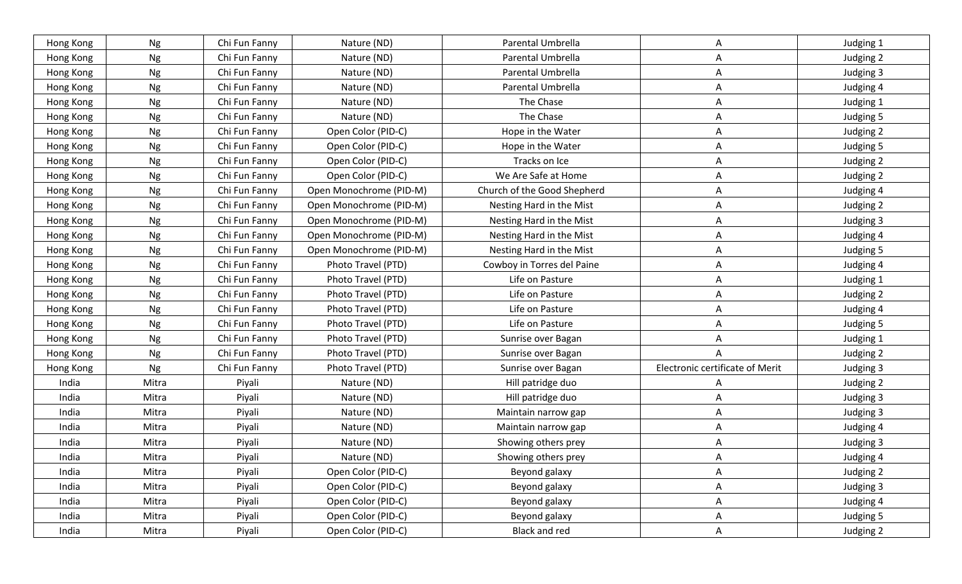| Hong Kong | Ng        | Chi Fun Fanny | Nature (ND)             | Parental Umbrella           | A                               | Judging 1 |
|-----------|-----------|---------------|-------------------------|-----------------------------|---------------------------------|-----------|
| Hong Kong | Ng        | Chi Fun Fanny | Nature (ND)             | Parental Umbrella           | A                               | Judging 2 |
| Hong Kong | Ng        | Chi Fun Fanny | Nature (ND)             | Parental Umbrella           | Α                               | Judging 3 |
| Hong Kong | Ng        | Chi Fun Fanny | Nature (ND)             | Parental Umbrella           | A                               | Judging 4 |
| Hong Kong | Ng        | Chi Fun Fanny | Nature (ND)             | The Chase                   | A                               | Judging 1 |
| Hong Kong | Ng        | Chi Fun Fanny | Nature (ND)             | The Chase                   | A                               | Judging 5 |
| Hong Kong | Ng        | Chi Fun Fanny | Open Color (PID-C)      | Hope in the Water           | Α                               | Judging 2 |
| Hong Kong | <b>Ng</b> | Chi Fun Fanny | Open Color (PID-C)      | Hope in the Water           | A                               | Judging 5 |
| Hong Kong | Ng        | Chi Fun Fanny | Open Color (PID-C)      | Tracks on Ice               | A                               | Judging 2 |
| Hong Kong | Ng        | Chi Fun Fanny | Open Color (PID-C)      | We Are Safe at Home         | A                               | Judging 2 |
| Hong Kong | Ng        | Chi Fun Fanny | Open Monochrome (PID-M) | Church of the Good Shepherd | A                               | Judging 4 |
| Hong Kong | Ng        | Chi Fun Fanny | Open Monochrome (PID-M) | Nesting Hard in the Mist    | Α                               | Judging 2 |
| Hong Kong | Ng        | Chi Fun Fanny | Open Monochrome (PID-M) | Nesting Hard in the Mist    | A                               | Judging 3 |
| Hong Kong | Ng        | Chi Fun Fanny | Open Monochrome (PID-M) | Nesting Hard in the Mist    | A                               | Judging 4 |
| Hong Kong | Ng        | Chi Fun Fanny | Open Monochrome (PID-M) | Nesting Hard in the Mist    | Α                               | Judging 5 |
| Hong Kong | Ng        | Chi Fun Fanny | Photo Travel (PTD)      | Cowboy in Torres del Paine  | A                               | Judging 4 |
| Hong Kong | Ng        | Chi Fun Fanny | Photo Travel (PTD)      | Life on Pasture             | A                               | Judging 1 |
| Hong Kong | Ng        | Chi Fun Fanny | Photo Travel (PTD)      | Life on Pasture             | A                               | Judging 2 |
| Hong Kong | Ng        | Chi Fun Fanny | Photo Travel (PTD)      | Life on Pasture             | A                               | Judging 4 |
| Hong Kong | <b>Ng</b> | Chi Fun Fanny | Photo Travel (PTD)      | Life on Pasture             | Α                               | Judging 5 |
| Hong Kong | Ng        | Chi Fun Fanny | Photo Travel (PTD)      | Sunrise over Bagan          | A                               | Judging 1 |
| Hong Kong | Ng        | Chi Fun Fanny | Photo Travel (PTD)      | Sunrise over Bagan          | A                               | Judging 2 |
| Hong Kong | Ng        | Chi Fun Fanny | Photo Travel (PTD)      | Sunrise over Bagan          | Electronic certificate of Merit | Judging 3 |
| India     | Mitra     | Piyali        | Nature (ND)             | Hill patridge duo           | A                               | Judging 2 |
| India     | Mitra     | Piyali        | Nature (ND)             | Hill patridge duo           | Α                               | Judging 3 |
| India     | Mitra     | Piyali        | Nature (ND)             | Maintain narrow gap         | A                               | Judging 3 |
| India     | Mitra     | Piyali        | Nature (ND)             | Maintain narrow gap         | A                               | Judging 4 |
| India     | Mitra     | Piyali        | Nature (ND)             | Showing others prey         | A                               | Judging 3 |
| India     | Mitra     | Piyali        | Nature (ND)             | Showing others prey         | A                               | Judging 4 |
| India     | Mitra     | Piyali        | Open Color (PID-C)      | Beyond galaxy               | A                               | Judging 2 |
| India     | Mitra     | Piyali        | Open Color (PID-C)      | Beyond galaxy               | A                               | Judging 3 |
| India     | Mitra     | Piyali        | Open Color (PID-C)      | Beyond galaxy               | A                               | Judging 4 |
| India     | Mitra     | Piyali        | Open Color (PID-C)      | Beyond galaxy               | A                               | Judging 5 |
| India     | Mitra     | Piyali        | Open Color (PID-C)      | Black and red               | $\mathsf{A}$                    | Judging 2 |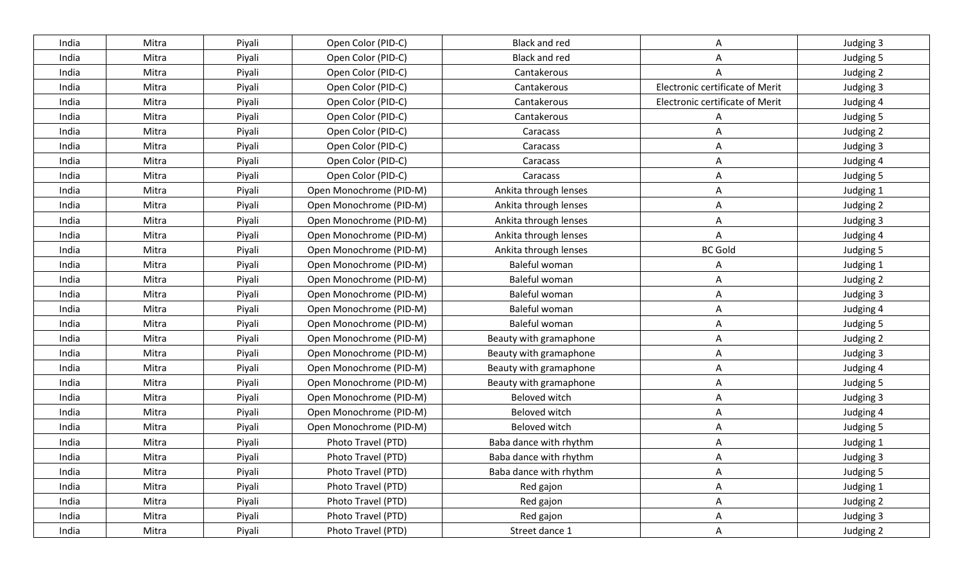| India | Mitra | Piyali | Open Color (PID-C)      | <b>Black and red</b>   | Α                               | Judging 3 |
|-------|-------|--------|-------------------------|------------------------|---------------------------------|-----------|
| India | Mitra | Piyali | Open Color (PID-C)      | <b>Black and red</b>   | A                               | Judging 5 |
| India | Mitra | Piyali | Open Color (PID-C)      | Cantakerous            | A                               | Judging 2 |
| India | Mitra | Piyali | Open Color (PID-C)      | Cantakerous            | Electronic certificate of Merit | Judging 3 |
| India | Mitra | Piyali | Open Color (PID-C)      | Cantakerous            | Electronic certificate of Merit | Judging 4 |
| India | Mitra | Piyali | Open Color (PID-C)      | Cantakerous            | А                               | Judging 5 |
| India | Mitra | Piyali | Open Color (PID-C)      | Caracass               | Α                               | Judging 2 |
| India | Mitra | Piyali | Open Color (PID-C)      | Caracass               | A                               | Judging 3 |
| India | Mitra | Piyali | Open Color (PID-C)      | Caracass               | A                               | Judging 4 |
| India | Mitra | Piyali | Open Color (PID-C)      | Caracass               | A                               | Judging 5 |
| India | Mitra | Piyali | Open Monochrome (PID-M) | Ankita through lenses  | A                               | Judging 1 |
| India | Mitra | Piyali | Open Monochrome (PID-M) | Ankita through lenses  | A                               | Judging 2 |
| India | Mitra | Piyali | Open Monochrome (PID-M) | Ankita through lenses  | Α                               | Judging 3 |
| India | Mitra | Piyali | Open Monochrome (PID-M) | Ankita through lenses  | A                               | Judging 4 |
| India | Mitra | Piyali | Open Monochrome (PID-M) | Ankita through lenses  | <b>BC Gold</b>                  | Judging 5 |
| India | Mitra | Piyali | Open Monochrome (PID-M) | Baleful woman          | Α                               | Judging 1 |
| India | Mitra | Piyali | Open Monochrome (PID-M) | Baleful woman          | Α                               | Judging 2 |
| India | Mitra | Piyali | Open Monochrome (PID-M) | Baleful woman          | A                               | Judging 3 |
| India | Mitra | Piyali | Open Monochrome (PID-M) | Baleful woman          | $\mathsf{A}$                    | Judging 4 |
| India | Mitra | Piyali | Open Monochrome (PID-M) | Baleful woman          | Α                               | Judging 5 |
| India | Mitra | Piyali | Open Monochrome (PID-M) | Beauty with gramaphone | A                               | Judging 2 |
| India | Mitra | Piyali | Open Monochrome (PID-M) | Beauty with gramaphone | A                               | Judging 3 |
| India | Mitra | Piyali | Open Monochrome (PID-M) | Beauty with gramaphone | A                               | Judging 4 |
| India | Mitra | Piyali | Open Monochrome (PID-M) | Beauty with gramaphone | A                               | Judging 5 |
| India | Mitra | Piyali | Open Monochrome (PID-M) | Beloved witch          | $\mathsf{A}$                    | Judging 3 |
| India | Mitra | Piyali | Open Monochrome (PID-M) | Beloved witch          | A                               | Judging 4 |
| India | Mitra | Piyali | Open Monochrome (PID-M) | Beloved witch          | A                               | Judging 5 |
| India | Mitra | Piyali | Photo Travel (PTD)      | Baba dance with rhythm | A                               | Judging 1 |
| India | Mitra | Piyali | Photo Travel (PTD)      | Baba dance with rhythm | Α                               | Judging 3 |
| India | Mitra | Piyali | Photo Travel (PTD)      | Baba dance with rhythm | A                               | Judging 5 |
| India | Mitra | Piyali | Photo Travel (PTD)      | Red gajon              | A                               | Judging 1 |
| India | Mitra | Piyali | Photo Travel (PTD)      | Red gajon              | $\mathsf{A}$                    | Judging 2 |
| India | Mitra | Piyali | Photo Travel (PTD)      | Red gajon              | A                               | Judging 3 |
| India | Mitra | Piyali | Photo Travel (PTD)      | Street dance 1         | $\mathsf{A}$                    | Judging 2 |
|       |       |        |                         |                        |                                 |           |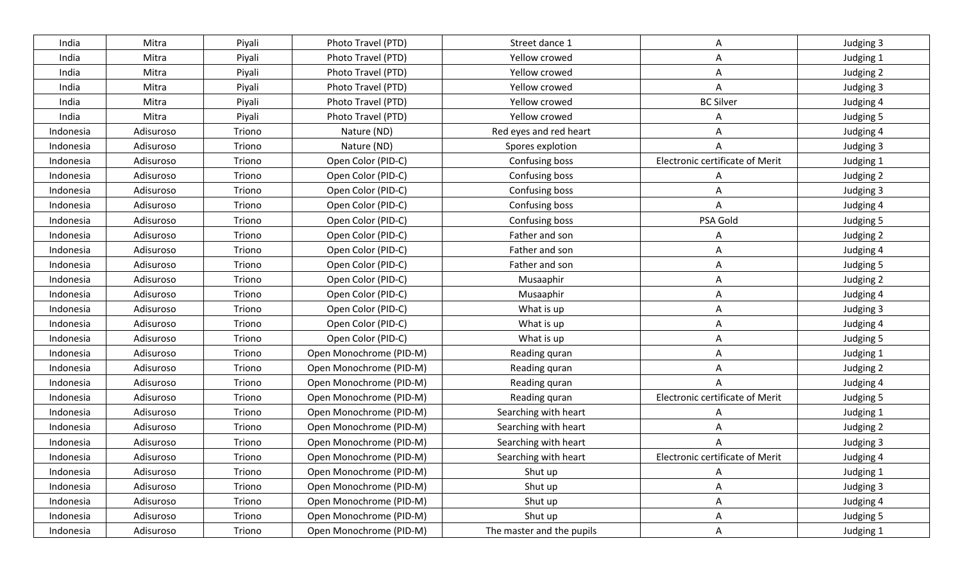| India     | Mitra     | Piyali | Photo Travel (PTD)      | Street dance 1            | Α                               | Judging 3 |
|-----------|-----------|--------|-------------------------|---------------------------|---------------------------------|-----------|
| India     | Mitra     | Piyali | Photo Travel (PTD)      | Yellow crowed             | A                               | Judging 1 |
| India     | Mitra     | Piyali | Photo Travel (PTD)      | Yellow crowed             | Α                               | Judging 2 |
| India     | Mitra     | Piyali | Photo Travel (PTD)      | Yellow crowed             | A                               | Judging 3 |
| India     | Mitra     | Piyali | Photo Travel (PTD)      | Yellow crowed             | <b>BC Silver</b>                | Judging 4 |
| India     | Mitra     | Piyali | Photo Travel (PTD)      | Yellow crowed             | A                               | Judging 5 |
| Indonesia | Adisuroso | Triono | Nature (ND)             | Red eyes and red heart    | Α                               | Judging 4 |
| Indonesia | Adisuroso | Triono | Nature (ND)             | Spores explotion          | A                               | Judging 3 |
| Indonesia | Adisuroso | Triono | Open Color (PID-C)      | Confusing boss            | Electronic certificate of Merit | Judging 1 |
| Indonesia | Adisuroso | Triono | Open Color (PID-C)      | Confusing boss            | A                               | Judging 2 |
| Indonesia | Adisuroso | Triono | Open Color (PID-C)      | Confusing boss            | A                               | Judging 3 |
| Indonesia | Adisuroso | Triono | Open Color (PID-C)      | Confusing boss            | A                               | Judging 4 |
| Indonesia | Adisuroso | Triono | Open Color (PID-C)      | Confusing boss            | PSA Gold                        | Judging 5 |
| Indonesia | Adisuroso | Triono | Open Color (PID-C)      | Father and son            | A                               | Judging 2 |
| Indonesia | Adisuroso | Triono | Open Color (PID-C)      | Father and son            | A                               | Judging 4 |
| Indonesia | Adisuroso | Triono | Open Color (PID-C)      | Father and son            | A                               | Judging 5 |
| Indonesia | Adisuroso | Triono | Open Color (PID-C)      | Musaaphir                 | A                               | Judging 2 |
| Indonesia | Adisuroso | Triono | Open Color (PID-C)      | Musaaphir                 | A                               | Judging 4 |
| Indonesia | Adisuroso | Triono | Open Color (PID-C)      | What is up                | A                               | Judging 3 |
| Indonesia | Adisuroso | Triono | Open Color (PID-C)      | What is up                | Α                               | Judging 4 |
| Indonesia | Adisuroso | Triono | Open Color (PID-C)      | What is up                | A                               | Judging 5 |
| Indonesia | Adisuroso | Triono | Open Monochrome (PID-M) | Reading quran             | A                               | Judging 1 |
| Indonesia | Adisuroso | Triono | Open Monochrome (PID-M) | Reading quran             | A                               | Judging 2 |
| Indonesia | Adisuroso | Triono | Open Monochrome (PID-M) | Reading quran             | A                               | Judging 4 |
| Indonesia | Adisuroso | Triono | Open Monochrome (PID-M) | Reading quran             | Electronic certificate of Merit | Judging 5 |
| Indonesia | Adisuroso | Triono | Open Monochrome (PID-M) | Searching with heart      | A                               | Judging 1 |
| Indonesia | Adisuroso | Triono | Open Monochrome (PID-M) | Searching with heart      | Α                               | Judging 2 |
| Indonesia | Adisuroso | Triono | Open Monochrome (PID-M) | Searching with heart      | A                               | Judging 3 |
| Indonesia | Adisuroso | Triono | Open Monochrome (PID-M) | Searching with heart      | Electronic certificate of Merit | Judging 4 |
| Indonesia | Adisuroso | Triono | Open Monochrome (PID-M) | Shut up                   | A                               | Judging 1 |
| Indonesia | Adisuroso | Triono | Open Monochrome (PID-M) | Shut up                   | $\mathsf{A}$                    | Judging 3 |
| Indonesia | Adisuroso | Triono | Open Monochrome (PID-M) | Shut up                   | A                               | Judging 4 |
| Indonesia | Adisuroso | Triono | Open Monochrome (PID-M) | Shut up                   | A                               | Judging 5 |
| Indonesia | Adisuroso | Triono | Open Monochrome (PID-M) | The master and the pupils | A                               | Judging 1 |
|           |           |        |                         |                           |                                 |           |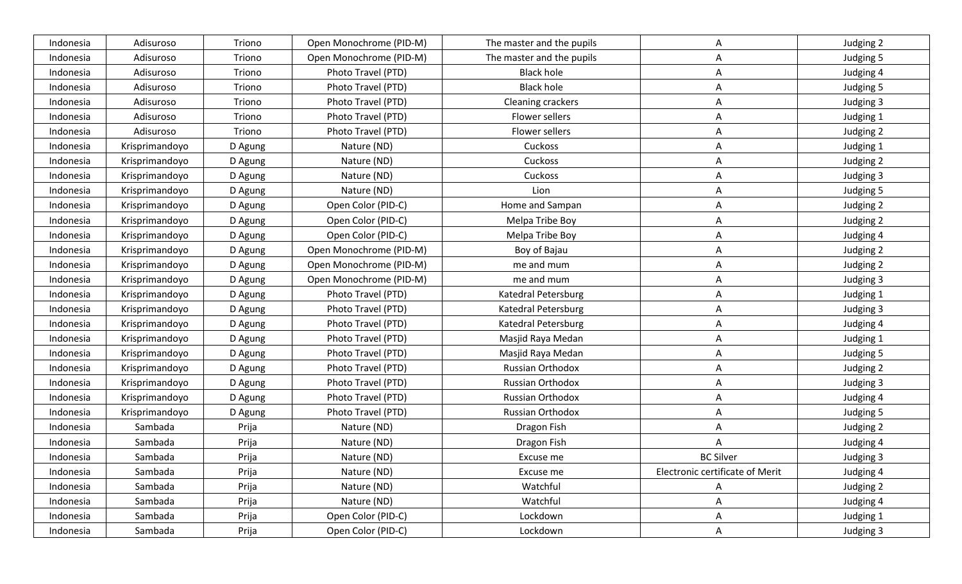| Indonesia | Adisuroso      | Triono  | Open Monochrome (PID-M) | The master and the pupils | A                               | Judging 2 |
|-----------|----------------|---------|-------------------------|---------------------------|---------------------------------|-----------|
| Indonesia | Adisuroso      | Triono  | Open Monochrome (PID-M) | The master and the pupils | A                               | Judging 5 |
| Indonesia | Adisuroso      | Triono  | Photo Travel (PTD)      | <b>Black hole</b>         | Α                               | Judging 4 |
| Indonesia | Adisuroso      | Triono  | Photo Travel (PTD)      | <b>Black hole</b>         | A                               | Judging 5 |
| Indonesia | Adisuroso      | Triono  | Photo Travel (PTD)      | <b>Cleaning crackers</b>  | A                               | Judging 3 |
| Indonesia | Adisuroso      | Triono  | Photo Travel (PTD)      | Flower sellers            | A                               | Judging 1 |
| Indonesia | Adisuroso      | Triono  | Photo Travel (PTD)      | Flower sellers            | A                               | Judging 2 |
| Indonesia | Krisprimandoyo | D Agung | Nature (ND)             | Cuckoss                   | A                               | Judging 1 |
| Indonesia | Krisprimandoyo | D Agung | Nature (ND)             | Cuckoss                   | A                               | Judging 2 |
| Indonesia | Krisprimandoyo | D Agung | Nature (ND)             | Cuckoss                   | Α                               | Judging 3 |
| Indonesia | Krisprimandoyo | D Agung | Nature (ND)             | Lion                      | A                               | Judging 5 |
| Indonesia | Krisprimandoyo | D Agung | Open Color (PID-C)      | Home and Sampan           | Α                               | Judging 2 |
| Indonesia | Krisprimandoyo | D Agung | Open Color (PID-C)      | Melpa Tribe Boy           | A                               | Judging 2 |
| Indonesia | Krisprimandoyo | D Agung | Open Color (PID-C)      | Melpa Tribe Boy           | A                               | Judging 4 |
| Indonesia | Krisprimandoyo | D Agung | Open Monochrome (PID-M) | Boy of Bajau              | A                               | Judging 2 |
| Indonesia | Krisprimandoyo | D Agung | Open Monochrome (PID-M) | me and mum                | A                               | Judging 2 |
| Indonesia | Krisprimandoyo | D Agung | Open Monochrome (PID-M) | me and mum                | A                               | Judging 3 |
| Indonesia | Krisprimandoyo | D Agung | Photo Travel (PTD)      | Katedral Petersburg       | A                               | Judging 1 |
| Indonesia | Krisprimandoyo | D Agung | Photo Travel (PTD)      | Katedral Petersburg       | A                               | Judging 3 |
| Indonesia | Krisprimandoyo | D Agung | Photo Travel (PTD)      | Katedral Petersburg       | Α                               | Judging 4 |
| Indonesia | Krisprimandoyo | D Agung | Photo Travel (PTD)      | Masjid Raya Medan         | A                               | Judging 1 |
| Indonesia | Krisprimandoyo | D Agung | Photo Travel (PTD)      | Masjid Raya Medan         | A                               | Judging 5 |
| Indonesia | Krisprimandoyo | D Agung | Photo Travel (PTD)      | Russian Orthodox          | A                               | Judging 2 |
| Indonesia | Krisprimandoyo | D Agung | Photo Travel (PTD)      | Russian Orthodox          | Α                               | Judging 3 |
| Indonesia | Krisprimandoyo | D Agung | Photo Travel (PTD)      | Russian Orthodox          | Α                               | Judging 4 |
| Indonesia | Krisprimandoyo | D Agung | Photo Travel (PTD)      | Russian Orthodox          | A                               | Judging 5 |
| Indonesia | Sambada        | Prija   | Nature (ND)             | Dragon Fish               | Α                               | Judging 2 |
| Indonesia | Sambada        | Prija   | Nature (ND)             | Dragon Fish               | A                               | Judging 4 |
| Indonesia | Sambada        | Prija   | Nature (ND)             | Excuse me                 | <b>BC Silver</b>                | Judging 3 |
| Indonesia | Sambada        | Prija   | Nature (ND)             | Excuse me                 | Electronic certificate of Merit | Judging 4 |
| Indonesia | Sambada        | Prija   | Nature (ND)             | Watchful                  | $\mathsf{A}$                    | Judging 2 |
| Indonesia | Sambada        | Prija   | Nature (ND)             | Watchful                  | A                               | Judging 4 |
| Indonesia | Sambada        | Prija   | Open Color (PID-C)      | Lockdown                  | A                               | Judging 1 |
| Indonesia | Sambada        | Prija   | Open Color (PID-C)      | Lockdown                  | $\mathsf{A}$                    | Judging 3 |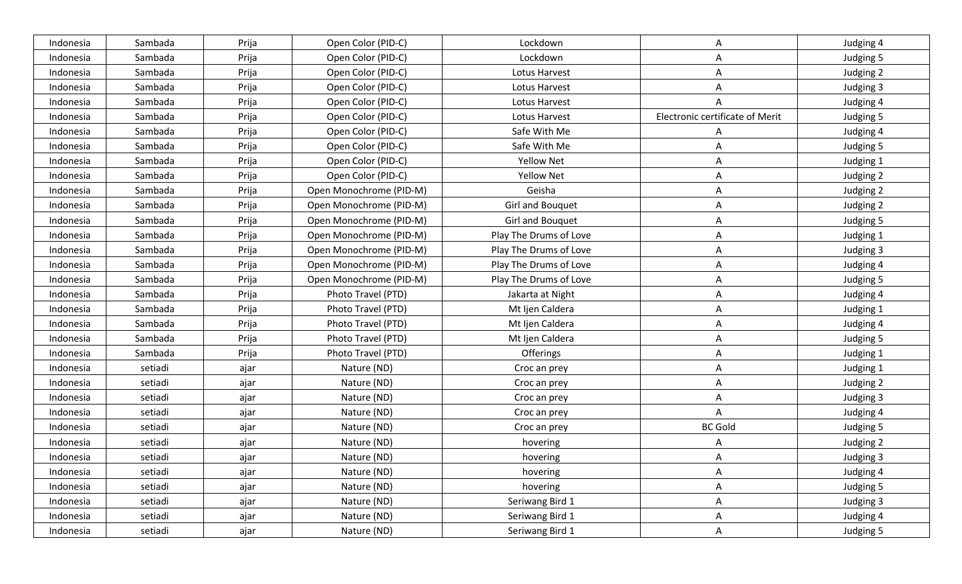| Indonesia | Sambada | Prija | Open Color (PID-C)      | Lockdown               | Α                               | Judging 4 |
|-----------|---------|-------|-------------------------|------------------------|---------------------------------|-----------|
| Indonesia | Sambada | Prija | Open Color (PID-C)      | Lockdown               | A                               | Judging 5 |
| Indonesia | Sambada | Prija | Open Color (PID-C)      | Lotus Harvest          | Α                               | Judging 2 |
| Indonesia | Sambada | Prija | Open Color (PID-C)      | Lotus Harvest          | A                               | Judging 3 |
| Indonesia | Sambada | Prija | Open Color (PID-C)      | Lotus Harvest          | A                               | Judging 4 |
| Indonesia | Sambada | Prija | Open Color (PID-C)      | Lotus Harvest          | Electronic certificate of Merit | Judging 5 |
| Indonesia | Sambada | Prija | Open Color (PID-C)      | Safe With Me           |                                 | Judging 4 |
| Indonesia | Sambada | Prija | Open Color (PID-C)      | Safe With Me           | Α                               | Judging 5 |
| Indonesia | Sambada | Prija | Open Color (PID-C)      | <b>Yellow Net</b>      | A                               | Judging 1 |
| Indonesia | Sambada | Prija | Open Color (PID-C)      | <b>Yellow Net</b>      | Α                               | Judging 2 |
| Indonesia | Sambada | Prija | Open Monochrome (PID-M) | Geisha                 | A                               | Judging 2 |
| Indonesia | Sambada | Prija | Open Monochrome (PID-M) | Girl and Bouquet       | A                               | Judging 2 |
| Indonesia | Sambada | Prija | Open Monochrome (PID-M) | Girl and Bouquet       | A                               | Judging 5 |
| Indonesia | Sambada | Prija | Open Monochrome (PID-M) | Play The Drums of Love | A                               | Judging 1 |
| Indonesia | Sambada | Prija | Open Monochrome (PID-M) | Play The Drums of Love | A                               | Judging 3 |
| Indonesia | Sambada | Prija | Open Monochrome (PID-M) | Play The Drums of Love | A                               | Judging 4 |
| Indonesia | Sambada | Prija | Open Monochrome (PID-M) | Play The Drums of Love | Α                               | Judging 5 |
| Indonesia | Sambada | Prija | Photo Travel (PTD)      | Jakarta at Night       | A                               | Judging 4 |
| Indonesia | Sambada | Prija | Photo Travel (PTD)      | Mt Ijen Caldera        | A                               | Judging 1 |
| Indonesia | Sambada | Prija | Photo Travel (PTD)      | Mt Ijen Caldera        | Α                               | Judging 4 |
| Indonesia | Sambada | Prija | Photo Travel (PTD)      | Mt Ijen Caldera        | A                               | Judging 5 |
| Indonesia | Sambada | Prija | Photo Travel (PTD)      | Offerings              | A                               | Judging 1 |
| Indonesia | setiadi | ajar  | Nature (ND)             | Croc an prey           | A                               | Judging 1 |
| Indonesia | setiadi | ajar  | Nature (ND)             | Croc an prey           | A                               | Judging 2 |
| Indonesia | setiadi | ajar  | Nature (ND)             | Croc an prey           | Α                               | Judging 3 |
| Indonesia | setiadi | ajar  | Nature (ND)             | Croc an prey           | Α                               | Judging 4 |
| Indonesia | setiadi | ajar  | Nature (ND)             | Croc an prey           | <b>BC Gold</b>                  | Judging 5 |
| Indonesia | setiadi | ajar  | Nature (ND)             | hovering               | A                               | Judging 2 |
| Indonesia | setiadi | ajar  | Nature (ND)             | hovering               | A                               | Judging 3 |
| Indonesia | setiadi | ajar  | Nature (ND)             | hovering               | A                               | Judging 4 |
| Indonesia | setiadi | ajar  | Nature (ND)             | hovering               | A                               | Judging 5 |
| Indonesia | setiadi | ajar  | Nature (ND)             | Seriwang Bird 1        | A                               | Judging 3 |
| Indonesia | setiadi | ajar  | Nature (ND)             | Seriwang Bird 1        | A                               | Judging 4 |
| Indonesia | setiadi | ajar  | Nature (ND)             | Seriwang Bird 1        | A                               | Judging 5 |
|           |         |       |                         |                        |                                 |           |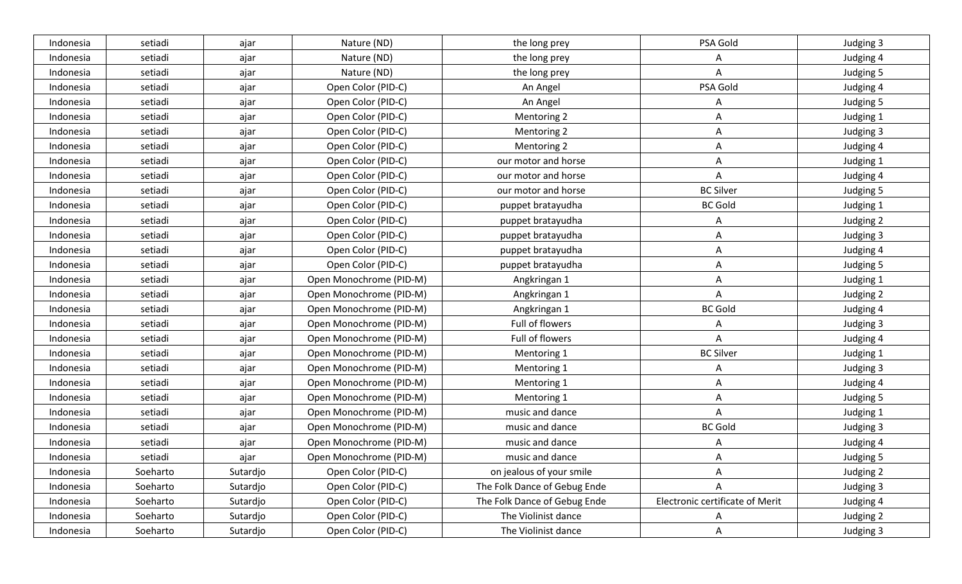| Indonesia | setiadi  | ajar     | Nature (ND)             | the long prey                | PSA Gold                        | Judging 3 |
|-----------|----------|----------|-------------------------|------------------------------|---------------------------------|-----------|
| Indonesia | setiadi  | ajar     | Nature (ND)             | the long prey                | A                               | Judging 4 |
| Indonesia | setiadi  | ajar     | Nature (ND)             | the long prey                | Α                               | Judging 5 |
| Indonesia | setiadi  | ajar     | Open Color (PID-C)      | An Angel                     | PSA Gold                        | Judging 4 |
| Indonesia | setiadi  | ajar     | Open Color (PID-C)      | An Angel                     | A                               | Judging 5 |
| Indonesia | setiadi  | ajar     | Open Color (PID-C)      | Mentoring 2                  | Α                               | Judging 1 |
| Indonesia | setiadi  | ajar     | Open Color (PID-C)      | Mentoring 2                  | A                               | Judging 3 |
| Indonesia | setiadi  | ajar     | Open Color (PID-C)      | Mentoring 2                  | A                               | Judging 4 |
| Indonesia | setiadi  | ajar     | Open Color (PID-C)      | our motor and horse          | A                               | Judging 1 |
| Indonesia | setiadi  | ajar     | Open Color (PID-C)      | our motor and horse          | Α                               | Judging 4 |
| Indonesia | setiadi  | ajar     | Open Color (PID-C)      | our motor and horse          | <b>BC Silver</b>                | Judging 5 |
| Indonesia | setiadi  | ajar     | Open Color (PID-C)      | puppet bratayudha            | <b>BC Gold</b>                  | Judging 1 |
| Indonesia | setiadi  | ajar     | Open Color (PID-C)      | puppet bratayudha            | A                               | Judging 2 |
| Indonesia | setiadi  | ajar     | Open Color (PID-C)      | puppet bratayudha            | A                               | Judging 3 |
| Indonesia | setiadi  | ajar     | Open Color (PID-C)      | puppet bratayudha            | A                               | Judging 4 |
| Indonesia | setiadi  | ajar     | Open Color (PID-C)      | puppet bratayudha            | A                               | Judging 5 |
| Indonesia | setiadi  | ajar     | Open Monochrome (PID-M) | Angkringan 1                 | Α                               | Judging 1 |
| Indonesia | setiadi  | ajar     | Open Monochrome (PID-M) | Angkringan 1                 | Α                               | Judging 2 |
| Indonesia | setiadi  | ajar     | Open Monochrome (PID-M) | Angkringan 1                 | <b>BC Gold</b>                  | Judging 4 |
| Indonesia | setiadi  | ajar     | Open Monochrome (PID-M) | Full of flowers              | A                               | Judging 3 |
| Indonesia | setiadi  | ajar     | Open Monochrome (PID-M) | Full of flowers              | A                               | Judging 4 |
| Indonesia | setiadi  | ajar     | Open Monochrome (PID-M) | Mentoring 1                  | <b>BC Silver</b>                | Judging 1 |
| Indonesia | setiadi  | ajar     | Open Monochrome (PID-M) | Mentoring 1                  | Α                               | Judging 3 |
| Indonesia | setiadi  | ajar     | Open Monochrome (PID-M) | Mentoring 1                  | Α                               | Judging 4 |
| Indonesia | setiadi  | ajar     | Open Monochrome (PID-M) | Mentoring 1                  | A                               | Judging 5 |
| Indonesia | setiadi  | ajar     | Open Monochrome (PID-M) | music and dance              | A                               | Judging 1 |
| Indonesia | setiadi  | ajar     | Open Monochrome (PID-M) | music and dance              | <b>BC Gold</b>                  | Judging 3 |
| Indonesia | setiadi  | ajar     | Open Monochrome (PID-M) | music and dance              | A                               | Judging 4 |
| Indonesia | setiadi  | ajar     | Open Monochrome (PID-M) | music and dance              | A                               | Judging 5 |
| Indonesia | Soeharto | Sutardjo | Open Color (PID-C)      | on jealous of your smile     | Α                               | Judging 2 |
| Indonesia | Soeharto | Sutardjo | Open Color (PID-C)      | The Folk Dance of Gebug Ende | A                               | Judging 3 |
| Indonesia | Soeharto | Sutardjo | Open Color (PID-C)      | The Folk Dance of Gebug Ende | Electronic certificate of Merit | Judging 4 |
| Indonesia | Soeharto | Sutardjo | Open Color (PID-C)      | The Violinist dance          | A                               | Judging 2 |
| Indonesia | Soeharto | Sutardjo | Open Color (PID-C)      | The Violinist dance          | A                               | Judging 3 |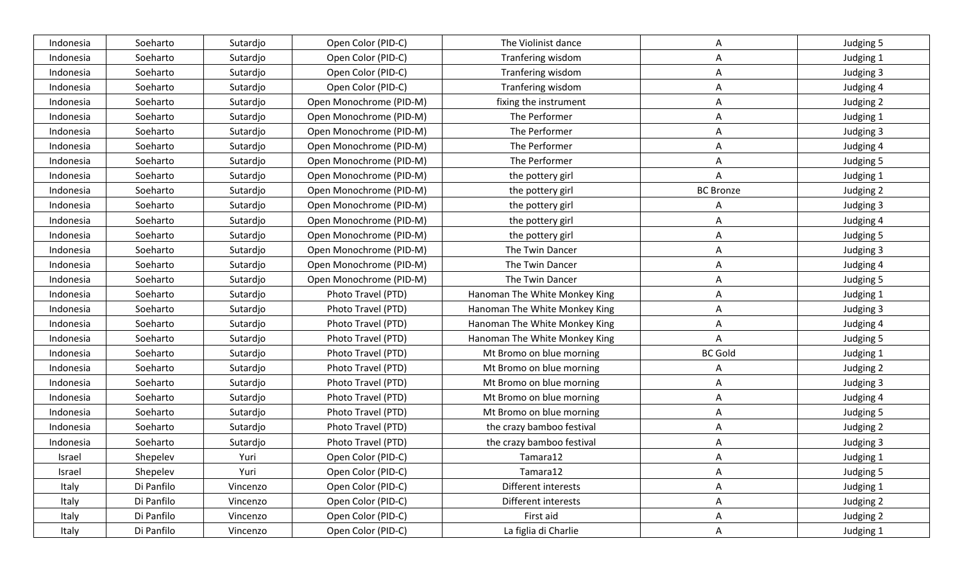| Indonesia | Soeharto   | Sutardjo | Open Color (PID-C)      | The Violinist dance           | A                | Judging 5 |
|-----------|------------|----------|-------------------------|-------------------------------|------------------|-----------|
| Indonesia | Soeharto   | Sutardjo | Open Color (PID-C)      | Tranfering wisdom             | A                | Judging 1 |
| Indonesia | Soeharto   | Sutardjo | Open Color (PID-C)      | Tranfering wisdom             | Α                | Judging 3 |
| Indonesia | Soeharto   | Sutardjo | Open Color (PID-C)      | Tranfering wisdom             | A                | Judging 4 |
| Indonesia | Soeharto   | Sutardjo | Open Monochrome (PID-M) | fixing the instrument         | Α                | Judging 2 |
| Indonesia | Soeharto   | Sutardjo | Open Monochrome (PID-M) | The Performer                 | Α                | Judging 1 |
| Indonesia | Soeharto   | Sutardjo | Open Monochrome (PID-M) | The Performer                 | A                | Judging 3 |
| Indonesia | Soeharto   | Sutardjo | Open Monochrome (PID-M) | The Performer                 | Α                | Judging 4 |
| Indonesia | Soeharto   | Sutardjo | Open Monochrome (PID-M) | The Performer                 | A                | Judging 5 |
| Indonesia | Soeharto   | Sutardjo | Open Monochrome (PID-M) | the pottery girl              | A                | Judging 1 |
| Indonesia | Soeharto   | Sutardjo | Open Monochrome (PID-M) | the pottery girl              | <b>BC Bronze</b> | Judging 2 |
| Indonesia | Soeharto   | Sutardjo | Open Monochrome (PID-M) | the pottery girl              | A                | Judging 3 |
| Indonesia | Soeharto   | Sutardjo | Open Monochrome (PID-M) | the pottery girl              | Α                | Judging 4 |
| Indonesia | Soeharto   | Sutardjo | Open Monochrome (PID-M) | the pottery girl              | A                | Judging 5 |
| Indonesia | Soeharto   | Sutardjo | Open Monochrome (PID-M) | The Twin Dancer               | A                | Judging 3 |
| Indonesia | Soeharto   | Sutardjo | Open Monochrome (PID-M) | The Twin Dancer               | A                | Judging 4 |
| Indonesia | Soeharto   | Sutardjo | Open Monochrome (PID-M) | The Twin Dancer               | Α                | Judging 5 |
| Indonesia | Soeharto   | Sutardjo | Photo Travel (PTD)      | Hanoman The White Monkey King | Α                | Judging 1 |
| Indonesia | Soeharto   | Sutardjo | Photo Travel (PTD)      | Hanoman The White Monkey King | A                | Judging 3 |
| Indonesia | Soeharto   | Sutardjo | Photo Travel (PTD)      | Hanoman The White Monkey King | Α                | Judging 4 |
| Indonesia | Soeharto   | Sutardjo | Photo Travel (PTD)      | Hanoman The White Monkey King | A                | Judging 5 |
| Indonesia | Soeharto   | Sutardjo | Photo Travel (PTD)      | Mt Bromo on blue morning      | <b>BC Gold</b>   | Judging 1 |
| Indonesia | Soeharto   | Sutardjo | Photo Travel (PTD)      | Mt Bromo on blue morning      | A                | Judging 2 |
| Indonesia | Soeharto   | Sutardjo | Photo Travel (PTD)      | Mt Bromo on blue morning      | Α                | Judging 3 |
| Indonesia | Soeharto   | Sutardjo | Photo Travel (PTD)      | Mt Bromo on blue morning      | A                | Judging 4 |
| Indonesia | Soeharto   | Sutardjo | Photo Travel (PTD)      | Mt Bromo on blue morning      | A                | Judging 5 |
| Indonesia | Soeharto   | Sutardjo | Photo Travel (PTD)      | the crazy bamboo festival     | Α                | Judging 2 |
| Indonesia | Soeharto   | Sutardjo | Photo Travel (PTD)      | the crazy bamboo festival     | A                | Judging 3 |
| Israel    | Shepelev   | Yuri     | Open Color (PID-C)      | Tamara12                      | A                | Judging 1 |
| Israel    | Shepelev   | Yuri     | Open Color (PID-C)      | Tamara12                      | $\mathsf{A}$     | Judging 5 |
| Italy     | Di Panfilo | Vincenzo | Open Color (PID-C)      | Different interests           | A                | Judging 1 |
| Italy     | Di Panfilo | Vincenzo | Open Color (PID-C)      | Different interests           | $\mathsf{A}$     | Judging 2 |
| Italy     | Di Panfilo | Vincenzo | Open Color (PID-C)      | First aid                     | A                | Judging 2 |
| Italy     | Di Panfilo | Vincenzo | Open Color (PID-C)      | La figlia di Charlie          | $\mathsf{A}$     | Judging 1 |
|           |            |          |                         |                               |                  |           |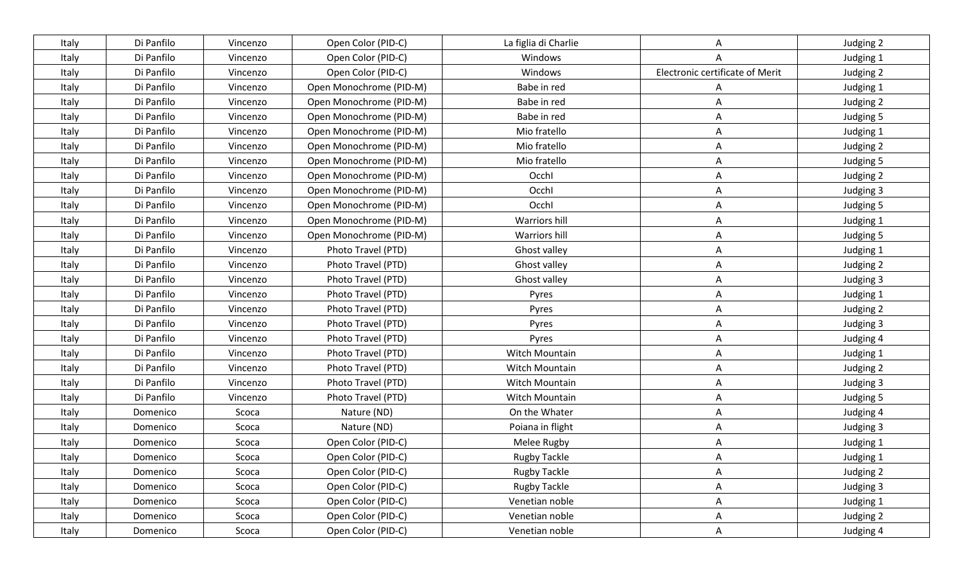| Italy | Di Panfilo | Vincenzo | Open Color (PID-C)      | La figlia di Charlie | A                               | Judging 2 |
|-------|------------|----------|-------------------------|----------------------|---------------------------------|-----------|
| Italy | Di Panfilo | Vincenzo | Open Color (PID-C)      | Windows              |                                 | Judging 1 |
| Italy | Di Panfilo | Vincenzo | Open Color (PID-C)      | Windows              | Electronic certificate of Merit | Judging 2 |
| Italy | Di Panfilo | Vincenzo | Open Monochrome (PID-M) | Babe in red          | A                               | Judging 1 |
| Italy | Di Panfilo | Vincenzo | Open Monochrome (PID-M) | Babe in red          | Α                               | Judging 2 |
| Italy | Di Panfilo | Vincenzo | Open Monochrome (PID-M) | Babe in red          | Α                               | Judging 5 |
| Italy | Di Panfilo | Vincenzo | Open Monochrome (PID-M) | Mio fratello         | Α                               | Judging 1 |
| Italy | Di Panfilo | Vincenzo | Open Monochrome (PID-M) | Mio fratello         | Α                               | Judging 2 |
| Italy | Di Panfilo | Vincenzo | Open Monochrome (PID-M) | Mio fratello         | A                               | Judging 5 |
| Italy | Di Panfilo | Vincenzo | Open Monochrome (PID-M) | Occhl                | A                               | Judging 2 |
| Italy | Di Panfilo | Vincenzo | Open Monochrome (PID-M) | Occhl                | Α                               | Judging 3 |
| Italy | Di Panfilo | Vincenzo | Open Monochrome (PID-M) | Occhl                | Α                               | Judging 5 |
| Italy | Di Panfilo | Vincenzo | Open Monochrome (PID-M) | Warriors hill        | Α                               | Judging 1 |
| Italy | Di Panfilo | Vincenzo | Open Monochrome (PID-M) | Warriors hill        | A                               | Judging 5 |
| Italy | Di Panfilo | Vincenzo | Photo Travel (PTD)      | Ghost valley         | A                               | Judging 1 |
| Italy | Di Panfilo | Vincenzo | Photo Travel (PTD)      | Ghost valley         | A                               | Judging 2 |
| Italy | Di Panfilo | Vincenzo | Photo Travel (PTD)      | Ghost valley         | Α                               | Judging 3 |
| Italy | Di Panfilo | Vincenzo | Photo Travel (PTD)      | Pyres                | Α                               | Judging 1 |
| Italy | Di Panfilo | Vincenzo | Photo Travel (PTD)      | Pyres                | A                               | Judging 2 |
| Italy | Di Panfilo | Vincenzo | Photo Travel (PTD)      | Pyres                | Α                               | Judging 3 |
| Italy | Di Panfilo | Vincenzo | Photo Travel (PTD)      | Pyres                | A                               | Judging 4 |
| Italy | Di Panfilo | Vincenzo | Photo Travel (PTD)      | Witch Mountain       | A                               | Judging 1 |
| Italy | Di Panfilo | Vincenzo | Photo Travel (PTD)      | Witch Mountain       | Α                               | Judging 2 |
| Italy | Di Panfilo | Vincenzo | Photo Travel (PTD)      | Witch Mountain       | Α                               | Judging 3 |
| Italy | Di Panfilo | Vincenzo | Photo Travel (PTD)      | Witch Mountain       | Α                               | Judging 5 |
| Italy | Domenico   | Scoca    | Nature (ND)             | On the Whater        | A                               | Judging 4 |
| Italy | Domenico   | Scoca    | Nature (ND)             | Poiana in flight     | Α                               | Judging 3 |
| Italy | Domenico   | Scoca    | Open Color (PID-C)      | Melee Rugby          | A                               | Judging 1 |
| Italy | Domenico   | Scoca    | Open Color (PID-C)      | Rugby Tackle         | A                               | Judging 1 |
| Italy | Domenico   | Scoca    | Open Color (PID-C)      | <b>Rugby Tackle</b>  | A                               | Judging 2 |
| Italy | Domenico   | Scoca    | Open Color (PID-C)      | <b>Rugby Tackle</b>  | A                               | Judging 3 |
| Italy | Domenico   | Scoca    | Open Color (PID-C)      | Venetian noble       | A                               | Judging 1 |
| Italy | Domenico   | Scoca    | Open Color (PID-C)      | Venetian noble       | A                               | Judging 2 |
| Italy | Domenico   | Scoca    | Open Color (PID-C)      | Venetian noble       | A                               | Judging 4 |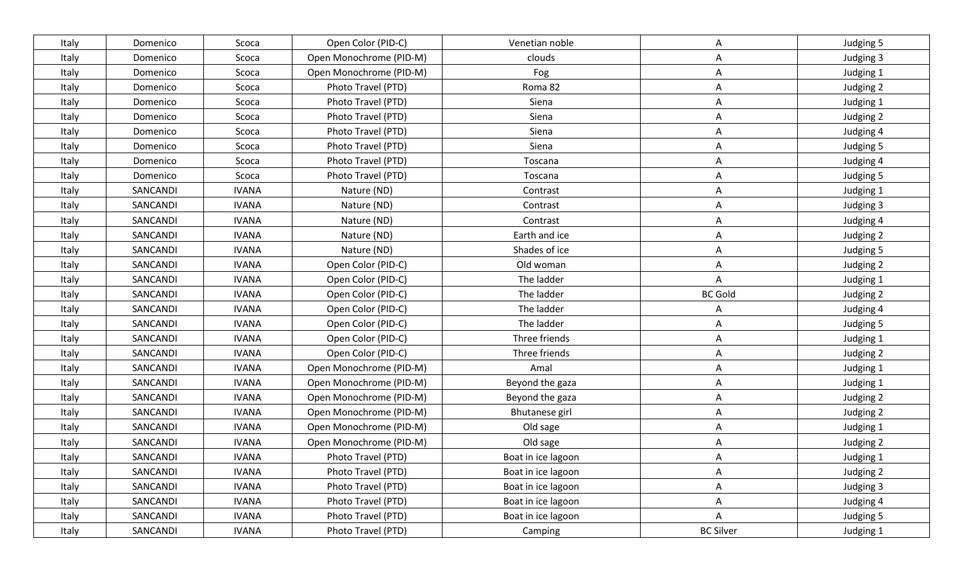| Italy | Domenico | Scoca        | Open Color (PID-C)      | Venetian noble        | Α                | Judging 5 |
|-------|----------|--------------|-------------------------|-----------------------|------------------|-----------|
| Italy | Domenico | Scoca        | Open Monochrome (PID-M) | clouds                | A                | Judging 3 |
| Italy | Domenico | Scoca        | Open Monochrome (PID-M) | Fog                   | A                | Judging 1 |
| Italy | Domenico | Scoca        | Photo Travel (PTD)      | Roma 82               | A                | Judging 2 |
| Italy | Domenico | Scoca        | Photo Travel (PTD)      | Siena                 | A                | Judging 1 |
| Italy | Domenico | Scoca        | Photo Travel (PTD)      | Siena                 | Α                | Judging 2 |
| Italy | Domenico | Scoca        | Photo Travel (PTD)      | Siena                 | Α                | Judging 4 |
| Italy | Domenico | Scoca        | Photo Travel (PTD)      | Siena                 | A                | Judging 5 |
| Italy | Domenico | Scoca        | Photo Travel (PTD)      | Toscana               | A                | Judging 4 |
| Italy | Domenico | Scoca        | Photo Travel (PTD)      | Toscana               | A                | Judging 5 |
| Italy | SANCANDI | <b>IVANA</b> | Nature (ND)             | Contrast              | A                | Judging 1 |
| Italy | SANCANDI | <b>IVANA</b> | Nature (ND)             | Contrast              | A                | Judging 3 |
| Italy | SANCANDI | <b>IVANA</b> | Nature (ND)             | Contrast              | Α                | Judging 4 |
| Italy | SANCANDI | <b>IVANA</b> | Nature (ND)             | Earth and ice         | A                | Judging 2 |
| Italy | SANCANDI | <b>IVANA</b> | Nature (ND)             | Shades of ice         | A                | Judging 5 |
| Italy | SANCANDI | <b>IVANA</b> | Open Color (PID-C)      | Old woman             | A                | Judging 2 |
| Italy | SANCANDI | <b>IVANA</b> | Open Color (PID-C)      | The ladder            | A                | Judging 1 |
| Italy | SANCANDI | <b>IVANA</b> | Open Color (PID-C)      | The ladder            | <b>BC Gold</b>   | Judging 2 |
| Italy | SANCANDI | <b>IVANA</b> | Open Color (PID-C)      | The ladder            | A                | Judging 4 |
| Italy | SANCANDI | <b>IVANA</b> | Open Color (PID-C)      | The ladder            | Α                | Judging 5 |
| Italy | SANCANDI | <b>IVANA</b> | Open Color (PID-C)      | Three friends         | A                | Judging 1 |
| Italy | SANCANDI | <b>IVANA</b> | Open Color (PID-C)      | Three friends         | Α                | Judging 2 |
| Italy | SANCANDI | <b>IVANA</b> | Open Monochrome (PID-M) | Amal                  | A                | Judging 1 |
| Italy | SANCANDI | <b>IVANA</b> | Open Monochrome (PID-M) | Beyond the gaza       | A                | Judging 1 |
| Italy | SANCANDI | <b>IVANA</b> | Open Monochrome (PID-M) | Beyond the gaza       | A                | Judging 2 |
| Italy | SANCANDI | <b>IVANA</b> | Open Monochrome (PID-M) | <b>Bhutanese girl</b> | A                | Judging 2 |
| Italy | SANCANDI | <b>IVANA</b> | Open Monochrome (PID-M) | Old sage              | Α                | Judging 1 |
| Italy | SANCANDI | <b>IVANA</b> | Open Monochrome (PID-M) | Old sage              | A                | Judging 2 |
| Italy | SANCANDI | <b>IVANA</b> | Photo Travel (PTD)      | Boat in ice lagoon    | A                | Judging 1 |
| Italy | SANCANDI | <b>IVANA</b> | Photo Travel (PTD)      | Boat in ice lagoon    | A                | Judging 2 |
| Italy | SANCANDI | <b>IVANA</b> | Photo Travel (PTD)      | Boat in ice lagoon    | $\mathsf{A}$     | Judging 3 |
| Italy | SANCANDI | <b>IVANA</b> | Photo Travel (PTD)      | Boat in ice lagoon    | A                | Judging 4 |
| Italy | SANCANDI | <b>IVANA</b> | Photo Travel (PTD)      | Boat in ice lagoon    | A                | Judging 5 |
| Italy | SANCANDI | <b>IVANA</b> | Photo Travel (PTD)      | Camping               | <b>BC Silver</b> | Judging 1 |
|       |          |              |                         |                       |                  |           |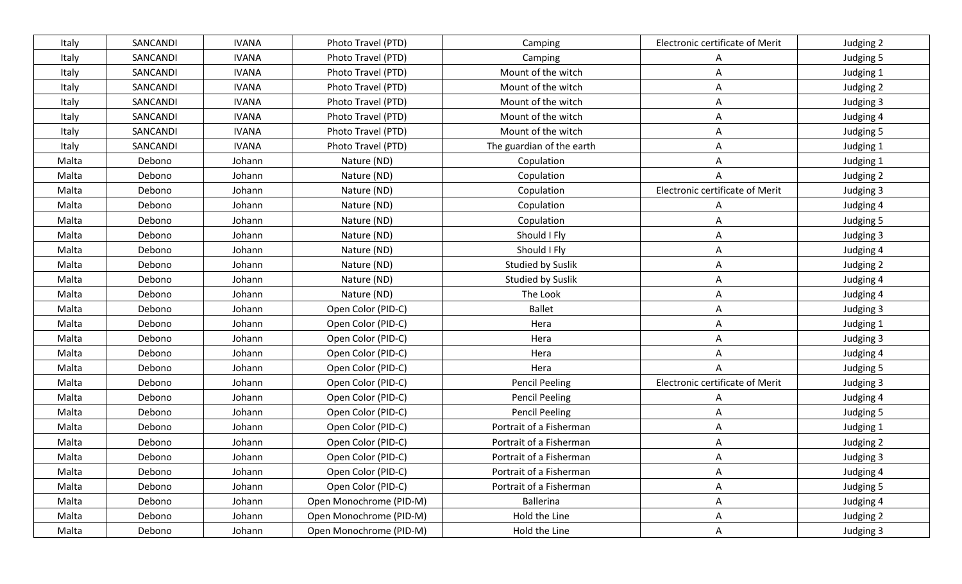| Italy | SANCANDI | <b>IVANA</b> | Photo Travel (PTD)      | Camping                   | Electronic certificate of Merit | Judging 2 |
|-------|----------|--------------|-------------------------|---------------------------|---------------------------------|-----------|
| Italy | SANCANDI | <b>IVANA</b> | Photo Travel (PTD)      | Camping                   | A                               | Judging 5 |
| Italy | SANCANDI | <b>IVANA</b> | Photo Travel (PTD)      | Mount of the witch        | Α                               | Judging 1 |
| Italy | SANCANDI | <b>IVANA</b> | Photo Travel (PTD)      | Mount of the witch        | A                               | Judging 2 |
| Italy | SANCANDI | <b>IVANA</b> | Photo Travel (PTD)      | Mount of the witch        | A                               | Judging 3 |
| Italy | SANCANDI | <b>IVANA</b> | Photo Travel (PTD)      | Mount of the witch        | Α                               | Judging 4 |
| Italy | SANCANDI | <b>IVANA</b> | Photo Travel (PTD)      | Mount of the witch        | A                               | Judging 5 |
| Italy | SANCANDI | <b>IVANA</b> | Photo Travel (PTD)      | The guardian of the earth | Α                               | Judging 1 |
| Malta | Debono   | Johann       | Nature (ND)             | Copulation                | Α                               | Judging 1 |
| Malta | Debono   | Johann       | Nature (ND)             | Copulation                | A                               | Judging 2 |
| Malta | Debono   | Johann       | Nature (ND)             | Copulation                | Electronic certificate of Merit | Judging 3 |
| Malta | Debono   | Johann       | Nature (ND)             | Copulation                | A                               | Judging 4 |
| Malta | Debono   | Johann       | Nature (ND)             | Copulation                | Α                               | Judging 5 |
| Malta | Debono   | Johann       | Nature (ND)             | Should I Fly              | A                               | Judging 3 |
| Malta | Debono   | Johann       | Nature (ND)             | Should I Fly              | Α                               | Judging 4 |
| Malta | Debono   | Johann       | Nature (ND)             | Studied by Suslik         | Α                               | Judging 2 |
| Malta | Debono   | Johann       | Nature (ND)             | <b>Studied by Suslik</b>  | Α                               | Judging 4 |
| Malta | Debono   | Johann       | Nature (ND)             | The Look                  | Α                               | Judging 4 |
| Malta | Debono   | Johann       | Open Color (PID-C)      | <b>Ballet</b>             | Α                               | Judging 3 |
| Malta | Debono   | Johann       | Open Color (PID-C)      | Hera                      | Α                               | Judging 1 |
| Malta | Debono   | Johann       | Open Color (PID-C)      | Hera                      | A                               | Judging 3 |
| Malta | Debono   | Johann       | Open Color (PID-C)      | Hera                      | A                               | Judging 4 |
| Malta | Debono   | Johann       | Open Color (PID-C)      | Hera                      | A                               | Judging 5 |
| Malta | Debono   | Johann       | Open Color (PID-C)      | <b>Pencil Peeling</b>     | Electronic certificate of Merit | Judging 3 |
| Malta | Debono   | Johann       | Open Color (PID-C)      | <b>Pencil Peeling</b>     | Α                               | Judging 4 |
| Malta | Debono   | Johann       | Open Color (PID-C)      | <b>Pencil Peeling</b>     | A                               | Judging 5 |
| Malta | Debono   | Johann       | Open Color (PID-C)      | Portrait of a Fisherman   | Α                               | Judging 1 |
| Malta | Debono   | Johann       | Open Color (PID-C)      | Portrait of a Fisherman   | A                               | Judging 2 |
| Malta | Debono   | Johann       | Open Color (PID-C)      | Portrait of a Fisherman   | A                               | Judging 3 |
| Malta | Debono   | Johann       | Open Color (PID-C)      | Portrait of a Fisherman   | A                               | Judging 4 |
| Malta | Debono   | Johann       | Open Color (PID-C)      | Portrait of a Fisherman   | $\mathsf{A}$                    | Judging 5 |
| Malta | Debono   | Johann       | Open Monochrome (PID-M) | <b>Ballerina</b>          | A                               | Judging 4 |
| Malta | Debono   | Johann       | Open Monochrome (PID-M) | Hold the Line             | A                               | Judging 2 |
| Malta | Debono   | Johann       | Open Monochrome (PID-M) | Hold the Line             | $\mathsf{A}$                    | Judging 3 |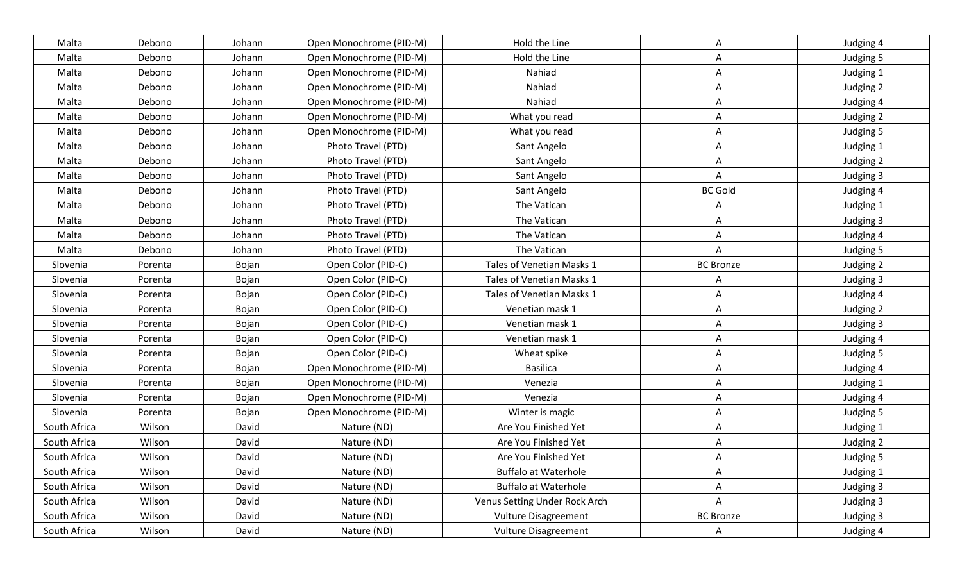| Malta        | Debono  | Johann | Open Monochrome (PID-M) | Hold the Line                 | А                | Judging 4 |
|--------------|---------|--------|-------------------------|-------------------------------|------------------|-----------|
| Malta        | Debono  | Johann | Open Monochrome (PID-M) | Hold the Line                 | A                | Judging 5 |
| Malta        | Debono  | Johann | Open Monochrome (PID-M) | Nahiad                        | Α                | Judging 1 |
| Malta        | Debono  | Johann | Open Monochrome (PID-M) | Nahiad                        | A                | Judging 2 |
| Malta        | Debono  | Johann | Open Monochrome (PID-M) | Nahiad                        | A                | Judging 4 |
| Malta        | Debono  | Johann | Open Monochrome (PID-M) | What you read                 | A                | Judging 2 |
| Malta        | Debono  | Johann | Open Monochrome (PID-M) | What you read                 | A                | Judging 5 |
| Malta        | Debono  | Johann | Photo Travel (PTD)      | Sant Angelo                   | A                | Judging 1 |
| Malta        | Debono  | Johann | Photo Travel (PTD)      | Sant Angelo                   | A                | Judging 2 |
| Malta        | Debono  | Johann | Photo Travel (PTD)      | Sant Angelo                   | A                | Judging 3 |
| Malta        | Debono  | Johann | Photo Travel (PTD)      | Sant Angelo                   | <b>BC Gold</b>   | Judging 4 |
| Malta        | Debono  | Johann | Photo Travel (PTD)      | The Vatican                   | A                | Judging 1 |
| Malta        | Debono  | Johann | Photo Travel (PTD)      | The Vatican                   | A                | Judging 3 |
| Malta        | Debono  | Johann | Photo Travel (PTD)      | The Vatican                   | A                | Judging 4 |
| Malta        | Debono  | Johann | Photo Travel (PTD)      | The Vatican                   | Α                | Judging 5 |
| Slovenia     | Porenta | Bojan  | Open Color (PID-C)      | Tales of Venetian Masks 1     | <b>BC Bronze</b> | Judging 2 |
| Slovenia     | Porenta | Bojan  | Open Color (PID-C)      | Tales of Venetian Masks 1     |                  | Judging 3 |
| Slovenia     | Porenta | Bojan  | Open Color (PID-C)      | Tales of Venetian Masks 1     | Α                | Judging 4 |
| Slovenia     | Porenta | Bojan  | Open Color (PID-C)      | Venetian mask 1               | A                | Judging 2 |
| Slovenia     | Porenta | Bojan  | Open Color (PID-C)      | Venetian mask 1               | Α                | Judging 3 |
| Slovenia     | Porenta | Bojan  | Open Color (PID-C)      | Venetian mask 1               | A                | Judging 4 |
| Slovenia     | Porenta | Bojan  | Open Color (PID-C)      | Wheat spike                   | A                | Judging 5 |
| Slovenia     | Porenta | Bojan  | Open Monochrome (PID-M) | <b>Basilica</b>               | Α                | Judging 4 |
| Slovenia     | Porenta | Bojan  | Open Monochrome (PID-M) | Venezia                       | A                | Judging 1 |
| Slovenia     | Porenta | Bojan  | Open Monochrome (PID-M) | Venezia                       | A                | Judging 4 |
| Slovenia     | Porenta | Bojan  | Open Monochrome (PID-M) | Winter is magic               | A                | Judging 5 |
| South Africa | Wilson  | David  | Nature (ND)             | Are You Finished Yet          | Α                | Judging 1 |
| South Africa | Wilson  | David  | Nature (ND)             | Are You Finished Yet          | A                | Judging 2 |
| South Africa | Wilson  | David  | Nature (ND)             | Are You Finished Yet          | А                | Judging 5 |
| South Africa | Wilson  | David  | Nature (ND)             | <b>Buffalo at Waterhole</b>   | Α                | Judging 1 |
| South Africa | Wilson  | David  | Nature (ND)             | <b>Buffalo at Waterhole</b>   | A                | Judging 3 |
| South Africa | Wilson  | David  | Nature (ND)             | Venus Setting Under Rock Arch | Α                | Judging 3 |
| South Africa | Wilson  | David  | Nature (ND)             | <b>Vulture Disagreement</b>   | <b>BC</b> Bronze | Judging 3 |
| South Africa | Wilson  | David  | Nature (ND)             | <b>Vulture Disagreement</b>   | $\mathsf{A}$     | Judging 4 |
|              |         |        |                         |                               |                  |           |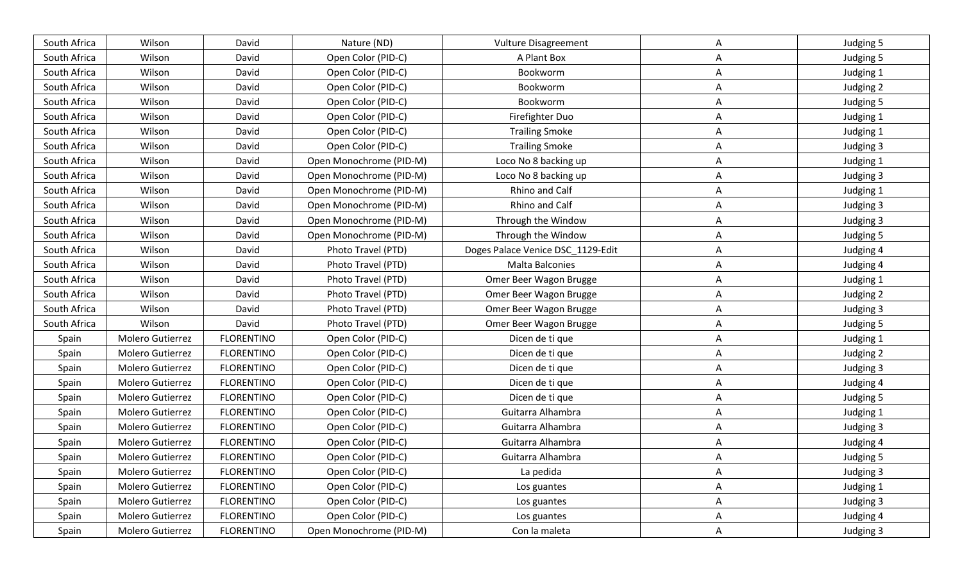| South Africa | Wilson           | David             | Nature (ND)             | <b>Vulture Disagreement</b>       | А | Judging 5 |
|--------------|------------------|-------------------|-------------------------|-----------------------------------|---|-----------|
| South Africa | Wilson           | David             | Open Color (PID-C)      | A Plant Box                       | Α | Judging 5 |
| South Africa | Wilson           | David             | Open Color (PID-C)      | Bookworm                          | Α | Judging 1 |
| South Africa | Wilson           | David             | Open Color (PID-C)      | Bookworm                          | Α | Judging 2 |
| South Africa | Wilson           | David             | Open Color (PID-C)      | Bookworm                          | Α | Judging 5 |
| South Africa | Wilson           | David             | Open Color (PID-C)      | Firefighter Duo                   | A | Judging 1 |
| South Africa | Wilson           | David             | Open Color (PID-C)      | <b>Trailing Smoke</b>             | A | Judging 1 |
| South Africa | Wilson           | David             | Open Color (PID-C)      | <b>Trailing Smoke</b>             | Α | Judging 3 |
| South Africa | Wilson           | David             | Open Monochrome (PID-M) | Loco No 8 backing up              | Α | Judging 1 |
| South Africa | Wilson           | David             | Open Monochrome (PID-M) | Loco No 8 backing up              | Α | Judging 3 |
| South Africa | Wilson           | David             | Open Monochrome (PID-M) | Rhino and Calf                    | Α | Judging 1 |
| South Africa | Wilson           | David             | Open Monochrome (PID-M) | Rhino and Calf                    | Α | Judging 3 |
| South Africa | Wilson           | David             | Open Monochrome (PID-M) | Through the Window                | Α | Judging 3 |
| South Africa | Wilson           | David             | Open Monochrome (PID-M) | Through the Window                | Α | Judging 5 |
| South Africa | Wilson           | David             | Photo Travel (PTD)      | Doges Palace Venice DSC_1129-Edit | Α | Judging 4 |
| South Africa | Wilson           | David             | Photo Travel (PTD)      | Malta Balconies                   | Α | Judging 4 |
| South Africa | Wilson           | David             | Photo Travel (PTD)      | Omer Beer Wagon Brugge            | Α | Judging 1 |
| South Africa | Wilson           | David             | Photo Travel (PTD)      | Omer Beer Wagon Brugge            | Α | Judging 2 |
| South Africa | Wilson           | David             | Photo Travel (PTD)      | Omer Beer Wagon Brugge            | A | Judging 3 |
| South Africa | Wilson           | David             | Photo Travel (PTD)      | Omer Beer Wagon Brugge            | Α | Judging 5 |
| Spain        | Molero Gutierrez | <b>FLORENTINO</b> | Open Color (PID-C)      | Dicen de ti que                   | A | Judging 1 |
| Spain        | Molero Gutierrez | <b>FLORENTINO</b> | Open Color (PID-C)      | Dicen de ti que                   | A | Judging 2 |
| Spain        | Molero Gutierrez | <b>FLORENTINO</b> | Open Color (PID-C)      | Dicen de ti que                   | Α | Judging 3 |
| Spain        | Molero Gutierrez | <b>FLORENTINO</b> | Open Color (PID-C)      | Dicen de ti que                   | Α | Judging 4 |
| Spain        | Molero Gutierrez | <b>FLORENTINO</b> | Open Color (PID-C)      | Dicen de ti que                   | A | Judging 5 |
| Spain        | Molero Gutierrez | <b>FLORENTINO</b> | Open Color (PID-C)      | Guitarra Alhambra                 | Α | Judging 1 |
| Spain        | Molero Gutierrez | <b>FLORENTINO</b> | Open Color (PID-C)      | Guitarra Alhambra                 | Α | Judging 3 |
| Spain        | Molero Gutierrez | <b>FLORENTINO</b> | Open Color (PID-C)      | Guitarra Alhambra                 | A | Judging 4 |
| Spain        | Molero Gutierrez | <b>FLORENTINO</b> | Open Color (PID-C)      | Guitarra Alhambra                 | А | Judging 5 |
| Spain        | Molero Gutierrez | <b>FLORENTINO</b> | Open Color (PID-C)      | La pedida                         | A | Judging 3 |
| Spain        | Molero Gutierrez | <b>FLORENTINO</b> | Open Color (PID-C)      | Los guantes                       | A | Judging 1 |
| Spain        | Molero Gutierrez | <b>FLORENTINO</b> | Open Color (PID-C)      | Los guantes                       | A | Judging 3 |
| Spain        | Molero Gutierrez | <b>FLORENTINO</b> | Open Color (PID-C)      | Los guantes                       | A | Judging 4 |
| Spain        | Molero Gutierrez | <b>FLORENTINO</b> | Open Monochrome (PID-M) | Con la maleta                     | A | Judging 3 |
|              |                  |                   |                         |                                   |   |           |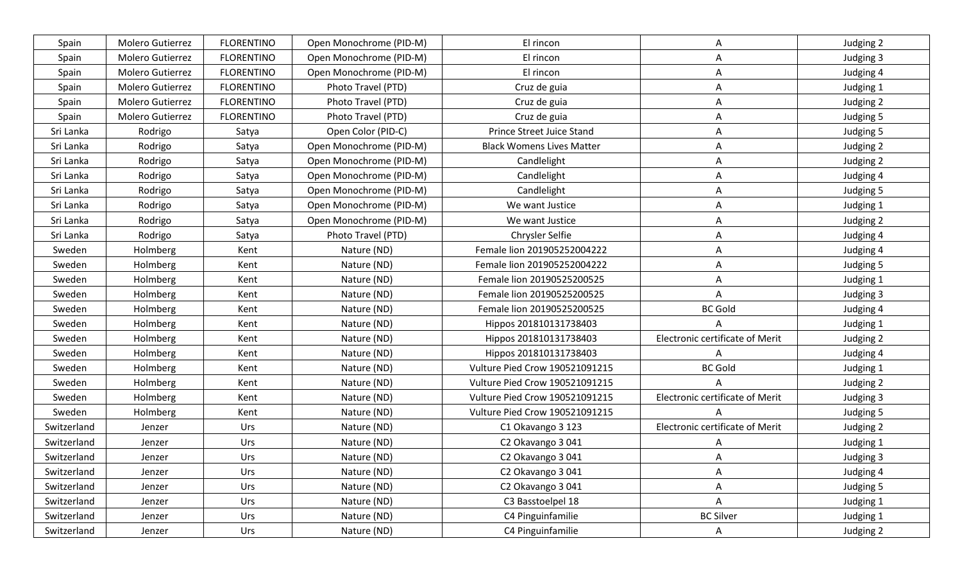| Spain       | Molero Gutierrez | <b>FLORENTINO</b> | Open Monochrome (PID-M) | El rincon                             | A                               | Judging 2 |
|-------------|------------------|-------------------|-------------------------|---------------------------------------|---------------------------------|-----------|
| Spain       | Molero Gutierrez | <b>FLORENTINO</b> | Open Monochrome (PID-M) | El rincon                             | A                               | Judging 3 |
| Spain       | Molero Gutierrez | <b>FLORENTINO</b> | Open Monochrome (PID-M) | El rincon                             | Α                               | Judging 4 |
| Spain       | Molero Gutierrez | <b>FLORENTINO</b> | Photo Travel (PTD)      | Cruz de guia                          | A                               | Judging 1 |
| Spain       | Molero Gutierrez | <b>FLORENTINO</b> | Photo Travel (PTD)      | Cruz de guia                          | Α                               | Judging 2 |
| Spain       | Molero Gutierrez | <b>FLORENTINO</b> | Photo Travel (PTD)      | Cruz de guia                          | Α                               | Judging 5 |
| Sri Lanka   | Rodrigo          | Satya             | Open Color (PID-C)      | Prince Street Juice Stand             | Α                               | Judging 5 |
| Sri Lanka   | Rodrigo          | Satya             | Open Monochrome (PID-M) | <b>Black Womens Lives Matter</b>      | A                               | Judging 2 |
| Sri Lanka   | Rodrigo          | Satya             | Open Monochrome (PID-M) | Candlelight                           | A                               | Judging 2 |
| Sri Lanka   | Rodrigo          | Satya             | Open Monochrome (PID-M) | Candlelight                           | A                               | Judging 4 |
| Sri Lanka   | Rodrigo          | Satya             | Open Monochrome (PID-M) | Candlelight                           | A                               | Judging 5 |
| Sri Lanka   | Rodrigo          | Satya             | Open Monochrome (PID-M) | We want Justice                       | Α                               | Judging 1 |
| Sri Lanka   | Rodrigo          | Satya             | Open Monochrome (PID-M) | We want Justice                       | Α                               | Judging 2 |
| Sri Lanka   | Rodrigo          | Satya             | Photo Travel (PTD)      | Chrysler Selfie                       | A                               | Judging 4 |
| Sweden      | Holmberg         | Kent              | Nature (ND)             | Female lion 201905252004222           | A                               | Judging 4 |
| Sweden      | Holmberg         | Kent              | Nature (ND)             | Female lion 201905252004222           | A                               | Judging 5 |
| Sweden      | Holmberg         | Kent              | Nature (ND)             | Female lion 20190525200525            | Α                               | Judging 1 |
| Sweden      | Holmberg         | Kent              | Nature (ND)             | Female lion 20190525200525            | A                               | Judging 3 |
| Sweden      | Holmberg         | Kent              | Nature (ND)             | Female lion 20190525200525            | <b>BC Gold</b>                  | Judging 4 |
| Sweden      | Holmberg         | Kent              | Nature (ND)             | Hippos 201810131738403                |                                 | Judging 1 |
| Sweden      | Holmberg         | Kent              | Nature (ND)             | Hippos 201810131738403                | Electronic certificate of Merit | Judging 2 |
| Sweden      | Holmberg         | Kent              | Nature (ND)             | Hippos 201810131738403                | A                               | Judging 4 |
| Sweden      | Holmberg         | Kent              | Nature (ND)             | Vulture Pied Crow 190521091215        | <b>BC Gold</b>                  | Judging 1 |
| Sweden      | Holmberg         | Kent              | Nature (ND)             | <b>Vulture Pied Crow 190521091215</b> |                                 | Judging 2 |
| Sweden      | Holmberg         | Kent              | Nature (ND)             | <b>Vulture Pied Crow 190521091215</b> | Electronic certificate of Merit | Judging 3 |
| Sweden      | Holmberg         | Kent              | Nature (ND)             | Vulture Pied Crow 190521091215        |                                 | Judging 5 |
| Switzerland | Jenzer           | Urs               | Nature (ND)             | C1 Okavango 3 123                     | Electronic certificate of Merit | Judging 2 |
| Switzerland | Jenzer           | Urs               | Nature (ND)             | C2 Okavango 3 041                     | A                               | Judging 1 |
| Switzerland | Jenzer           | Urs               | Nature (ND)             | C2 Okavango 3 041                     | А                               | Judging 3 |
| Switzerland | Jenzer           | Urs               | Nature (ND)             | C2 Okavango 3 041                     | A                               | Judging 4 |
| Switzerland | Jenzer           | Urs               | Nature (ND)             | C2 Okavango 3 041                     | A                               | Judging 5 |
| Switzerland | Jenzer           | Urs               | Nature (ND)             | C3 Basstoelpel 18                     | Α                               | Judging 1 |
| Switzerland | Jenzer           | Urs               | Nature (ND)             | C4 Pinguinfamilie                     | <b>BC Silver</b>                | Judging 1 |
| Switzerland | Jenzer           | Urs               | Nature (ND)             | C4 Pinguinfamilie                     | $\mathsf{A}$                    | Judging 2 |
|             |                  |                   |                         |                                       |                                 |           |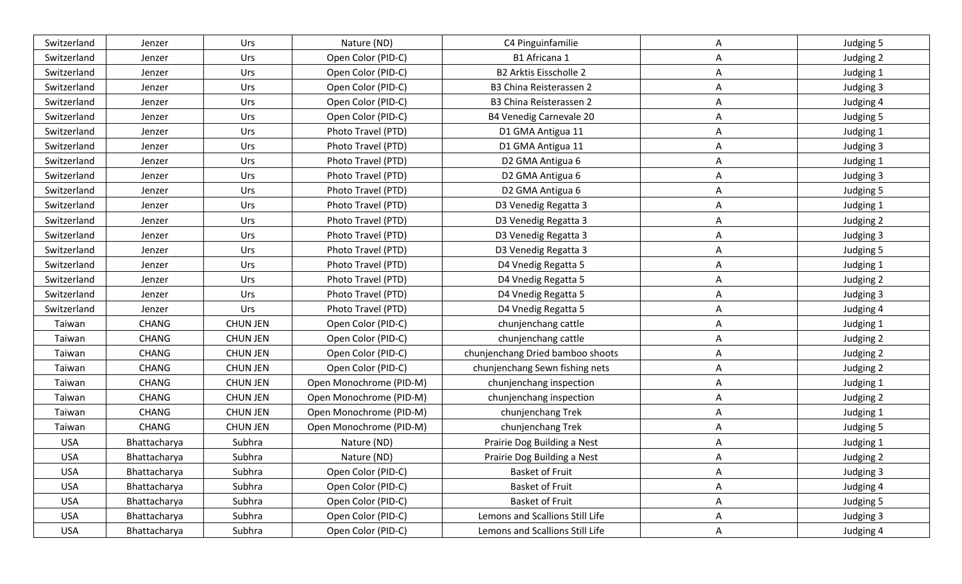| Switzerland | Jenzer       | Urs             | Nature (ND)             | C4 Pinguinfamilie                | Α            | Judging 5 |
|-------------|--------------|-----------------|-------------------------|----------------------------------|--------------|-----------|
| Switzerland | Jenzer       | Urs             | Open Color (PID-C)      | B1 Africana 1                    | A            | Judging 2 |
| Switzerland | Jenzer       | Urs             | Open Color (PID-C)      | <b>B2 Arktis Eisscholle 2</b>    | Α            | Judging 1 |
| Switzerland | Jenzer       | Urs             | Open Color (PID-C)      | B3 China Reisterassen 2          | A            | Judging 3 |
| Switzerland | Jenzer       | Urs             | Open Color (PID-C)      | B3 China Reisterassen 2          | A            | Judging 4 |
| Switzerland | Jenzer       | Urs             | Open Color (PID-C)      | <b>B4 Venedig Carnevale 20</b>   | Α            | Judging 5 |
| Switzerland | Jenzer       | Urs             | Photo Travel (PTD)      | D1 GMA Antigua 11                | A            | Judging 1 |
| Switzerland | Jenzer       | Urs             | Photo Travel (PTD)      | D1 GMA Antigua 11                | A            | Judging 3 |
| Switzerland | Jenzer       | Urs             | Photo Travel (PTD)      | D2 GMA Antigua 6                 | A            | Judging 1 |
| Switzerland | Jenzer       | Urs             | Photo Travel (PTD)      | D2 GMA Antigua 6                 | Α            | Judging 3 |
| Switzerland | Jenzer       | Urs             | Photo Travel (PTD)      | D2 GMA Antigua 6                 | Α            | Judging 5 |
| Switzerland | Jenzer       | Urs             | Photo Travel (PTD)      | D3 Venedig Regatta 3             | A            | Judging 1 |
| Switzerland | Jenzer       | Urs             | Photo Travel (PTD)      | D3 Venedig Regatta 3             | Α            | Judging 2 |
| Switzerland | Jenzer       | Urs             | Photo Travel (PTD)      | D3 Venedig Regatta 3             | A            | Judging 3 |
| Switzerland | Jenzer       | Urs             | Photo Travel (PTD)      | D3 Venedig Regatta 3             | A            | Judging 5 |
| Switzerland | Jenzer       | Urs             | Photo Travel (PTD)      | D4 Vnedig Regatta 5              | Α            | Judging 1 |
| Switzerland | Jenzer       | Urs             | Photo Travel (PTD)      | D4 Vnedig Regatta 5              | Α            | Judging 2 |
| Switzerland | Jenzer       | Urs             | Photo Travel (PTD)      | D4 Vnedig Regatta 5              | Α            | Judging 3 |
| Switzerland | Jenzer       | Urs             | Photo Travel (PTD)      | D4 Vnedig Regatta 5              | A            | Judging 4 |
| Taiwan      | <b>CHANG</b> | <b>CHUN JEN</b> | Open Color (PID-C)      | chunjenchang cattle              | Α            | Judging 1 |
| Taiwan      | <b>CHANG</b> | <b>CHUN JEN</b> | Open Color (PID-C)      | chunjenchang cattle              | A            | Judging 2 |
| Taiwan      | CHANG        | <b>CHUN JEN</b> | Open Color (PID-C)      | chunjenchang Dried bamboo shoots | Α            | Judging 2 |
| Taiwan      | <b>CHANG</b> | <b>CHUN JEN</b> | Open Color (PID-C)      | chunjenchang Sewn fishing nets   | Α            | Judging 2 |
| Taiwan      | <b>CHANG</b> | <b>CHUN JEN</b> | Open Monochrome (PID-M) | chunjenchang inspection          | A            | Judging 1 |
| Taiwan      | <b>CHANG</b> | <b>CHUN JEN</b> | Open Monochrome (PID-M) | chunjenchang inspection          | Α            | Judging 2 |
| Taiwan      | <b>CHANG</b> | <b>CHUN JEN</b> | Open Monochrome (PID-M) | chunjenchang Trek                | A            | Judging 1 |
| Taiwan      | CHANG        | <b>CHUN JEN</b> | Open Monochrome (PID-M) | chunjenchang Trek                | Α            | Judging 5 |
| <b>USA</b>  | Bhattacharya | Subhra          | Nature (ND)             | Prairie Dog Building a Nest      | Α            | Judging 1 |
| <b>USA</b>  | Bhattacharya | Subhra          | Nature (ND)             | Prairie Dog Building a Nest      | Α            | Judging 2 |
| <b>USA</b>  | Bhattacharya | Subhra          | Open Color (PID-C)      | <b>Basket of Fruit</b>           | A            | Judging 3 |
| <b>USA</b>  | Bhattacharya | Subhra          | Open Color (PID-C)      | <b>Basket of Fruit</b>           | $\mathsf{A}$ | Judging 4 |
| <b>USA</b>  | Bhattacharya | Subhra          | Open Color (PID-C)      | <b>Basket of Fruit</b>           | A            | Judging 5 |
| <b>USA</b>  | Bhattacharya | Subhra          | Open Color (PID-C)      | Lemons and Scallions Still Life  | $\mathsf{A}$ | Judging 3 |
| <b>USA</b>  | Bhattacharya | Subhra          | Open Color (PID-C)      | Lemons and Scallions Still Life  | $\mathsf{A}$ | Judging 4 |
|             |              |                 |                         |                                  |              |           |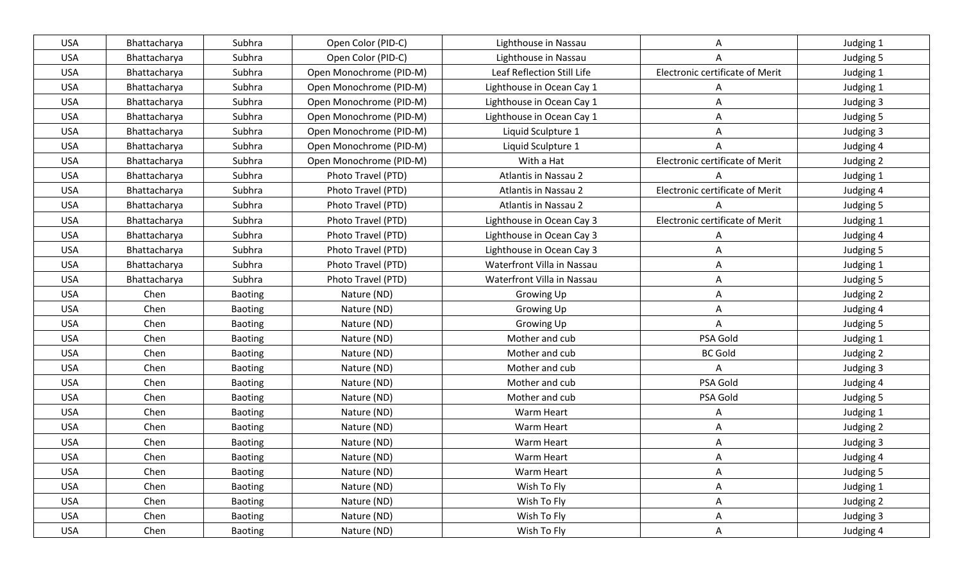| <b>USA</b> | Bhattacharya | Subhra         | Open Color (PID-C)      | Lighthouse in Nassau       | Α                               | Judging 1 |
|------------|--------------|----------------|-------------------------|----------------------------|---------------------------------|-----------|
| <b>USA</b> | Bhattacharya | Subhra         | Open Color (PID-C)      | Lighthouse in Nassau       |                                 | Judging 5 |
| <b>USA</b> | Bhattacharya | Subhra         | Open Monochrome (PID-M) | Leaf Reflection Still Life | Electronic certificate of Merit | Judging 1 |
| <b>USA</b> | Bhattacharya | Subhra         | Open Monochrome (PID-M) | Lighthouse in Ocean Cay 1  |                                 | Judging 1 |
| <b>USA</b> | Bhattacharya | Subhra         | Open Monochrome (PID-M) | Lighthouse in Ocean Cay 1  | Α                               | Judging 3 |
| <b>USA</b> | Bhattacharya | Subhra         | Open Monochrome (PID-M) | Lighthouse in Ocean Cay 1  | A                               | Judging 5 |
| <b>USA</b> | Bhattacharya | Subhra         | Open Monochrome (PID-M) | Liquid Sculpture 1         | A                               | Judging 3 |
| <b>USA</b> | Bhattacharya | Subhra         | Open Monochrome (PID-M) | Liquid Sculpture 1         |                                 | Judging 4 |
| <b>USA</b> | Bhattacharya | Subhra         | Open Monochrome (PID-M) | With a Hat                 | Electronic certificate of Merit | Judging 2 |
| <b>USA</b> | Bhattacharya | Subhra         | Photo Travel (PTD)      | Atlantis in Nassau 2       |                                 | Judging 1 |
| <b>USA</b> | Bhattacharya | Subhra         | Photo Travel (PTD)      | Atlantis in Nassau 2       | Electronic certificate of Merit | Judging 4 |
| <b>USA</b> | Bhattacharya | Subhra         | Photo Travel (PTD)      | Atlantis in Nassau 2       |                                 | Judging 5 |
| <b>USA</b> | Bhattacharya | Subhra         | Photo Travel (PTD)      | Lighthouse in Ocean Cay 3  | Electronic certificate of Merit | Judging 1 |
| <b>USA</b> | Bhattacharya | Subhra         | Photo Travel (PTD)      | Lighthouse in Ocean Cay 3  | A                               | Judging 4 |
| <b>USA</b> | Bhattacharya | Subhra         | Photo Travel (PTD)      | Lighthouse in Ocean Cay 3  | Α                               | Judging 5 |
| <b>USA</b> | Bhattacharya | Subhra         | Photo Travel (PTD)      | Waterfront Villa in Nassau | A                               | Judging 1 |
| <b>USA</b> | Bhattacharya | Subhra         | Photo Travel (PTD)      | Waterfront Villa in Nassau | Α                               | Judging 5 |
| <b>USA</b> | Chen         | <b>Baoting</b> | Nature (ND)             | Growing Up                 | A                               | Judging 2 |
| <b>USA</b> | Chen         | <b>Baoting</b> | Nature (ND)             | Growing Up                 | A                               | Judging 4 |
| <b>USA</b> | Chen         | <b>Baoting</b> | Nature (ND)             | Growing Up                 | A                               | Judging 5 |
| <b>USA</b> | Chen         | <b>Baoting</b> | Nature (ND)             | Mother and cub             | PSA Gold                        | Judging 1 |
| <b>USA</b> | Chen         | <b>Baoting</b> | Nature (ND)             | Mother and cub             | <b>BC Gold</b>                  | Judging 2 |
| <b>USA</b> | Chen         | <b>Baoting</b> | Nature (ND)             | Mother and cub             | A                               | Judging 3 |
| <b>USA</b> | Chen         | <b>Baoting</b> | Nature (ND)             | Mother and cub             | PSA Gold                        | Judging 4 |
| <b>USA</b> | Chen         | <b>Baoting</b> | Nature (ND)             | Mother and cub             | PSA Gold                        | Judging 5 |
| <b>USA</b> | Chen         | Baoting        | Nature (ND)             | Warm Heart                 | A                               | Judging 1 |
| <b>USA</b> | Chen         | <b>Baoting</b> | Nature (ND)             | Warm Heart                 | Α                               | Judging 2 |
| <b>USA</b> | Chen         | Baoting        | Nature (ND)             | Warm Heart                 | A                               | Judging 3 |
| <b>USA</b> | Chen         | <b>Baoting</b> | Nature (ND)             | Warm Heart                 | A                               | Judging 4 |
| <b>USA</b> | Chen         | Baoting        | Nature (ND)             | Warm Heart                 | A                               | Judging 5 |
| <b>USA</b> | Chen         | Baoting        | Nature (ND)             | Wish To Fly                | A                               | Judging 1 |
| <b>USA</b> | Chen         | Baoting        | Nature (ND)             | Wish To Fly                | A                               | Judging 2 |
| <b>USA</b> | Chen         | Baoting        | Nature (ND)             | Wish To Fly                | A                               | Judging 3 |
| <b>USA</b> | Chen         | Baoting        | Nature (ND)             | Wish To Fly                | $\mathsf{A}$                    | Judging 4 |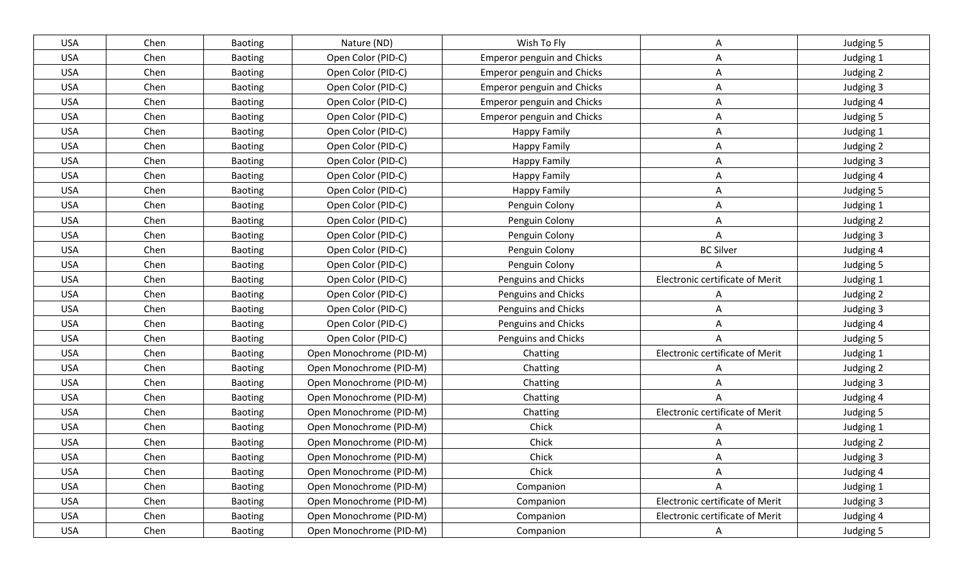| <b>USA</b> | Chen | <b>Baoting</b> | Nature (ND)             | Wish To Fly                       | A                               | Judging 5 |
|------------|------|----------------|-------------------------|-----------------------------------|---------------------------------|-----------|
| <b>USA</b> | Chen | <b>Baoting</b> | Open Color (PID-C)      | <b>Emperor penguin and Chicks</b> | A                               | Judging 1 |
| <b>USA</b> | Chen | <b>Baoting</b> | Open Color (PID-C)      | <b>Emperor penguin and Chicks</b> | Α                               | Judging 2 |
| <b>USA</b> | Chen | <b>Baoting</b> | Open Color (PID-C)      | <b>Emperor penguin and Chicks</b> | A                               | Judging 3 |
| <b>USA</b> | Chen | Baoting        | Open Color (PID-C)      | <b>Emperor penguin and Chicks</b> | Α                               | Judging 4 |
| <b>USA</b> | Chen | Baoting        | Open Color (PID-C)      | <b>Emperor penguin and Chicks</b> | Α                               | Judging 5 |
| <b>USA</b> | Chen | <b>Baoting</b> | Open Color (PID-C)      | <b>Happy Family</b>               | A                               | Judging 1 |
| <b>USA</b> | Chen | <b>Baoting</b> | Open Color (PID-C)      | <b>Happy Family</b>               | Α                               | Judging 2 |
| <b>USA</b> | Chen | <b>Baoting</b> | Open Color (PID-C)      | <b>Happy Family</b>               | A                               | Judging 3 |
| <b>USA</b> | Chen | <b>Baoting</b> | Open Color (PID-C)      | <b>Happy Family</b>               | A                               | Judging 4 |
| <b>USA</b> | Chen | <b>Baoting</b> | Open Color (PID-C)      | <b>Happy Family</b>               | Α                               | Judging 5 |
| <b>USA</b> | Chen | Baoting        | Open Color (PID-C)      | Penguin Colony                    | Α                               | Judging 1 |
| <b>USA</b> | Chen | <b>Baoting</b> | Open Color (PID-C)      | Penguin Colony                    | Α                               | Judging 2 |
| <b>USA</b> | Chen | <b>Baoting</b> | Open Color (PID-C)      | Penguin Colony                    | A                               | Judging 3 |
| <b>USA</b> | Chen | <b>Baoting</b> | Open Color (PID-C)      | Penguin Colony                    | <b>BC Silver</b>                | Judging 4 |
| <b>USA</b> | Chen | <b>Baoting</b> | Open Color (PID-C)      | Penguin Colony                    |                                 | Judging 5 |
| <b>USA</b> | Chen | <b>Baoting</b> | Open Color (PID-C)      | Penguins and Chicks               | Electronic certificate of Merit | Judging 1 |
| <b>USA</b> | Chen | <b>Baoting</b> | Open Color (PID-C)      | Penguins and Chicks               | A                               | Judging 2 |
| <b>USA</b> | Chen | <b>Baoting</b> | Open Color (PID-C)      | Penguins and Chicks               | A                               | Judging 3 |
| <b>USA</b> | Chen | <b>Baoting</b> | Open Color (PID-C)      | Penguins and Chicks               | Α                               | Judging 4 |
| <b>USA</b> | Chen | <b>Baoting</b> | Open Color (PID-C)      | Penguins and Chicks               | A                               | Judging 5 |
| <b>USA</b> | Chen | <b>Baoting</b> | Open Monochrome (PID-M) | Chatting                          | Electronic certificate of Merit | Judging 1 |
| <b>USA</b> | Chen | Baoting        | Open Monochrome (PID-M) | Chatting                          | A                               | Judging 2 |
| <b>USA</b> | Chen | Baoting        | Open Monochrome (PID-M) | Chatting                          | A                               | Judging 3 |
| <b>USA</b> | Chen | <b>Baoting</b> | Open Monochrome (PID-M) | Chatting                          | A                               | Judging 4 |
| <b>USA</b> | Chen | Baoting        | Open Monochrome (PID-M) | Chatting                          | Electronic certificate of Merit | Judging 5 |
| <b>USA</b> | Chen | <b>Baoting</b> | Open Monochrome (PID-M) | Chick                             | A                               | Judging 1 |
| <b>USA</b> | Chen | <b>Baoting</b> | Open Monochrome (PID-M) | Chick                             | A                               | Judging 2 |
| <b>USA</b> | Chen | <b>Baoting</b> | Open Monochrome (PID-M) | Chick                             | Α                               | Judging 3 |
| <b>USA</b> | Chen | Baoting        | Open Monochrome (PID-M) | Chick                             | A                               | Judging 4 |
| <b>USA</b> | Chen | <b>Baoting</b> | Open Monochrome (PID-M) | Companion                         | A                               | Judging 1 |
| <b>USA</b> | Chen | <b>Baoting</b> | Open Monochrome (PID-M) | Companion                         | Electronic certificate of Merit | Judging 3 |
| <b>USA</b> | Chen | Baoting        | Open Monochrome (PID-M) | Companion                         | Electronic certificate of Merit | Judging 4 |
| <b>USA</b> | Chen | Baoting        | Open Monochrome (PID-M) | Companion                         | $\mathsf{A}$                    | Judging 5 |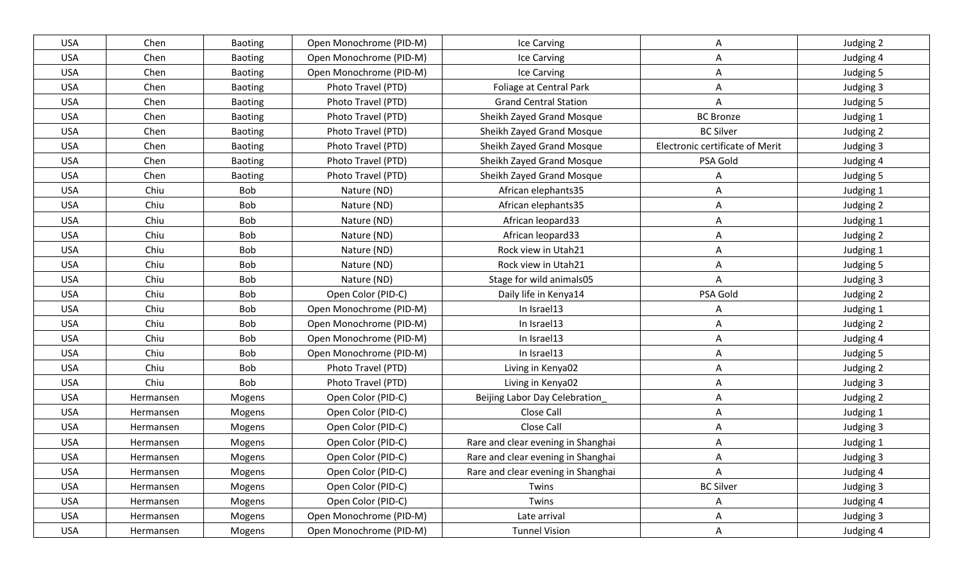| <b>USA</b> | Chen      | <b>Baoting</b> | Open Monochrome (PID-M) | Ice Carving                        | A                               | Judging 2 |
|------------|-----------|----------------|-------------------------|------------------------------------|---------------------------------|-----------|
| <b>USA</b> | Chen      | Baoting        | Open Monochrome (PID-M) | Ice Carving                        | A                               | Judging 4 |
| <b>USA</b> | Chen      | Baoting        | Open Monochrome (PID-M) | Ice Carving                        | Α                               | Judging 5 |
| <b>USA</b> | Chen      | <b>Baoting</b> | Photo Travel (PTD)      | Foliage at Central Park            | A                               | Judging 3 |
| <b>USA</b> | Chen      | <b>Baoting</b> | Photo Travel (PTD)      | <b>Grand Central Station</b>       | A                               | Judging 5 |
| <b>USA</b> | Chen      | <b>Baoting</b> | Photo Travel (PTD)      | Sheikh Zayed Grand Mosque          | <b>BC</b> Bronze                | Judging 1 |
| <b>USA</b> | Chen      | <b>Baoting</b> | Photo Travel (PTD)      | Sheikh Zayed Grand Mosque          | <b>BC Silver</b>                | Judging 2 |
| <b>USA</b> | Chen      | <b>Baoting</b> | Photo Travel (PTD)      | Sheikh Zayed Grand Mosque          | Electronic certificate of Merit | Judging 3 |
| <b>USA</b> | Chen      | Baoting        | Photo Travel (PTD)      | Sheikh Zayed Grand Mosque          | PSA Gold                        | Judging 4 |
| <b>USA</b> | Chen      | <b>Baoting</b> | Photo Travel (PTD)      | Sheikh Zayed Grand Mosque          |                                 | Judging 5 |
| <b>USA</b> | Chiu      | <b>Bob</b>     | Nature (ND)             | African elephants35                | A                               | Judging 1 |
| <b>USA</b> | Chiu      | <b>Bob</b>     | Nature (ND)             | African elephants35                | A                               | Judging 2 |
| <b>USA</b> | Chiu      | <b>Bob</b>     | Nature (ND)             | African leopard33                  | A                               | Judging 1 |
| <b>USA</b> | Chiu      | <b>Bob</b>     | Nature (ND)             | African leopard33                  | Α                               | Judging 2 |
| <b>USA</b> | Chiu      | <b>Bob</b>     | Nature (ND)             | Rock view in Utah21                | Α                               | Judging 1 |
| <b>USA</b> | Chiu      | <b>Bob</b>     | Nature (ND)             | Rock view in Utah21                | A                               | Judging 5 |
| <b>USA</b> | Chiu      | <b>Bob</b>     | Nature (ND)             | Stage for wild animals05           | A                               | Judging 3 |
| <b>USA</b> | Chiu      | <b>Bob</b>     | Open Color (PID-C)      | Daily life in Kenya14              | PSA Gold                        | Judging 2 |
| <b>USA</b> | Chiu      | <b>Bob</b>     | Open Monochrome (PID-M) | In Israel13                        | A                               | Judging 1 |
| <b>USA</b> | Chiu      | <b>Bob</b>     | Open Monochrome (PID-M) | In Israel13                        | Α                               | Judging 2 |
| <b>USA</b> | Chiu      | <b>Bob</b>     | Open Monochrome (PID-M) | In Israel13                        | A                               | Judging 4 |
| <b>USA</b> | Chiu      | Bob            | Open Monochrome (PID-M) | In Israel13                        | A                               | Judging 5 |
| <b>USA</b> | Chiu      | Bob            | Photo Travel (PTD)      | Living in Kenya02                  | Α                               | Judging 2 |
| <b>USA</b> | Chiu      | <b>Bob</b>     | Photo Travel (PTD)      | Living in Kenya02                  | Α                               | Judging 3 |
| <b>USA</b> | Hermansen | Mogens         | Open Color (PID-C)      | Beijing Labor Day Celebration      | Α                               | Judging 2 |
| <b>USA</b> | Hermansen | Mogens         | Open Color (PID-C)      | Close Call                         | A                               | Judging 1 |
| <b>USA</b> | Hermansen | Mogens         | Open Color (PID-C)      | Close Call                         | Α                               | Judging 3 |
| <b>USA</b> | Hermansen | Mogens         | Open Color (PID-C)      | Rare and clear evening in Shanghai | A                               | Judging 1 |
| <b>USA</b> | Hermansen | Mogens         | Open Color (PID-C)      | Rare and clear evening in Shanghai | A                               | Judging 3 |
| <b>USA</b> | Hermansen | Mogens         | Open Color (PID-C)      | Rare and clear evening in Shanghai | A                               | Judging 4 |
| <b>USA</b> | Hermansen | Mogens         | Open Color (PID-C)      | Twins                              | <b>BC Silver</b>                | Judging 3 |
| <b>USA</b> | Hermansen | Mogens         | Open Color (PID-C)      | Twins                              | A                               | Judging 4 |
| <b>USA</b> | Hermansen | Mogens         | Open Monochrome (PID-M) | Late arrival                       | A                               | Judging 3 |
| <b>USA</b> | Hermansen | Mogens         | Open Monochrome (PID-M) | <b>Tunnel Vision</b>               | A                               | Judging 4 |
|            |           |                |                         |                                    |                                 |           |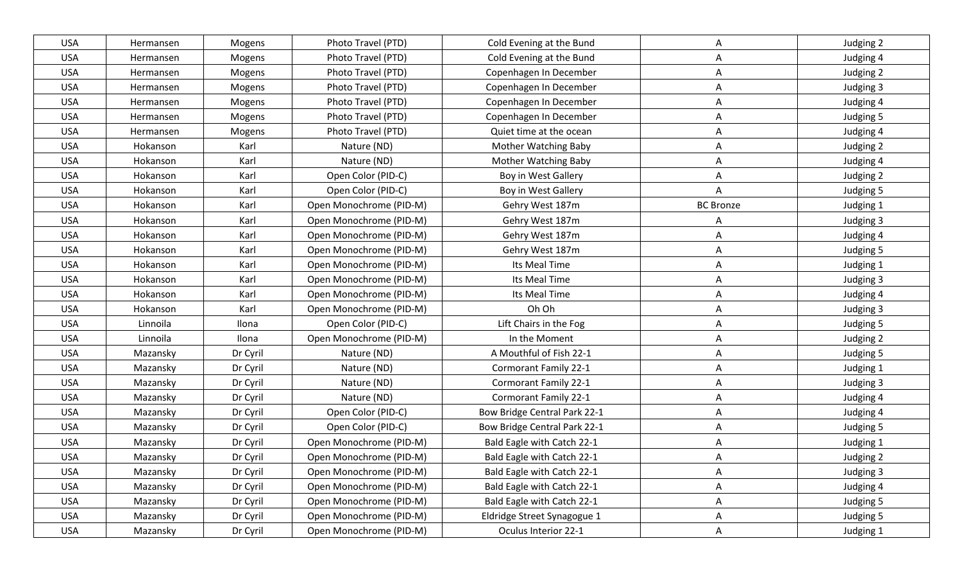| <b>USA</b> | Hermansen | Mogens   | Photo Travel (PTD)      | Cold Evening at the Bund     | A                | Judging 2 |
|------------|-----------|----------|-------------------------|------------------------------|------------------|-----------|
| <b>USA</b> | Hermansen | Mogens   | Photo Travel (PTD)      | Cold Evening at the Bund     | A                | Judging 4 |
| <b>USA</b> | Hermansen | Mogens   | Photo Travel (PTD)      | Copenhagen In December       | A                | Judging 2 |
| <b>USA</b> | Hermansen | Mogens   | Photo Travel (PTD)      | Copenhagen In December       | A                | Judging 3 |
| <b>USA</b> | Hermansen | Mogens   | Photo Travel (PTD)      | Copenhagen In December       | A                | Judging 4 |
| <b>USA</b> | Hermansen | Mogens   | Photo Travel (PTD)      | Copenhagen In December       | A                | Judging 5 |
| <b>USA</b> | Hermansen | Mogens   | Photo Travel (PTD)      | Quiet time at the ocean      | Α                | Judging 4 |
| <b>USA</b> | Hokanson  | Karl     | Nature (ND)             | <b>Mother Watching Baby</b>  | A                | Judging 2 |
| <b>USA</b> | Hokanson  | Karl     | Nature (ND)             | Mother Watching Baby         | Α                | Judging 4 |
| <b>USA</b> | Hokanson  | Karl     | Open Color (PID-C)      | Boy in West Gallery          | A                | Judging 2 |
| <b>USA</b> | Hokanson  | Karl     | Open Color (PID-C)      | Boy in West Gallery          | A                | Judging 5 |
| <b>USA</b> | Hokanson  | Karl     | Open Monochrome (PID-M) | Gehry West 187m              | <b>BC Bronze</b> | Judging 1 |
| <b>USA</b> | Hokanson  | Karl     | Open Monochrome (PID-M) | Gehry West 187m              | Α                | Judging 3 |
| <b>USA</b> | Hokanson  | Karl     | Open Monochrome (PID-M) | Gehry West 187m              | A                | Judging 4 |
| <b>USA</b> | Hokanson  | Karl     | Open Monochrome (PID-M) | Gehry West 187m              | A                | Judging 5 |
| <b>USA</b> | Hokanson  | Karl     | Open Monochrome (PID-M) | Its Meal Time                | A                | Judging 1 |
| <b>USA</b> | Hokanson  | Karl     | Open Monochrome (PID-M) | Its Meal Time                | A                | Judging 3 |
| <b>USA</b> | Hokanson  | Karl     | Open Monochrome (PID-M) | Its Meal Time                | Α                | Judging 4 |
| <b>USA</b> | Hokanson  | Karl     | Open Monochrome (PID-M) | Oh Oh                        | Α                | Judging 3 |
| <b>USA</b> | Linnoila  | Ilona    | Open Color (PID-C)      | Lift Chairs in the Fog       | A                | Judging 5 |
| <b>USA</b> | Linnoila  | Ilona    | Open Monochrome (PID-M) | In the Moment                | A                | Judging 2 |
| <b>USA</b> | Mazansky  | Dr Cyril | Nature (ND)             | A Mouthful of Fish 22-1      | A                | Judging 5 |
| <b>USA</b> | Mazansky  | Dr Cyril | Nature (ND)             | <b>Cormorant Family 22-1</b> | A                | Judging 1 |
| <b>USA</b> | Mazansky  | Dr Cyril | Nature (ND)             | <b>Cormorant Family 22-1</b> | Α                | Judging 3 |
| <b>USA</b> | Mazansky  | Dr Cyril | Nature (ND)             | Cormorant Family 22-1        | A                | Judging 4 |
| <b>USA</b> | Mazansky  | Dr Cyril | Open Color (PID-C)      | Bow Bridge Central Park 22-1 | A                | Judging 4 |
| <b>USA</b> | Mazansky  | Dr Cyril | Open Color (PID-C)      | Bow Bridge Central Park 22-1 | Α                | Judging 5 |
| <b>USA</b> | Mazansky  | Dr Cyril | Open Monochrome (PID-M) | Bald Eagle with Catch 22-1   | A                | Judging 1 |
| <b>USA</b> | Mazansky  | Dr Cyril | Open Monochrome (PID-M) | Bald Eagle with Catch 22-1   | A                | Judging 2 |
| <b>USA</b> | Mazansky  | Dr Cyril | Open Monochrome (PID-M) | Bald Eagle with Catch 22-1   | A                | Judging 3 |
| <b>USA</b> | Mazansky  | Dr Cyril | Open Monochrome (PID-M) | Bald Eagle with Catch 22-1   | $\mathsf{A}$     | Judging 4 |
| <b>USA</b> | Mazansky  | Dr Cyril | Open Monochrome (PID-M) | Bald Eagle with Catch 22-1   | A                | Judging 5 |
| <b>USA</b> | Mazansky  | Dr Cyril | Open Monochrome (PID-M) | Eldridge Street Synagogue 1  | A                | Judging 5 |
| <b>USA</b> | Mazansky  | Dr Cyril | Open Monochrome (PID-M) | Oculus Interior 22-1         | $\mathsf{A}$     | Judging 1 |
|            |           |          |                         |                              |                  |           |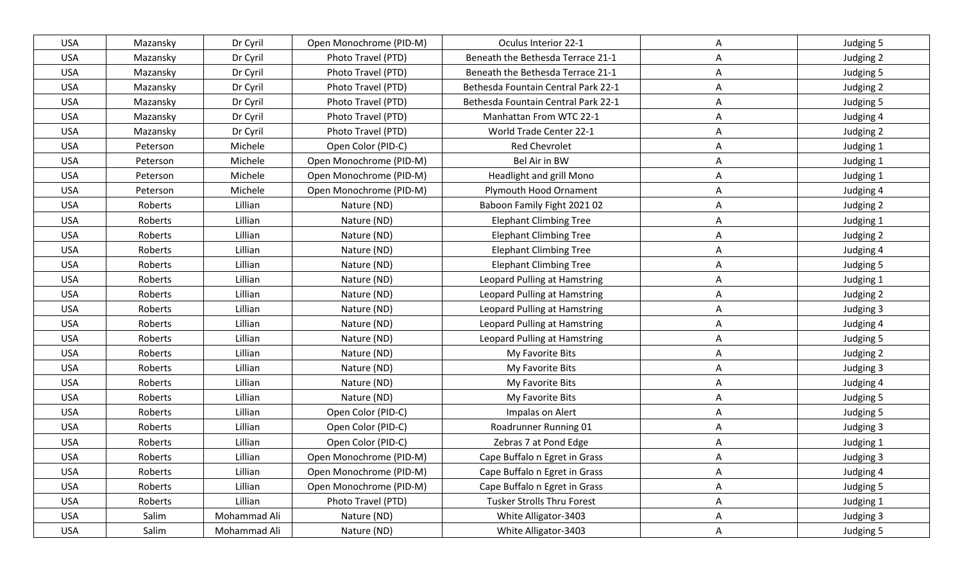| <b>USA</b> | Mazansky | Dr Cyril     | Open Monochrome (PID-M) | Oculus Interior 22-1                | A            | Judging 5 |
|------------|----------|--------------|-------------------------|-------------------------------------|--------------|-----------|
| <b>USA</b> | Mazansky | Dr Cyril     | Photo Travel (PTD)      | Beneath the Bethesda Terrace 21-1   | A            | Judging 2 |
| <b>USA</b> | Mazansky | Dr Cyril     | Photo Travel (PTD)      | Beneath the Bethesda Terrace 21-1   | A            | Judging 5 |
| <b>USA</b> | Mazansky | Dr Cyril     | Photo Travel (PTD)      | Bethesda Fountain Central Park 22-1 | A            | Judging 2 |
| <b>USA</b> | Mazansky | Dr Cyril     | Photo Travel (PTD)      | Bethesda Fountain Central Park 22-1 | A            | Judging 5 |
| <b>USA</b> | Mazansky | Dr Cyril     | Photo Travel (PTD)      | Manhattan From WTC 22-1             | A            | Judging 4 |
| <b>USA</b> | Mazansky | Dr Cyril     | Photo Travel (PTD)      | World Trade Center 22-1             | A            | Judging 2 |
| <b>USA</b> | Peterson | Michele      | Open Color (PID-C)      | <b>Red Chevrolet</b>                | A            | Judging 1 |
| <b>USA</b> | Peterson | Michele      | Open Monochrome (PID-M) | Bel Air in BW                       | A            | Judging 1 |
| <b>USA</b> | Peterson | Michele      | Open Monochrome (PID-M) | Headlight and grill Mono            | A            | Judging 1 |
| <b>USA</b> | Peterson | Michele      | Open Monochrome (PID-M) | Plymouth Hood Ornament              | Α            | Judging 4 |
| <b>USA</b> | Roberts  | Lillian      | Nature (ND)             | Baboon Family Fight 2021 02         | Α            | Judging 2 |
| <b>USA</b> | Roberts  | Lillian      | Nature (ND)             | <b>Elephant Climbing Tree</b>       | A            | Judging 1 |
| <b>USA</b> | Roberts  | Lillian      | Nature (ND)             | <b>Elephant Climbing Tree</b>       | A            | Judging 2 |
| <b>USA</b> | Roberts  | Lillian      | Nature (ND)             | <b>Elephant Climbing Tree</b>       | A            | Judging 4 |
| <b>USA</b> | Roberts  | Lillian      | Nature (ND)             | <b>Elephant Climbing Tree</b>       | A            | Judging 5 |
| <b>USA</b> | Roberts  | Lillian      | Nature (ND)             | Leopard Pulling at Hamstring        | A            | Judging 1 |
| <b>USA</b> | Roberts  | Lillian      | Nature (ND)             | Leopard Pulling at Hamstring        | A            | Judging 2 |
| <b>USA</b> | Roberts  | Lillian      | Nature (ND)             | Leopard Pulling at Hamstring        | A            | Judging 3 |
| <b>USA</b> | Roberts  | Lillian      | Nature (ND)             | Leopard Pulling at Hamstring        | Α            | Judging 4 |
| <b>USA</b> | Roberts  | Lillian      | Nature (ND)             | Leopard Pulling at Hamstring        | A            | Judging 5 |
| <b>USA</b> | Roberts  | Lillian      | Nature (ND)             | My Favorite Bits                    | A            | Judging 2 |
| <b>USA</b> | Roberts  | Lillian      | Nature (ND)             | My Favorite Bits                    | Α            | Judging 3 |
| <b>USA</b> | Roberts  | Lillian      | Nature (ND)             | My Favorite Bits                    | Α            | Judging 4 |
| <b>USA</b> | Roberts  | Lillian      | Nature (ND)             | My Favorite Bits                    | A            | Judging 5 |
| <b>USA</b> | Roberts  | Lillian      | Open Color (PID-C)      | Impalas on Alert                    | A            | Judging 5 |
| <b>USA</b> | Roberts  | Lillian      | Open Color (PID-C)      | Roadrunner Running 01               | A            | Judging 3 |
| <b>USA</b> | Roberts  | Lillian      | Open Color (PID-C)      | Zebras 7 at Pond Edge               | A            | Judging 1 |
| <b>USA</b> | Roberts  | Lillian      | Open Monochrome (PID-M) | Cape Buffalo n Egret in Grass       | A            | Judging 3 |
| <b>USA</b> | Roberts  | Lillian      | Open Monochrome (PID-M) | Cape Buffalo n Egret in Grass       | Α            | Judging 4 |
| <b>USA</b> | Roberts  | Lillian      | Open Monochrome (PID-M) | Cape Buffalo n Egret in Grass       | A            | Judging 5 |
| <b>USA</b> | Roberts  | Lillian      | Photo Travel (PTD)      | Tusker Strolls Thru Forest          | A            | Judging 1 |
| <b>USA</b> | Salim    | Mohammad Ali | Nature (ND)             | White Alligator-3403                | A            | Judging 3 |
| <b>USA</b> | Salim    | Mohammad Ali | Nature (ND)             | White Alligator-3403                | $\mathsf{A}$ | Judging 5 |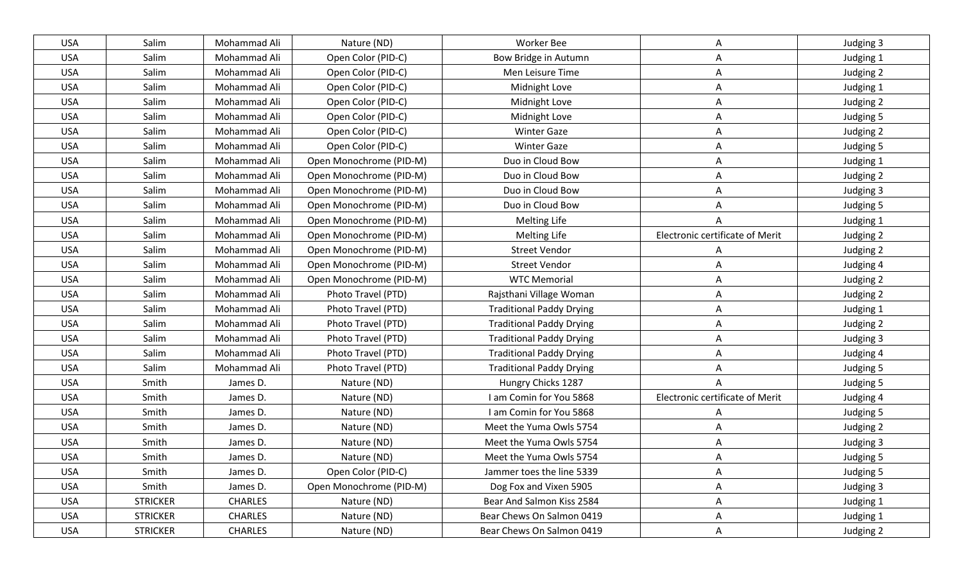| <b>USA</b> | Salim           | Mohammad Ali   | Nature (ND)             | Worker Bee                      | A                               | Judging 3 |
|------------|-----------------|----------------|-------------------------|---------------------------------|---------------------------------|-----------|
| <b>USA</b> | Salim           | Mohammad Ali   | Open Color (PID-C)      | Bow Bridge in Autumn            | A                               | Judging 1 |
| <b>USA</b> | Salim           | Mohammad Ali   | Open Color (PID-C)      | Men Leisure Time                | Α                               | Judging 2 |
| <b>USA</b> | Salim           | Mohammad Ali   | Open Color (PID-C)      | Midnight Love                   | A                               | Judging 1 |
| <b>USA</b> | Salim           | Mohammad Ali   | Open Color (PID-C)      | Midnight Love                   | A                               | Judging 2 |
| <b>USA</b> | Salim           | Mohammad Ali   | Open Color (PID-C)      | Midnight Love                   | A                               | Judging 5 |
| <b>USA</b> | Salim           | Mohammad Ali   | Open Color (PID-C)      | <b>Winter Gaze</b>              | Α                               | Judging 2 |
| <b>USA</b> | Salim           | Mohammad Ali   | Open Color (PID-C)      | <b>Winter Gaze</b>              | A                               | Judging 5 |
| <b>USA</b> | Salim           | Mohammad Ali   | Open Monochrome (PID-M) | Duo in Cloud Bow                | A                               | Judging 1 |
| <b>USA</b> | Salim           | Mohammad Ali   | Open Monochrome (PID-M) | Duo in Cloud Bow                | A                               | Judging 2 |
| <b>USA</b> | Salim           | Mohammad Ali   | Open Monochrome (PID-M) | Duo in Cloud Bow                | A                               | Judging 3 |
| <b>USA</b> | Salim           | Mohammad Ali   | Open Monochrome (PID-M) | Duo in Cloud Bow                | Α                               | Judging 5 |
| <b>USA</b> | Salim           | Mohammad Ali   | Open Monochrome (PID-M) | <b>Melting Life</b>             | A                               | Judging 1 |
| <b>USA</b> | Salim           | Mohammad Ali   | Open Monochrome (PID-M) | <b>Melting Life</b>             | Electronic certificate of Merit | Judging 2 |
| <b>USA</b> | Salim           | Mohammad Ali   | Open Monochrome (PID-M) | <b>Street Vendor</b>            | Α                               | Judging 2 |
| <b>USA</b> | Salim           | Mohammad Ali   | Open Monochrome (PID-M) | <b>Street Vendor</b>            | A                               | Judging 4 |
| <b>USA</b> | Salim           | Mohammad Ali   | Open Monochrome (PID-M) | <b>WTC Memorial</b>             | A                               | Judging 2 |
| <b>USA</b> | Salim           | Mohammad Ali   | Photo Travel (PTD)      | Rajsthani Village Woman         | A                               | Judging 2 |
| <b>USA</b> | Salim           | Mohammad Ali   | Photo Travel (PTD)      | <b>Traditional Paddy Drying</b> | A                               | Judging 1 |
| <b>USA</b> | Salim           | Mohammad Ali   | Photo Travel (PTD)      | <b>Traditional Paddy Drying</b> | Α                               | Judging 2 |
| <b>USA</b> | Salim           | Mohammad Ali   | Photo Travel (PTD)      | <b>Traditional Paddy Drying</b> | A                               | Judging 3 |
| <b>USA</b> | Salim           | Mohammad Ali   | Photo Travel (PTD)      | <b>Traditional Paddy Drying</b> | A                               | Judging 4 |
| <b>USA</b> | Salim           | Mohammad Ali   | Photo Travel (PTD)      | <b>Traditional Paddy Drying</b> | Α                               | Judging 5 |
| <b>USA</b> | Smith           | James D.       | Nature (ND)             | Hungry Chicks 1287              | A                               | Judging 5 |
| <b>USA</b> | Smith           | James D.       | Nature (ND)             | I am Comin for You 5868         | Electronic certificate of Merit | Judging 4 |
| <b>USA</b> | Smith           | James D.       | Nature (ND)             | I am Comin for You 5868         | A                               | Judging 5 |
| <b>USA</b> | Smith           | James D.       | Nature (ND)             | Meet the Yuma Owls 5754         | A                               | Judging 2 |
| <b>USA</b> | Smith           | James D.       | Nature (ND)             | Meet the Yuma Owls 5754         | A                               | Judging 3 |
| <b>USA</b> | Smith           | James D.       | Nature (ND)             | Meet the Yuma Owls 5754         | A                               | Judging 5 |
| <b>USA</b> | Smith           | James D.       | Open Color (PID-C)      | Jammer toes the line 5339       | A                               | Judging 5 |
| <b>USA</b> | Smith           | James D.       | Open Monochrome (PID-M) | Dog Fox and Vixen 5905          | A                               | Judging 3 |
| <b>USA</b> | <b>STRICKER</b> | <b>CHARLES</b> | Nature (ND)             | Bear And Salmon Kiss 2584       | A                               | Judging 1 |
| <b>USA</b> | <b>STRICKER</b> | <b>CHARLES</b> | Nature (ND)             | Bear Chews On Salmon 0419       | A                               | Judging 1 |
| <b>USA</b> | <b>STRICKER</b> | <b>CHARLES</b> | Nature (ND)             | Bear Chews On Salmon 0419       | $\mathsf{A}$                    | Judging 2 |
|            |                 |                |                         |                                 |                                 |           |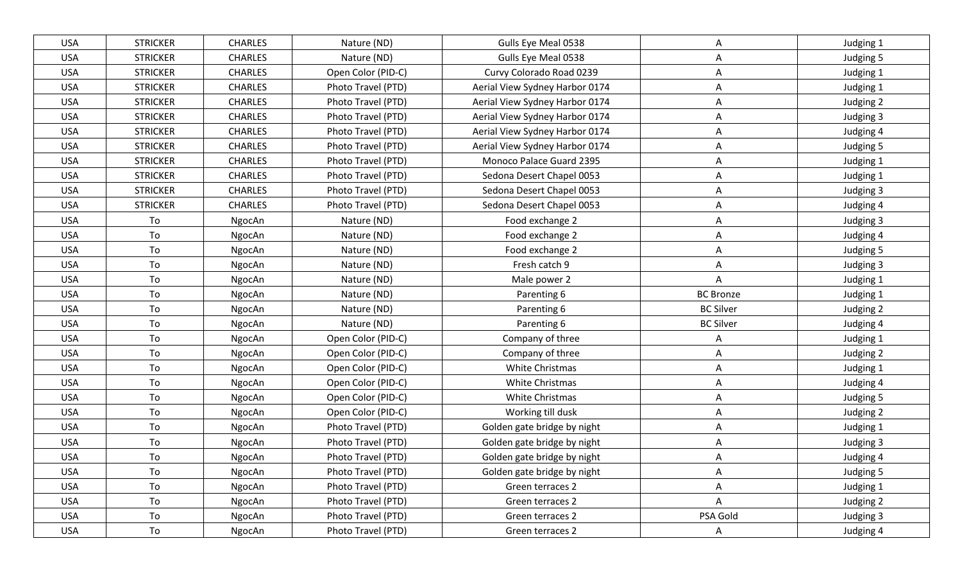| <b>USA</b> | <b>STRICKER</b> | <b>CHARLES</b> | Nature (ND)        | Gulls Eye Meal 0538            | A                | Judging 1 |
|------------|-----------------|----------------|--------------------|--------------------------------|------------------|-----------|
| <b>USA</b> | <b>STRICKER</b> | <b>CHARLES</b> | Nature (ND)        | Gulls Eye Meal 0538            | A                | Judging 5 |
| <b>USA</b> | <b>STRICKER</b> | <b>CHARLES</b> | Open Color (PID-C) | Curvy Colorado Road 0239       | Α                | Judging 1 |
| <b>USA</b> | <b>STRICKER</b> | <b>CHARLES</b> | Photo Travel (PTD) | Aerial View Sydney Harbor 0174 | A                | Judging 1 |
| <b>USA</b> | <b>STRICKER</b> | <b>CHARLES</b> | Photo Travel (PTD) | Aerial View Sydney Harbor 0174 | A                | Judging 2 |
| <b>USA</b> | <b>STRICKER</b> | <b>CHARLES</b> | Photo Travel (PTD) | Aerial View Sydney Harbor 0174 | A                | Judging 3 |
| <b>USA</b> | <b>STRICKER</b> | <b>CHARLES</b> | Photo Travel (PTD) | Aerial View Sydney Harbor 0174 | A                | Judging 4 |
| <b>USA</b> | <b>STRICKER</b> | <b>CHARLES</b> | Photo Travel (PTD) | Aerial View Sydney Harbor 0174 | A                | Judging 5 |
| <b>USA</b> | <b>STRICKER</b> | <b>CHARLES</b> | Photo Travel (PTD) | Monoco Palace Guard 2395       | A                | Judging 1 |
| <b>USA</b> | <b>STRICKER</b> | <b>CHARLES</b> | Photo Travel (PTD) | Sedona Desert Chapel 0053      | A                | Judging 1 |
| <b>USA</b> | <b>STRICKER</b> | <b>CHARLES</b> | Photo Travel (PTD) | Sedona Desert Chapel 0053      | A                | Judging 3 |
| <b>USA</b> | <b>STRICKER</b> | <b>CHARLES</b> | Photo Travel (PTD) | Sedona Desert Chapel 0053      | Α                | Judging 4 |
| <b>USA</b> | To              | NgocAn         | Nature (ND)        | Food exchange 2                | A                | Judging 3 |
| <b>USA</b> | To              | NgocAn         | Nature (ND)        | Food exchange 2                | A                | Judging 4 |
| <b>USA</b> | To              | NgocAn         | Nature (ND)        | Food exchange 2                | Α                | Judging 5 |
| <b>USA</b> | To              | NgocAn         | Nature (ND)        | Fresh catch 9                  | A                | Judging 3 |
| <b>USA</b> | To              | NgocAn         | Nature (ND)        | Male power 2                   | A                | Judging 1 |
| <b>USA</b> | To              | NgocAn         | Nature (ND)        | Parenting 6                    | <b>BC Bronze</b> | Judging 1 |
| <b>USA</b> | To              | NgocAn         | Nature (ND)        | Parenting 6                    | <b>BC Silver</b> | Judging 2 |
| <b>USA</b> | To              | NgocAn         | Nature (ND)        | Parenting 6                    | <b>BC Silver</b> | Judging 4 |
| <b>USA</b> | To              | NgocAn         | Open Color (PID-C) | Company of three               | A                | Judging 1 |
| <b>USA</b> | To              | NgocAn         | Open Color (PID-C) | Company of three               | A                | Judging 2 |
| <b>USA</b> | To              | NgocAn         | Open Color (PID-C) | White Christmas                | Α                | Judging 1 |
| <b>USA</b> | To              | NgocAn         | Open Color (PID-C) | White Christmas                | A                | Judging 4 |
| <b>USA</b> | To              | NgocAn         | Open Color (PID-C) | White Christmas                | A                | Judging 5 |
| <b>USA</b> | To              | NgocAn         | Open Color (PID-C) | Working till dusk              | A                | Judging 2 |
| <b>USA</b> | To              | NgocAn         | Photo Travel (PTD) | Golden gate bridge by night    | A                | Judging 1 |
| <b>USA</b> | To              | NgocAn         | Photo Travel (PTD) | Golden gate bridge by night    | A                | Judging 3 |
| <b>USA</b> | To              | NgocAn         | Photo Travel (PTD) | Golden gate bridge by night    | Α                | Judging 4 |
| <b>USA</b> | To              | NgocAn         | Photo Travel (PTD) | Golden gate bridge by night    | A                | Judging 5 |
| <b>USA</b> | To              | NgocAn         | Photo Travel (PTD) | Green terraces 2               | A                | Judging 1 |
| <b>USA</b> | To              | NgocAn         | Photo Travel (PTD) | Green terraces 2               | A                | Judging 2 |
| <b>USA</b> | To              | NgocAn         | Photo Travel (PTD) | Green terraces 2               | PSA Gold         | Judging 3 |
| <b>USA</b> | To              | NgocAn         | Photo Travel (PTD) | Green terraces 2               | $\mathsf{A}$     | Judging 4 |
|            |                 |                |                    |                                |                  |           |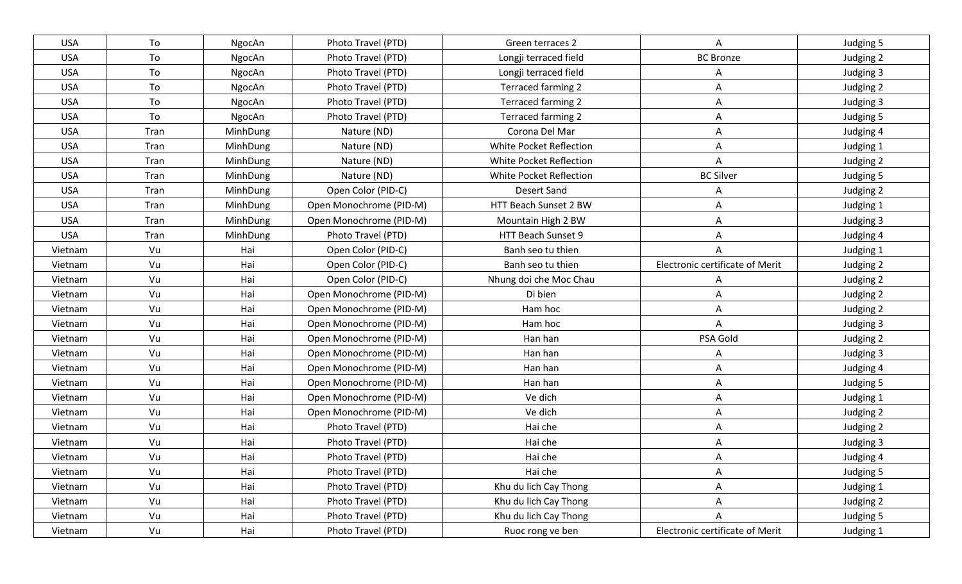| <b>USA</b> | To   | NgocAn   | Photo Travel (PTD)      | Green terraces 2        | Α                               | Judging 5 |
|------------|------|----------|-------------------------|-------------------------|---------------------------------|-----------|
| <b>USA</b> | To   | NgocAn   | Photo Travel (PTD)      | Longji terraced field   | <b>BC Bronze</b>                | Judging 2 |
| <b>USA</b> | To   | NgocAn   | Photo Travel (PTD)      | Longji terraced field   | A                               | Judging 3 |
| <b>USA</b> | To   | NgocAn   | Photo Travel (PTD)      | Terraced farming 2      | A                               | Judging 2 |
| <b>USA</b> | To   | NgocAn   | Photo Travel (PTD)      | Terraced farming 2      | A                               | Judging 3 |
| <b>USA</b> | To   | NgocAn   | Photo Travel (PTD)      | Terraced farming 2      | A                               | Judging 5 |
| <b>USA</b> | Tran | MinhDung | Nature (ND)             | Corona Del Mar          | A                               | Judging 4 |
| <b>USA</b> | Tran | MinhDung | Nature (ND)             | White Pocket Reflection | A                               | Judging 1 |
| <b>USA</b> | Tran | MinhDung | Nature (ND)             | White Pocket Reflection | A                               | Judging 2 |
| <b>USA</b> | Tran | MinhDung | Nature (ND)             | White Pocket Reflection | <b>BC Silver</b>                | Judging 5 |
| <b>USA</b> | Tran | MinhDung | Open Color (PID-C)      | <b>Desert Sand</b>      | A                               | Judging 2 |
| <b>USA</b> | Tran | MinhDung | Open Monochrome (PID-M) | HTT Beach Sunset 2 BW   | Α                               | Judging 1 |
| <b>USA</b> | Tran | MinhDung | Open Monochrome (PID-M) | Mountain High 2 BW      | A                               | Judging 3 |
| <b>USA</b> | Tran | MinhDung | Photo Travel (PTD)      | HTT Beach Sunset 9      | A                               | Judging 4 |
| Vietnam    | Vu   | Hai      | Open Color (PID-C)      | Banh seo tu thien       | A                               | Judging 1 |
| Vietnam    | Vu   | Hai      | Open Color (PID-C)      | Banh seo tu thien       | Electronic certificate of Merit | Judging 2 |
| Vietnam    | Vu   | Hai      | Open Color (PID-C)      | Nhung doi che Moc Chau  |                                 | Judging 2 |
| Vietnam    | Vu   | Hai      | Open Monochrome (PID-M) | Di bien                 | Α                               | Judging 2 |
| Vietnam    | Vu   | Hai      | Open Monochrome (PID-M) | Ham hoc                 | Α                               | Judging 2 |
| Vietnam    | Vu   | Hai      | Open Monochrome (PID-M) | Ham hoc                 | A                               | Judging 3 |
| Vietnam    | Vu   | Hai      | Open Monochrome (PID-M) | Han han                 | PSA Gold                        | Judging 2 |
| Vietnam    | Vu   | Hai      | Open Monochrome (PID-M) | Han han                 | A                               | Judging 3 |
| Vietnam    | Vu   | Hai      | Open Monochrome (PID-M) | Han han                 | A                               | Judging 4 |
| Vietnam    | Vu   | Hai      | Open Monochrome (PID-M) | Han han                 | A                               | Judging 5 |
| Vietnam    | Vu   | Hai      | Open Monochrome (PID-M) | Ve dich                 | Α                               | Judging 1 |
| Vietnam    | Vu   | Hai      | Open Monochrome (PID-M) | Ve dich                 | A                               | Judging 2 |
| Vietnam    | Vu   | Hai      | Photo Travel (PTD)      | Hai che                 | Α                               | Judging 2 |
| Vietnam    | Vu   | Hai      | Photo Travel (PTD)      | Hai che                 | Α                               | Judging 3 |
| Vietnam    | Vu   | Hai      | Photo Travel (PTD)      | Hai che                 | A                               | Judging 4 |
| Vietnam    | Vu   | Hai      | Photo Travel (PTD)      | Hai che                 | A                               | Judging 5 |
| Vietnam    | Vu   | Hai      | Photo Travel (PTD)      | Khu du lich Cay Thong   | A                               | Judging 1 |
| Vietnam    | Vu   | Hai      | Photo Travel (PTD)      | Khu du lich Cay Thong   | Α                               | Judging 2 |
| Vietnam    | Vu   | Hai      | Photo Travel (PTD)      | Khu du lich Cay Thong   | A                               | Judging 5 |
| Vietnam    | Vu   | Hai      | Photo Travel (PTD)      | Ruoc rong ve ben        | Electronic certificate of Merit | Judging 1 |
|            |      |          |                         |                         |                                 |           |